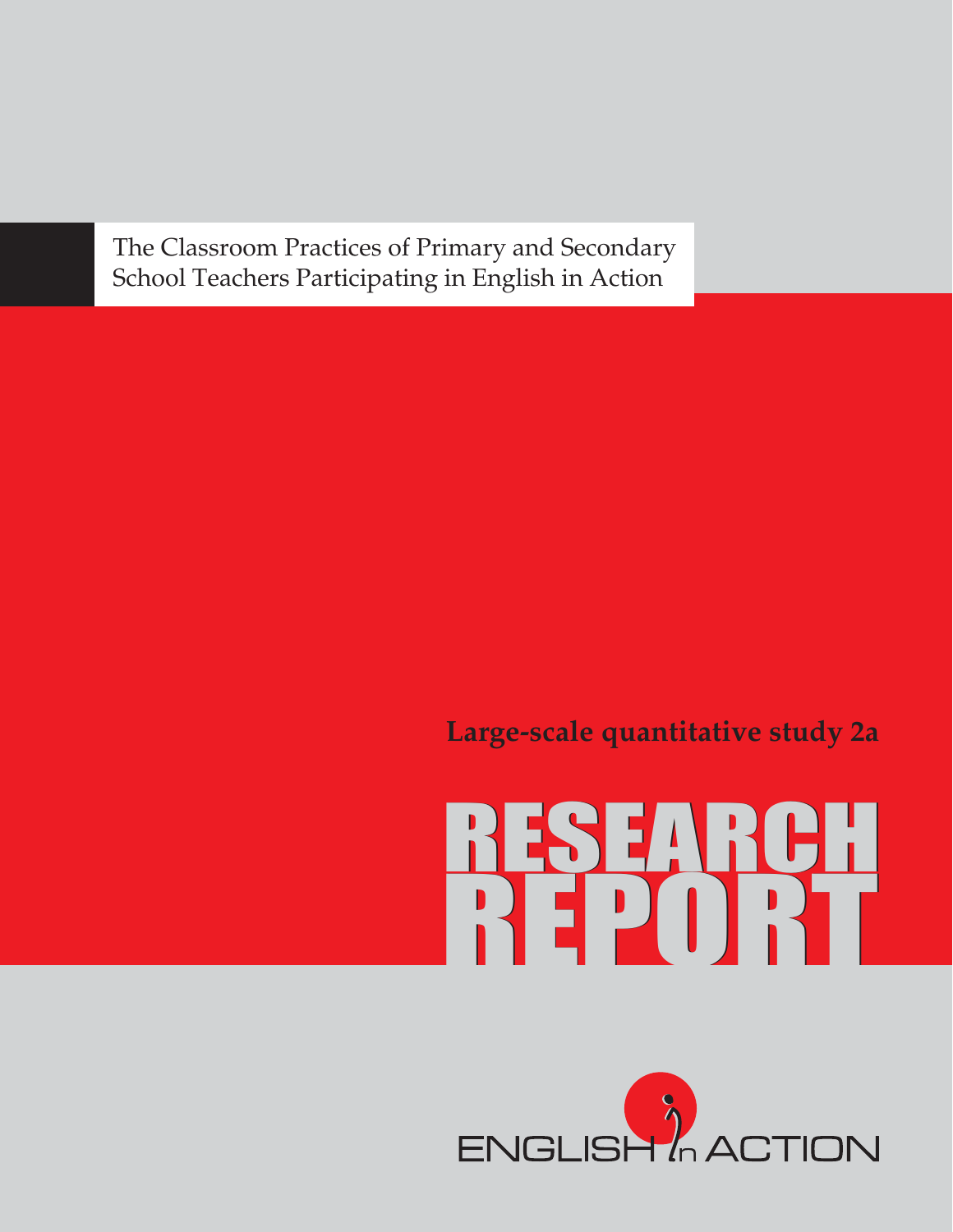The Classroom Practices of Primary and Secondary School Teachers Participating in English in Action

**Large-scale quantitative study 2a**

# REPORT RESEARCH

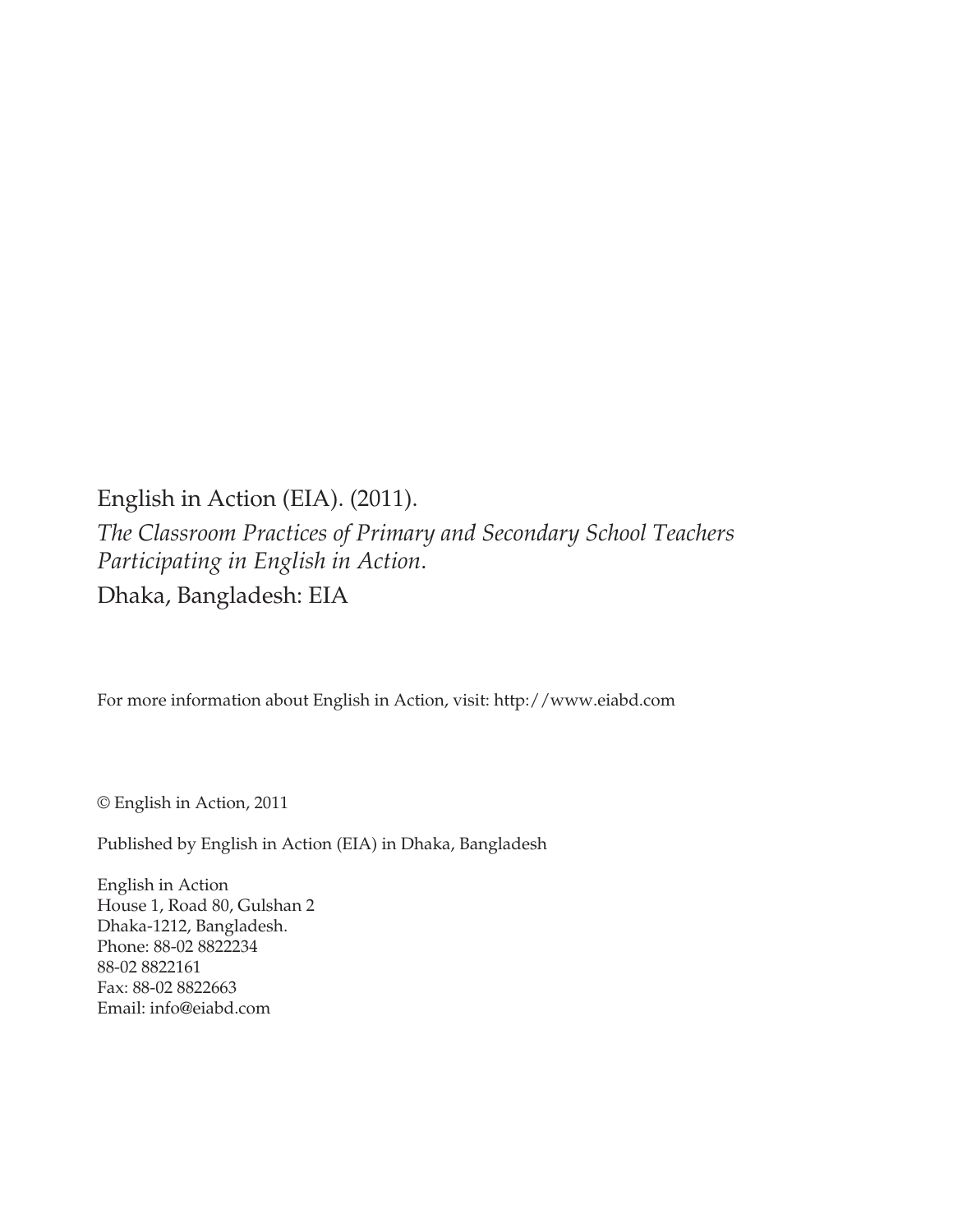English in Action (EIA). (2011). *The Classroom Practices of Primary and Secondary School Teachers Participating in English in Action*. Dhaka, Bangladesh: EIA

For more information about English in Action, visit: http://www.eiabd.com

© English in Action, 2011

Published by English in Action (EIA) in Dhaka, Bangladesh

English in Action House 1, Road 80, Gulshan 2 Dhaka-1212, Bangladesh. Phone: 88-02 8822234 88-02 8822161 Fax: 88-02 8822663 Email: info@eiabd.com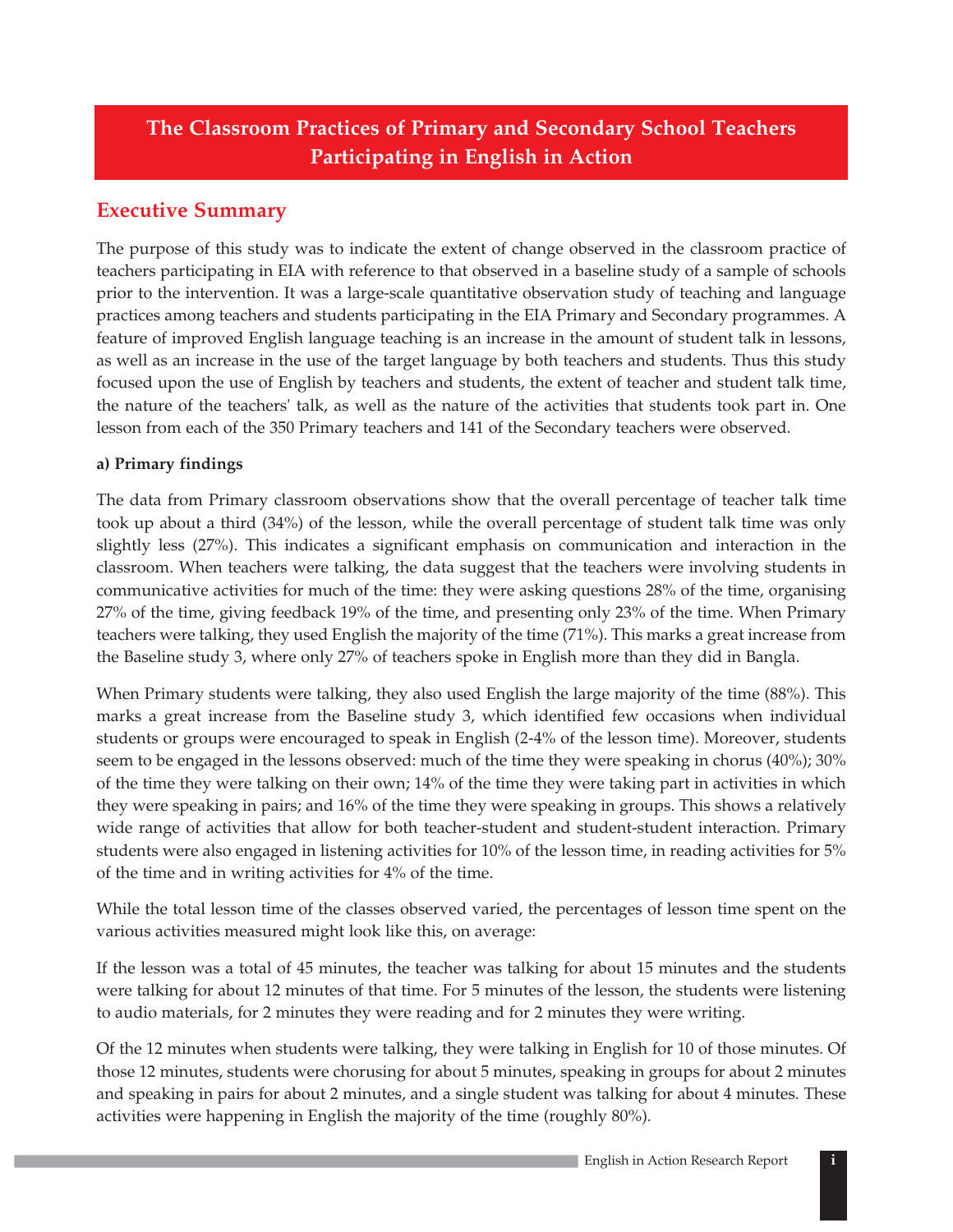# **The Classroom Practices of Primary and Secondary School Teachers Participating in English in Action**

# **Executive Summary**

The purpose of this study was to indicate the extent of change observed in the classroom practice of teachers participating in EIA with reference to that observed in a baseline study of a sample of schools prior to the intervention. It was a large-scale quantitative observation study of teaching and language practices among teachers and students participating in the EIA Primary and Secondary programmes. A feature of improved English language teaching is an increase in the amount of student talk in lessons, as well as an increase in the use of the target language by both teachers and students. Thus this study focused upon the use of English by teachers and students, the extent of teacher and student talk time, the nature of the teachers' talk, as well as the nature of the activities that students took part in. One lesson from each of the 350 Primary teachers and 141 of the Secondary teachers were observed.

### **a) Primary findings**

The data from Primary classroom observations show that the overall percentage of teacher talk time took up about a third (34%) of the lesson, while the overall percentage of student talk time was only slightly less (27%). This indicates a significant emphasis on communication and interaction in the classroom. When teachers were talking, the data suggest that the teachers were involving students in communicative activities for much of the time: they were asking questions 28% of the time, organising 27% of the time, giving feedback 19% of the time, and presenting only 23% of the time. When Primary teachers were talking, they used English the majority of the time (71%). This marks a great increase from the Baseline study 3, where only 27% of teachers spoke in English more than they did in Bangla.

When Primary students were talking, they also used English the large majority of the time (88%). This marks a great increase from the Baseline study 3, which identified few occasions when individual students or groups were encouraged to speak in English (2-4% of the lesson time). Moreover, students seem to be engaged in the lessons observed: much of the time they were speaking in chorus (40%); 30% of the time they were talking on their own; 14% of the time they were taking part in activities in which they were speaking in pairs; and 16% of the time they were speaking in groups. This shows a relatively wide range of activities that allow for both teacher-student and student-student interaction. Primary students were also engaged in listening activities for 10% of the lesson time, in reading activities for 5% of the time and in writing activities for 4% of the time.

While the total lesson time of the classes observed varied, the percentages of lesson time spent on the various activities measured might look like this, on average:

If the lesson was a total of 45 minutes, the teacher was talking for about 15 minutes and the students were talking for about 12 minutes of that time. For 5 minutes of the lesson, the students were listening to audio materials, for 2 minutes they were reading and for 2 minutes they were writing.

Of the 12 minutes when students were talking, they were talking in English for 10 of those minutes. Of those 12 minutes, students were chorusing for about 5 minutes, speaking in groups for about 2 minutes and speaking in pairs for about 2 minutes, and a single student was talking for about 4 minutes. These activities were happening in English the majority of the time (roughly 80%).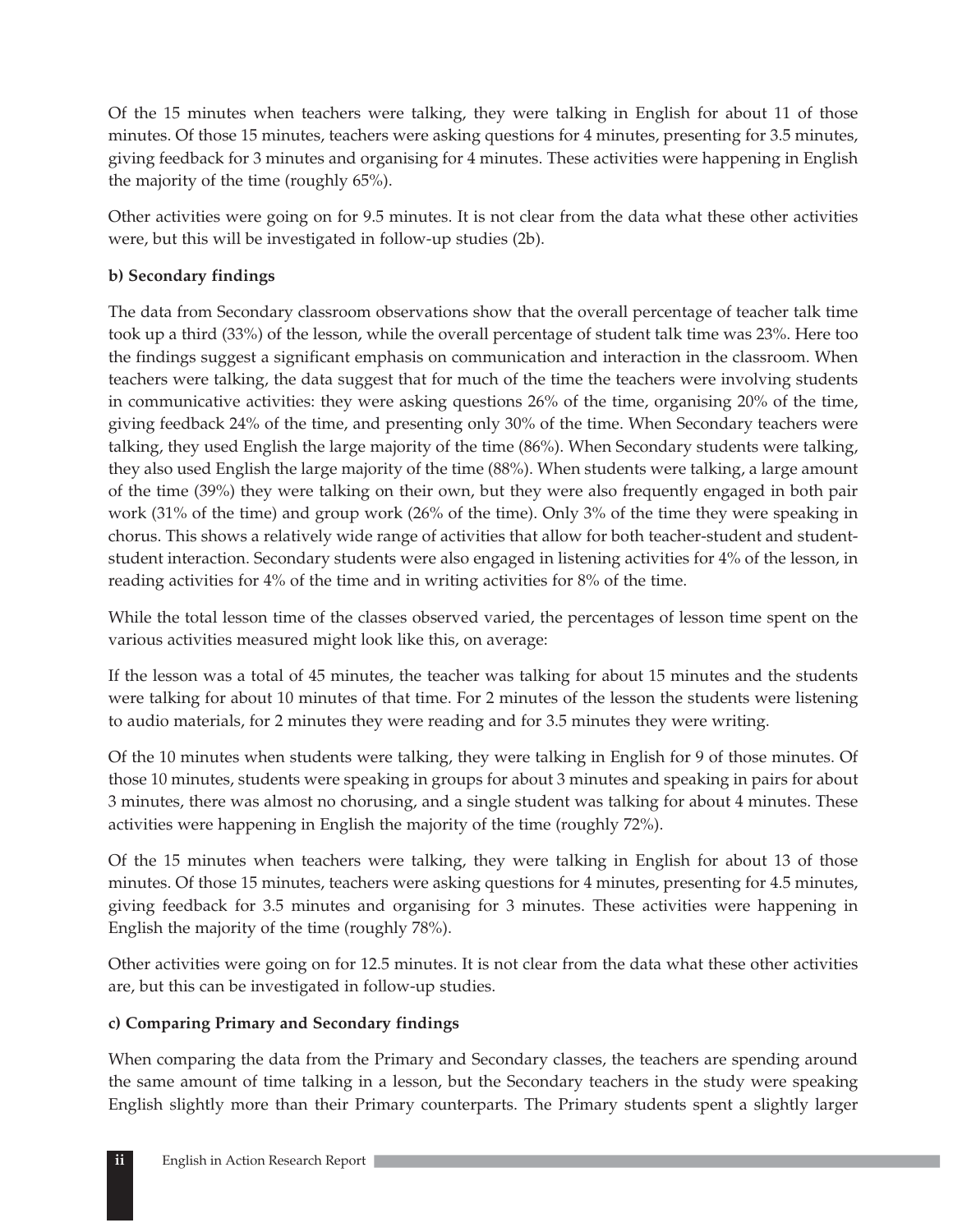Of the 15 minutes when teachers were talking, they were talking in English for about 11 of those minutes. Of those 15 minutes, teachers were asking questions for 4 minutes, presenting for 3.5 minutes, giving feedback for 3 minutes and organising for 4 minutes. These activities were happening in English the majority of the time (roughly 65%).

Other activities were going on for 9.5 minutes. It is not clear from the data what these other activities were, but this will be investigated in follow-up studies (2b).

### **b) Secondary findings**

The data from Secondary classroom observations show that the overall percentage of teacher talk time took up a third (33%) of the lesson, while the overall percentage of student talk time was 23%. Here too the findings suggest a significant emphasis on communication and interaction in the classroom. When teachers were talking, the data suggest that for much of the time the teachers were involving students in communicative activities: they were asking questions 26% of the time, organising 20% of the time, giving feedback 24% of the time, and presenting only 30% of the time. When Secondary teachers were talking, they used English the large majority of the time (86%). When Secondary students were talking, they also used English the large majority of the time (88%). When students were talking, a large amount of the time (39%) they were talking on their own, but they were also frequently engaged in both pair work (31% of the time) and group work (26% of the time). Only 3% of the time they were speaking in chorus. This shows a relatively wide range of activities that allow for both teacher-student and studentstudent interaction. Secondary students were also engaged in listening activities for 4% of the lesson, in reading activities for 4% of the time and in writing activities for 8% of the time.

While the total lesson time of the classes observed varied, the percentages of lesson time spent on the various activities measured might look like this, on average:

If the lesson was a total of 45 minutes, the teacher was talking for about 15 minutes and the students were talking for about 10 minutes of that time. For 2 minutes of the lesson the students were listening to audio materials, for 2 minutes they were reading and for 3.5 minutes they were writing.

Of the 10 minutes when students were talking, they were talking in English for 9 of those minutes. Of those 10 minutes, students were speaking in groups for about 3 minutes and speaking in pairs for about 3 minutes, there was almost no chorusing, and a single student was talking for about 4 minutes. These activities were happening in English the majority of the time (roughly 72%).

Of the 15 minutes when teachers were talking, they were talking in English for about 13 of those minutes. Of those 15 minutes, teachers were asking questions for 4 minutes, presenting for 4.5 minutes, giving feedback for 3.5 minutes and organising for 3 minutes. These activities were happening in English the majority of the time (roughly 78%).

Other activities were going on for 12.5 minutes. It is not clear from the data what these other activities are, but this can be investigated in follow-up studies.

### **c) Comparing Primary and Secondary findings**

When comparing the data from the Primary and Secondary classes, the teachers are spending around the same amount of time talking in a lesson, but the Secondary teachers in the study were speaking English slightly more than their Primary counterparts. The Primary students spent a slightly larger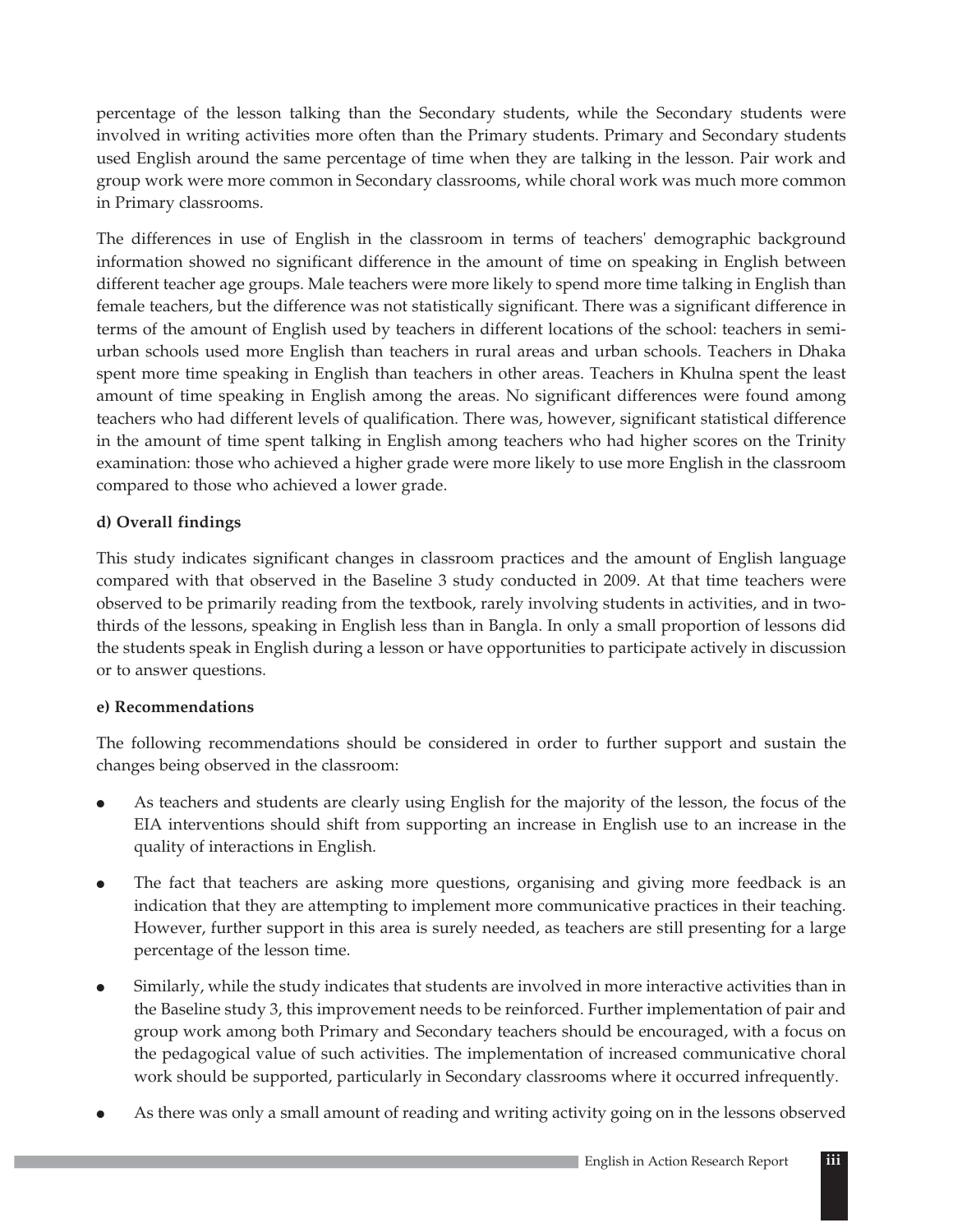percentage of the lesson talking than the Secondary students, while the Secondary students were involved in writing activities more often than the Primary students. Primary and Secondary students used English around the same percentage of time when they are talking in the lesson. Pair work and group work were more common in Secondary classrooms, while choral work was much more common in Primary classrooms.

The differences in use of English in the classroom in terms of teachers' demographic background information showed no significant difference in the amount of time on speaking in English between different teacher age groups. Male teachers were more likely to spend more time talking in English than female teachers, but the difference was not statistically significant. There was a significant difference in terms of the amount of English used by teachers in different locations of the school: teachers in semiurban schools used more English than teachers in rural areas and urban schools. Teachers in Dhaka spent more time speaking in English than teachers in other areas. Teachers in Khulna spent the least amount of time speaking in English among the areas. No significant differences were found among teachers who had different levels of qualification. There was, however, significant statistical difference in the amount of time spent talking in English among teachers who had higher scores on the Trinity examination: those who achieved a higher grade were more likely to use more English in the classroom compared to those who achieved a lower grade.

### **d) Overall findings**

This study indicates significant changes in classroom practices and the amount of English language compared with that observed in the Baseline 3 study conducted in 2009. At that time teachers were observed to be primarily reading from the textbook, rarely involving students in activities, and in twothirds of the lessons, speaking in English less than in Bangla. In only a small proportion of lessons did the students speak in English during a lesson or have opportunities to participate actively in discussion or to answer questions.

### **e) Recommendations**

The following recommendations should be considered in order to further support and sustain the changes being observed in the classroom:

- $\bullet$  As teachers and students are clearly using English for the majority of the lesson, the focus of the EIA interventions should shift from supporting an increase in English use to an increase in the quality of interactions in English.
- $\bullet$  The fact that teachers are asking more questions, organising and giving more feedback is an indication that they are attempting to implement more communicative practices in their teaching. However, further support in this area is surely needed, as teachers are still presenting for a large percentage of the lesson time.
- $\bullet$  Similarly, while the study indicates that students are involved in more interactive activities than in the Baseline study 3, this improvement needs to be reinforced. Further implementation of pair and group work among both Primary and Secondary teachers should be encouraged, with a focus on the pedagogical value of such activities. The implementation of increased communicative choral work should be supported, particularly in Secondary classrooms where it occurred infrequently.
- $\bullet$ As there was only a small amount of reading and writing activity going on in the lessons observed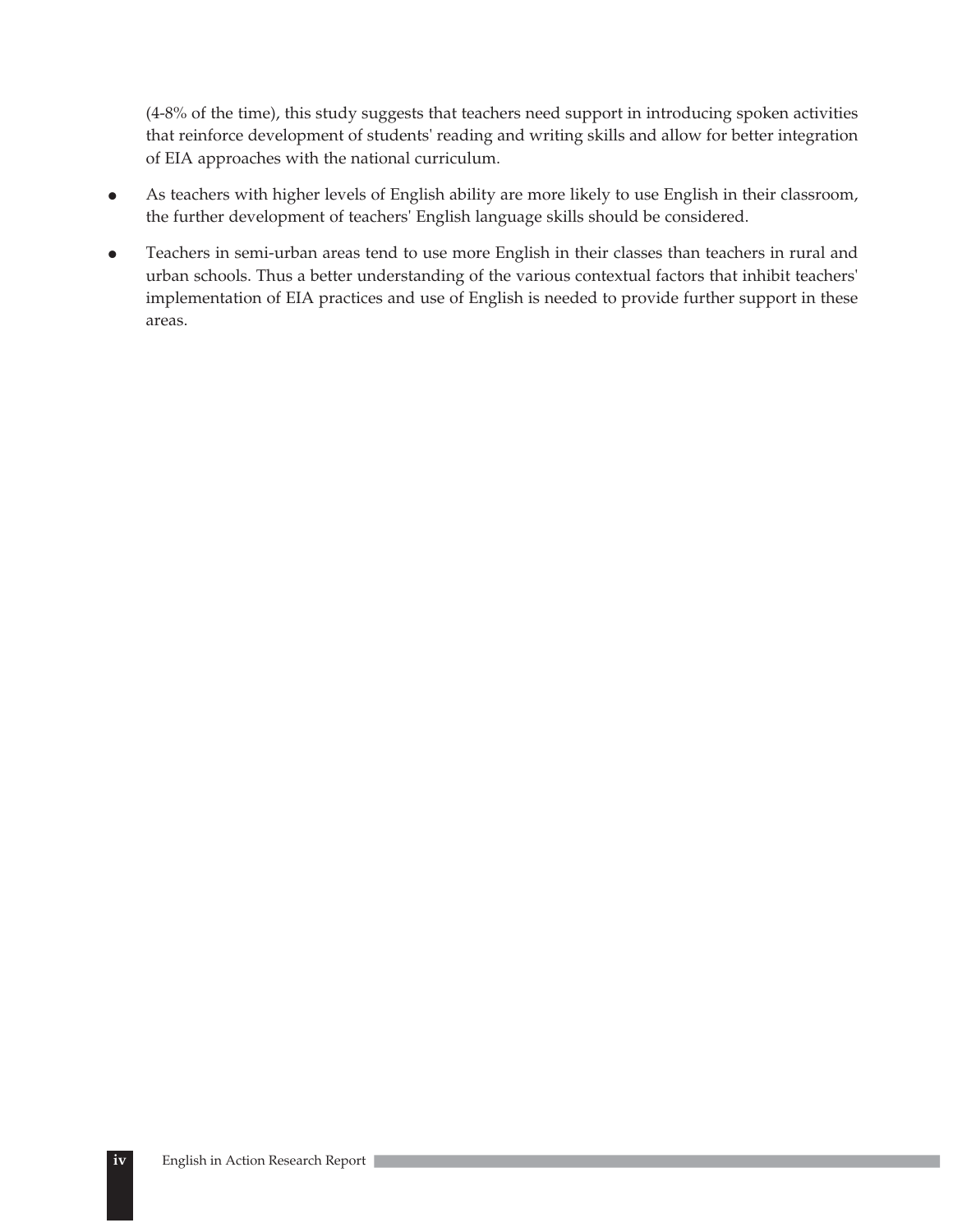(4-8% of the time), this study suggests that teachers need support in introducing spoken activities that reinforce development of students' reading and writing skills and allow for better integration of EIA approaches with the national curriculum.

- $\bullet$  As teachers with higher levels of English ability are more likely to use English in their classroom, the further development of teachers' English language skills should be considered.
- $\bullet$  Teachers in semi-urban areas tend to use more English in their classes than teachers in rural and urban schools. Thus a better understanding of the various contextual factors that inhibit teachers' implementation of EIA practices and use of English is needed to provide further support in these areas.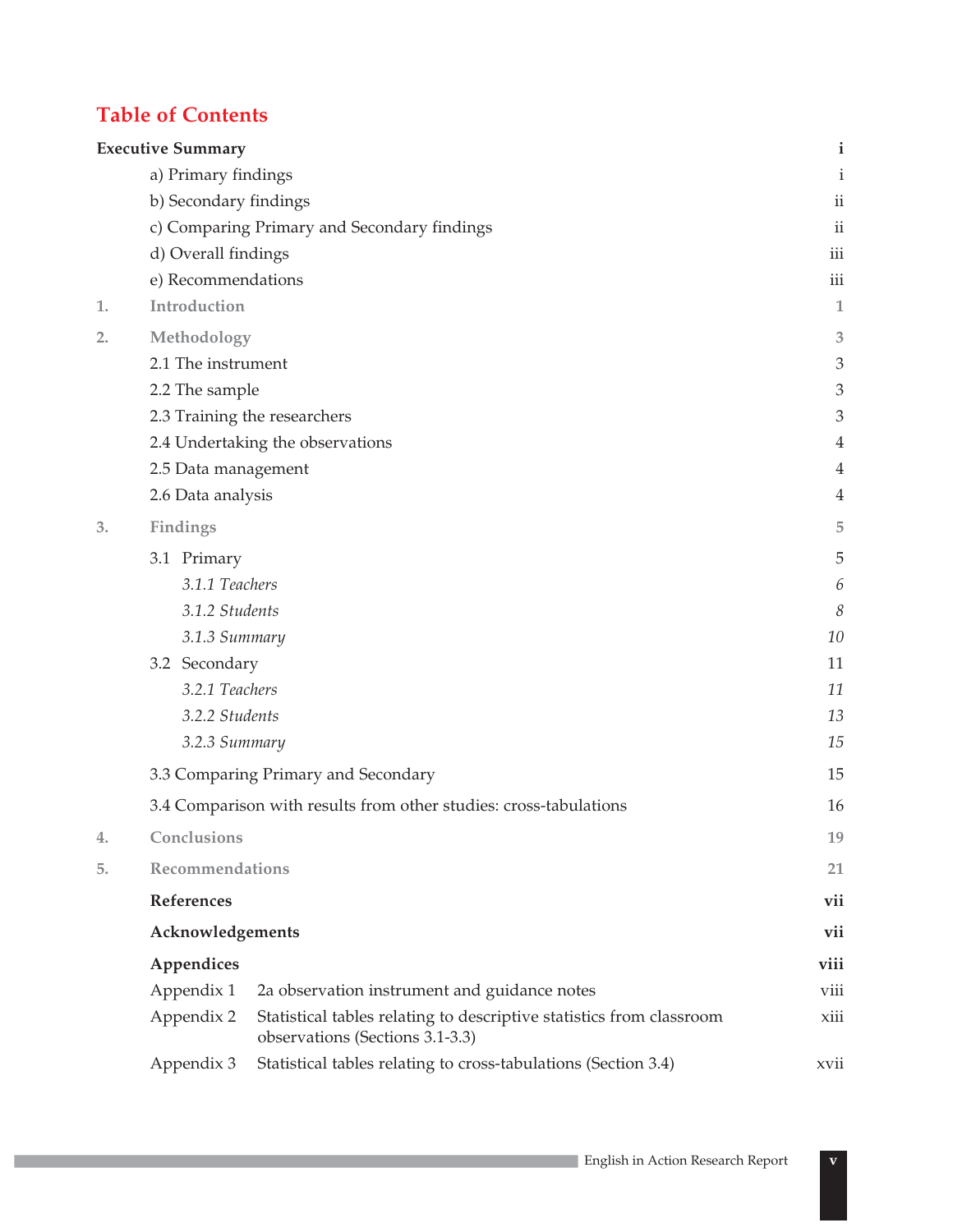# **Table of Contents**

|    | <b>Executive Summary</b>                                          |                                                                                                         | $\mathbf{i}$             |  |
|----|-------------------------------------------------------------------|---------------------------------------------------------------------------------------------------------|--------------------------|--|
|    | a) Primary findings                                               |                                                                                                         | $\mathbf{i}$             |  |
|    | b) Secondary findings                                             |                                                                                                         | $\mathbf{ii}$            |  |
|    |                                                                   | c) Comparing Primary and Secondary findings                                                             | $\overline{\textbf{ii}}$ |  |
|    | d) Overall findings                                               |                                                                                                         | iii                      |  |
|    | e) Recommendations                                                |                                                                                                         | iii                      |  |
| 1. | Introduction                                                      |                                                                                                         | $\mathbf{1}$             |  |
| 2. | Methodology                                                       |                                                                                                         |                          |  |
|    | 2.1 The instrument                                                |                                                                                                         | 3                        |  |
|    | 2.2 The sample                                                    |                                                                                                         | 3                        |  |
|    |                                                                   | 2.3 Training the researchers                                                                            | 3                        |  |
|    |                                                                   | 2.4 Undertaking the observations                                                                        | 4                        |  |
|    | 2.5 Data management                                               |                                                                                                         | $\overline{4}$           |  |
|    | 2.6 Data analysis                                                 |                                                                                                         | 4                        |  |
| 3. | Findings                                                          |                                                                                                         | 5                        |  |
|    | 3.1 Primary                                                       |                                                                                                         |                          |  |
|    | 3.1.1 Teachers                                                    |                                                                                                         |                          |  |
|    | 3.1.2 Students                                                    |                                                                                                         |                          |  |
|    | 3.1.3 Summary                                                     |                                                                                                         |                          |  |
|    | 3.2 Secondary                                                     |                                                                                                         |                          |  |
|    |                                                                   | 3.2.1 Teachers                                                                                          |                          |  |
|    | 3.2.2 Students                                                    |                                                                                                         | 13<br>15                 |  |
|    | 3.2.3 Summary                                                     |                                                                                                         |                          |  |
|    | 3.3 Comparing Primary and Secondary                               |                                                                                                         |                          |  |
|    | 3.4 Comparison with results from other studies: cross-tabulations |                                                                                                         |                          |  |
| 4. | Conclusions                                                       |                                                                                                         | 19                       |  |
| 5. | Recommendations                                                   |                                                                                                         |                          |  |
|    | References                                                        |                                                                                                         |                          |  |
|    | Acknowledgements                                                  |                                                                                                         |                          |  |
|    | Appendices                                                        |                                                                                                         | viii                     |  |
|    | Appendix 1                                                        | 2a observation instrument and guidance notes                                                            | viii                     |  |
|    | Appendix 2                                                        | Statistical tables relating to descriptive statistics from classroom<br>observations (Sections 3.1-3.3) | xiii                     |  |
|    | Appendix 3                                                        | Statistical tables relating to cross-tabulations (Section 3.4)                                          | xvii                     |  |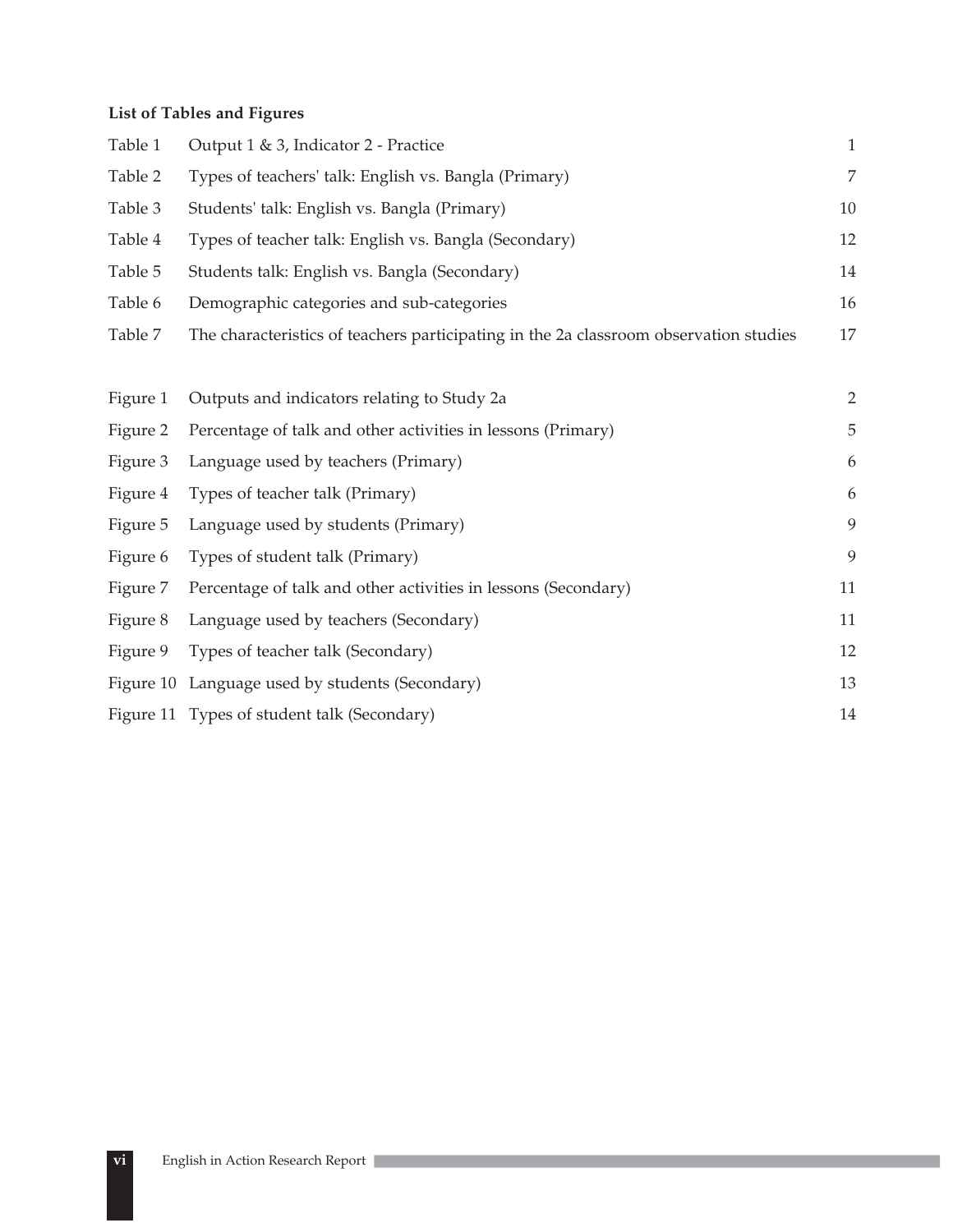# **List of Tables and Figures**

| Table 1  | Output 1 & 3, Indicator 2 - Practice                                                  | $\,1\,$        |
|----------|---------------------------------------------------------------------------------------|----------------|
| Table 2  | Types of teachers' talk: English vs. Bangla (Primary)                                 | $\overline{7}$ |
| Table 3  | Students' talk: English vs. Bangla (Primary)                                          | 10             |
| Table 4  | Types of teacher talk: English vs. Bangla (Secondary)                                 | 12             |
| Table 5  | Students talk: English vs. Bangla (Secondary)                                         | 14             |
| Table 6  | Demographic categories and sub-categories                                             | 16             |
| Table 7  | The characteristics of teachers participating in the 2a classroom observation studies | 17             |
|          |                                                                                       |                |
| Figure 1 | Outputs and indicators relating to Study 2a                                           | $\overline{2}$ |
| Figure 2 | Percentage of talk and other activities in lessons (Primary)                          | 5              |
| Figure 3 | Language used by teachers (Primary)                                                   | 6              |
| Figure 4 | Types of teacher talk (Primary)                                                       | 6              |
| Figure 5 | Language used by students (Primary)                                                   | 9              |
| Figure 6 | Types of student talk (Primary)                                                       | 9              |
| Figure 7 | Percentage of talk and other activities in lessons (Secondary)                        | 11             |
| Figure 8 | Language used by teachers (Secondary)                                                 | 11             |
| Figure 9 | Types of teacher talk (Secondary)                                                     | 12             |
|          | Figure 10 Language used by students (Secondary)                                       | 13             |
|          | Figure 11 Types of student talk (Secondary)                                           | 14             |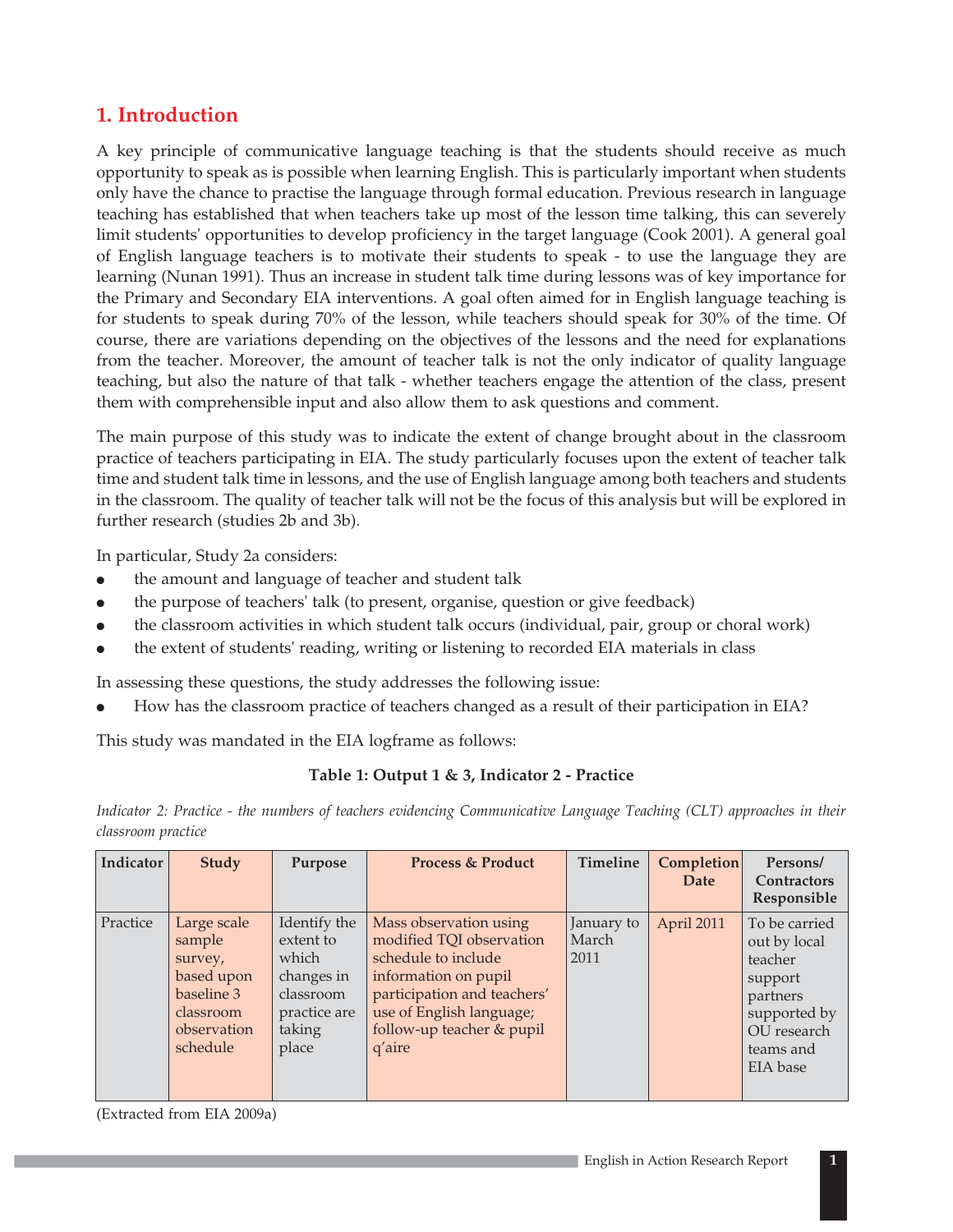# **1. Introduction**

A key principle of communicative language teaching is that the students should receive as much opportunity to speak as is possible when learning English. This is particularly important when students only have the chance to practise the language through formal education. Previous research in language teaching has established that when teachers take up most of the lesson time talking, this can severely limit students' opportunities to develop proficiency in the target language (Cook 2001). A general goal of English language teachers is to motivate their students to speak - to use the language they are learning (Nunan 1991). Thus an increase in student talk time during lessons was of key importance for the Primary and Secondary EIA interventions. A goal often aimed for in English language teaching is for students to speak during 70% of the lesson, while teachers should speak for 30% of the time. Of course, there are variations depending on the objectives of the lessons and the need for explanations from the teacher. Moreover, the amount of teacher talk is not the only indicator of quality language teaching, but also the nature of that talk - whether teachers engage the attention of the class, present them with comprehensible input and also allow them to ask questions and comment.

The main purpose of this study was to indicate the extent of change brought about in the classroom practice of teachers participating in EIA. The study particularly focuses upon the extent of teacher talk time and student talk time in lessons, and the use of English language among both teachers and students in the classroom. The quality of teacher talk will not be the focus of this analysis but will be explored in further research (studies 2b and 3b).

In particular, Study 2a considers:

- $\bullet$ the amount and language of teacher and student talk
- $\bullet$ the purpose of teachers' talk (to present, organise, question or give feedback)
- $\bullet$ the classroom activities in which student talk occurs (individual, pair, group or choral work)
- $\bullet$ the extent of students' reading, writing or listening to recorded EIA materials in class

In assessing these questions, the study addresses the following issue:

 $\bullet$ How has the classroom practice of teachers changed as a result of their participation in EIA?

This study was mandated in the EIA logframe as follows:

### **Table 1: Output 1 & 3, Indicator 2 - Practice**

*Indicator 2: Practice - the numbers of teachers evidencing Communicative Language Teaching (CLT) approaches in their classroom practice*

| Indicator | <b>Study</b>                                                                                         | Purpose                                                                                          | <b>Process &amp; Product</b>                                                                                                                                                                        | <b>Timeline</b>             | Completion<br>Date | Persons/<br><b>Contractors</b><br>Responsible                                                                           |
|-----------|------------------------------------------------------------------------------------------------------|--------------------------------------------------------------------------------------------------|-----------------------------------------------------------------------------------------------------------------------------------------------------------------------------------------------------|-----------------------------|--------------------|-------------------------------------------------------------------------------------------------------------------------|
| Practice  | Large scale<br>sample<br>survey,<br>based upon<br>baseline 3<br>classroom<br>observation<br>schedule | Identify the<br>extent to<br>which<br>changes in<br>classroom<br>practice are<br>taking<br>place | Mass observation using<br>modified TQI observation<br>schedule to include<br>information on pupil<br>participation and teachers'<br>use of English language;<br>follow-up teacher & pupil<br>q'aire | January to<br>March<br>2011 | April 2011         | To be carried<br>out by local<br>teacher<br>support<br>partners<br>supported by<br>OU research<br>teams and<br>EIA base |

(Extracted from EIA 2009a)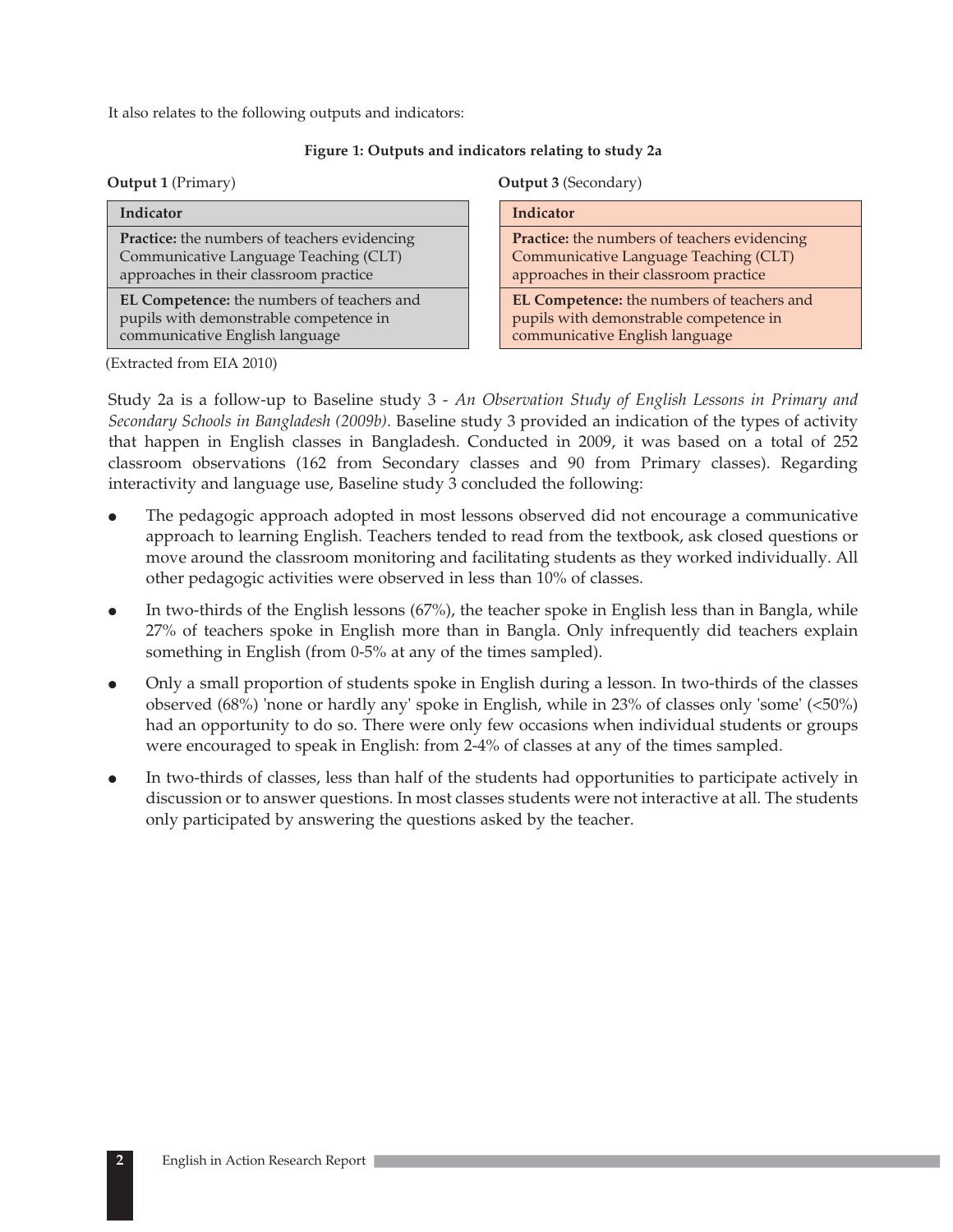It also relates to the following outputs and indicators:

### **Figure 1: Outputs and indicators relating to study 2a**

|  | <b>Output 1 (Primary)</b> |
|--|---------------------------|
|--|---------------------------|

| Indicator                                                                                                                              |
|----------------------------------------------------------------------------------------------------------------------------------------|
| <b>Practice:</b> the numbers of teachers evidencing<br>Communicative Language Teaching (CLT)<br>approaches in their classroom practice |
| EL Competence: the numbers of teachers and<br>pupils with demonstrable competence in<br>communicative English language                 |

**Output 3** (Secondary)

| Indicator                                                                                                                              |
|----------------------------------------------------------------------------------------------------------------------------------------|
| <b>Practice:</b> the numbers of teachers evidencing<br>Communicative Language Teaching (CLT)<br>approaches in their classroom practice |
| EL Competence: the numbers of teachers and<br>pupils with demonstrable competence in<br>communicative English language                 |

(Extracted from EIA 2010)

Study 2a is a follow-up to Baseline study 3 - *An Observation Study of English Lessons in Primary and Secondary Schools in Bangladesh (2009b)*. Baseline study 3 provided an indication of the types of activity that happen in English classes in Bangladesh. Conducted in 2009, it was based on a total of 252 classroom observations (162 from Secondary classes and 90 from Primary classes). Regarding interactivity and language use, Baseline study 3 concluded the following:

- $\bullet$  The pedagogic approach adopted in most lessons observed did not encourage a communicative approach to learning English. Teachers tended to read from the textbook, ask closed questions or move around the classroom monitoring and facilitating students as they worked individually. All other pedagogic activities were observed in less than 10% of classes.
- $\bullet$  In two-thirds of the English lessons (67%), the teacher spoke in English less than in Bangla, while 27% of teachers spoke in English more than in Bangla. Only infrequently did teachers explain something in English (from 0-5% at any of the times sampled).
- $\bullet$  Only a small proportion of students spoke in English during a lesson. In two-thirds of the classes observed (68%) 'none or hardly any' spoke in English, while in 23% of classes only 'some' (<50%) had an opportunity to do so. There were only few occasions when individual students or groups were encouraged to speak in English: from 2-4% of classes at any of the times sampled.
- $\bullet$  In two-thirds of classes, less than half of the students had opportunities to participate actively in discussion or to answer questions. In most classes students were not interactive at all. The students only participated by answering the questions asked by the teacher.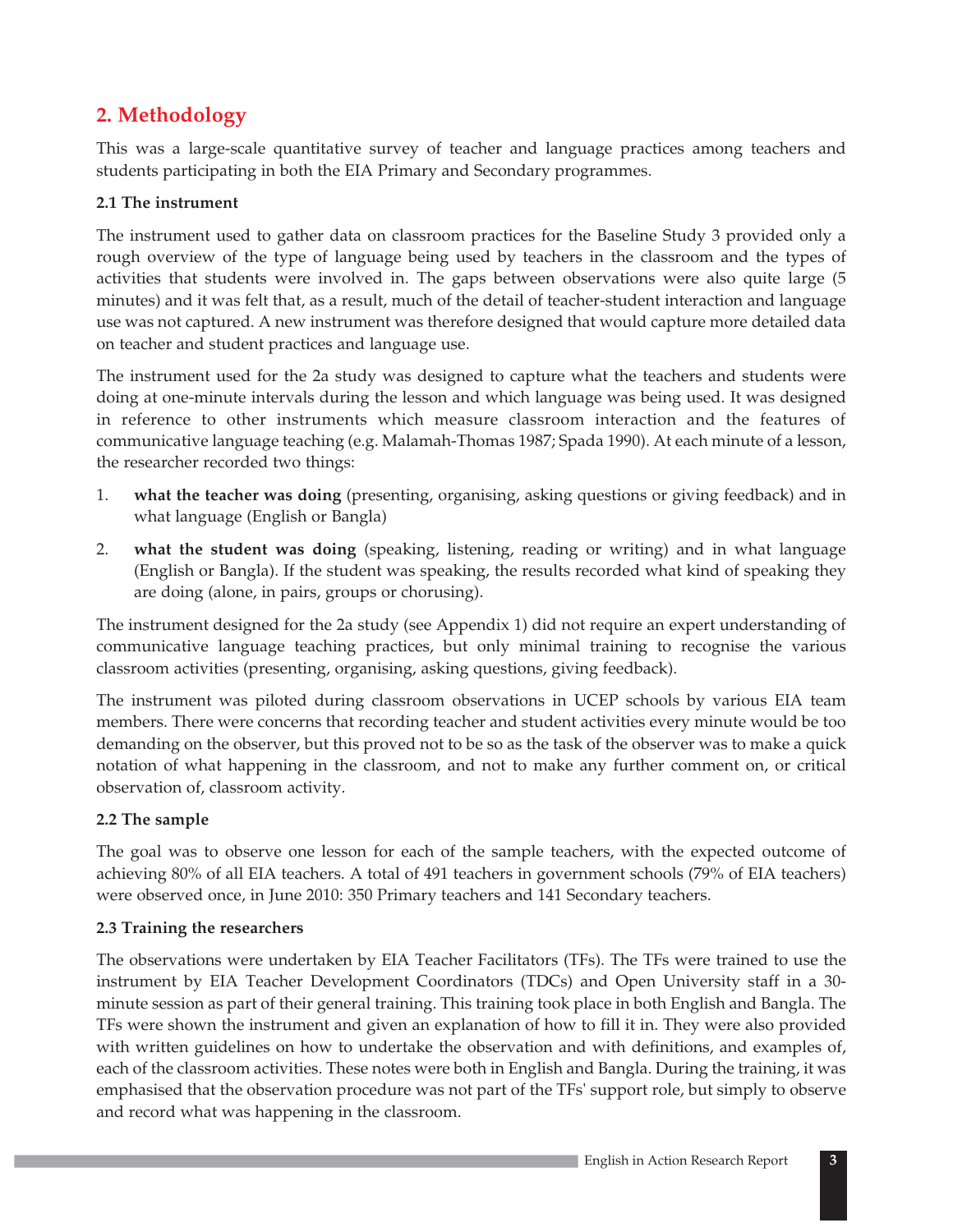# **2. Methodology**

This was a large-scale quantitative survey of teacher and language practices among teachers and students participating in both the EIA Primary and Secondary programmes.

### **2.1 The instrument**

The instrument used to gather data on classroom practices for the Baseline Study 3 provided only a rough overview of the type of language being used by teachers in the classroom and the types of activities that students were involved in. The gaps between observations were also quite large (5 minutes) and it was felt that, as a result, much of the detail of teacher-student interaction and language use was not captured. A new instrument was therefore designed that would capture more detailed data on teacher and student practices and language use.

The instrument used for the 2a study was designed to capture what the teachers and students were doing at one-minute intervals during the lesson and which language was being used. It was designed in reference to other instruments which measure classroom interaction and the features of communicative language teaching (e.g. Malamah-Thomas 1987; Spada 1990). At each minute of a lesson, the researcher recorded two things:

- 1. **what the teacher was doing** (presenting, organising, asking questions or giving feedback) and in what language (English or Bangla)
- 2. **what the student was doing** (speaking, listening, reading or writing) and in what language (English or Bangla). If the student was speaking, the results recorded what kind of speaking they are doing (alone, in pairs, groups or chorusing).

The instrument designed for the 2a study (see Appendix 1) did not require an expert understanding of communicative language teaching practices, but only minimal training to recognise the various classroom activities (presenting, organising, asking questions, giving feedback).

The instrument was piloted during classroom observations in UCEP schools by various EIA team members. There were concerns that recording teacher and student activities every minute would be too demanding on the observer, but this proved not to be so as the task of the observer was to make a quick notation of what happening in the classroom, and not to make any further comment on, or critical observation of, classroom activity.

### **2.2 The sample**

The goal was to observe one lesson for each of the sample teachers, with the expected outcome of achieving 80% of all EIA teachers. A total of 491 teachers in government schools (79% of EIA teachers) were observed once, in June 2010: 350 Primary teachers and 141 Secondary teachers.

### **2.3 Training the researchers**

The observations were undertaken by EIA Teacher Facilitators (TFs). The TFs were trained to use the instrument by EIA Teacher Development Coordinators (TDCs) and Open University staff in a 30 minute session as part of their general training. This training took place in both English and Bangla. The TFs were shown the instrument and given an explanation of how to fill it in. They were also provided with written guidelines on how to undertake the observation and with definitions, and examples of, each of the classroom activities. These notes were both in English and Bangla. During the training, it was emphasised that the observation procedure was not part of the TFs' support role, but simply to observe and record what was happening in the classroom.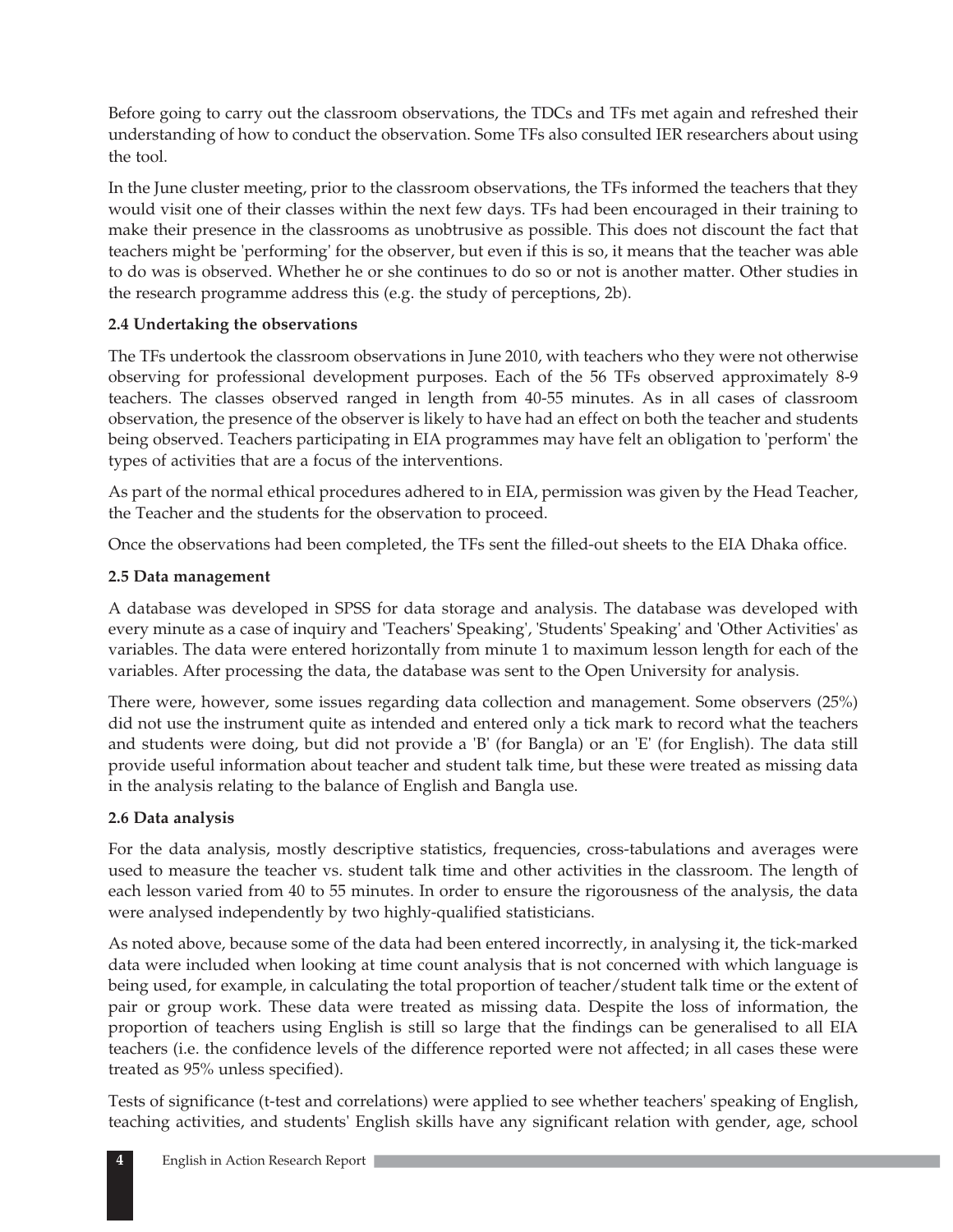Before going to carry out the classroom observations, the TDCs and TFs met again and refreshed their understanding of how to conduct the observation. Some TFs also consulted IER researchers about using the tool.

In the June cluster meeting, prior to the classroom observations, the TFs informed the teachers that they would visit one of their classes within the next few days. TFs had been encouraged in their training to make their presence in the classrooms as unobtrusive as possible. This does not discount the fact that teachers might be 'performing' for the observer, but even if this is so, it means that the teacher was able to do was is observed. Whether he or she continues to do so or not is another matter. Other studies in the research programme address this (e.g. the study of perceptions, 2b).

### **2.4 Undertaking the observations**

The TFs undertook the classroom observations in June 2010, with teachers who they were not otherwise observing for professional development purposes. Each of the 56 TFs observed approximately 8-9 teachers. The classes observed ranged in length from 40-55 minutes. As in all cases of classroom observation, the presence of the observer is likely to have had an effect on both the teacher and students being observed. Teachers participating in EIA programmes may have felt an obligation to 'perform' the types of activities that are a focus of the interventions.

As part of the normal ethical procedures adhered to in EIA, permission was given by the Head Teacher, the Teacher and the students for the observation to proceed.

Once the observations had been completed, the TFs sent the filled-out sheets to the EIA Dhaka office.

### **2.5 Data management**

A database was developed in SPSS for data storage and analysis. The database was developed with every minute as a case of inquiry and 'Teachers' Speaking', 'Students' Speaking' and 'Other Activities' as variables. The data were entered horizontally from minute 1 to maximum lesson length for each of the variables. After processing the data, the database was sent to the Open University for analysis.

There were, however, some issues regarding data collection and management. Some observers (25%) did not use the instrument quite as intended and entered only a tick mark to record what the teachers and students were doing, but did not provide a 'B' (for Bangla) or an 'E' (for English). The data still provide useful information about teacher and student talk time, but these were treated as missing data in the analysis relating to the balance of English and Bangla use.

### **2.6 Data analysis**

For the data analysis, mostly descriptive statistics, frequencies, cross-tabulations and averages were used to measure the teacher vs. student talk time and other activities in the classroom. The length of each lesson varied from 40 to 55 minutes. In order to ensure the rigorousness of the analysis, the data were analysed independently by two highly-qualified statisticians.

As noted above, because some of the data had been entered incorrectly, in analysing it, the tick-marked data were included when looking at time count analysis that is not concerned with which language is being used, for example, in calculating the total proportion of teacher/student talk time or the extent of pair or group work. These data were treated as missing data. Despite the loss of information, the proportion of teachers using English is still so large that the findings can be generalised to all EIA teachers (i.e. the confidence levels of the difference reported were not affected; in all cases these were treated as 95% unless specified).

Tests of significance (t-test and correlations) were applied to see whether teachers' speaking of English, teaching activities, and students' English skills have any significant relation with gender, age, school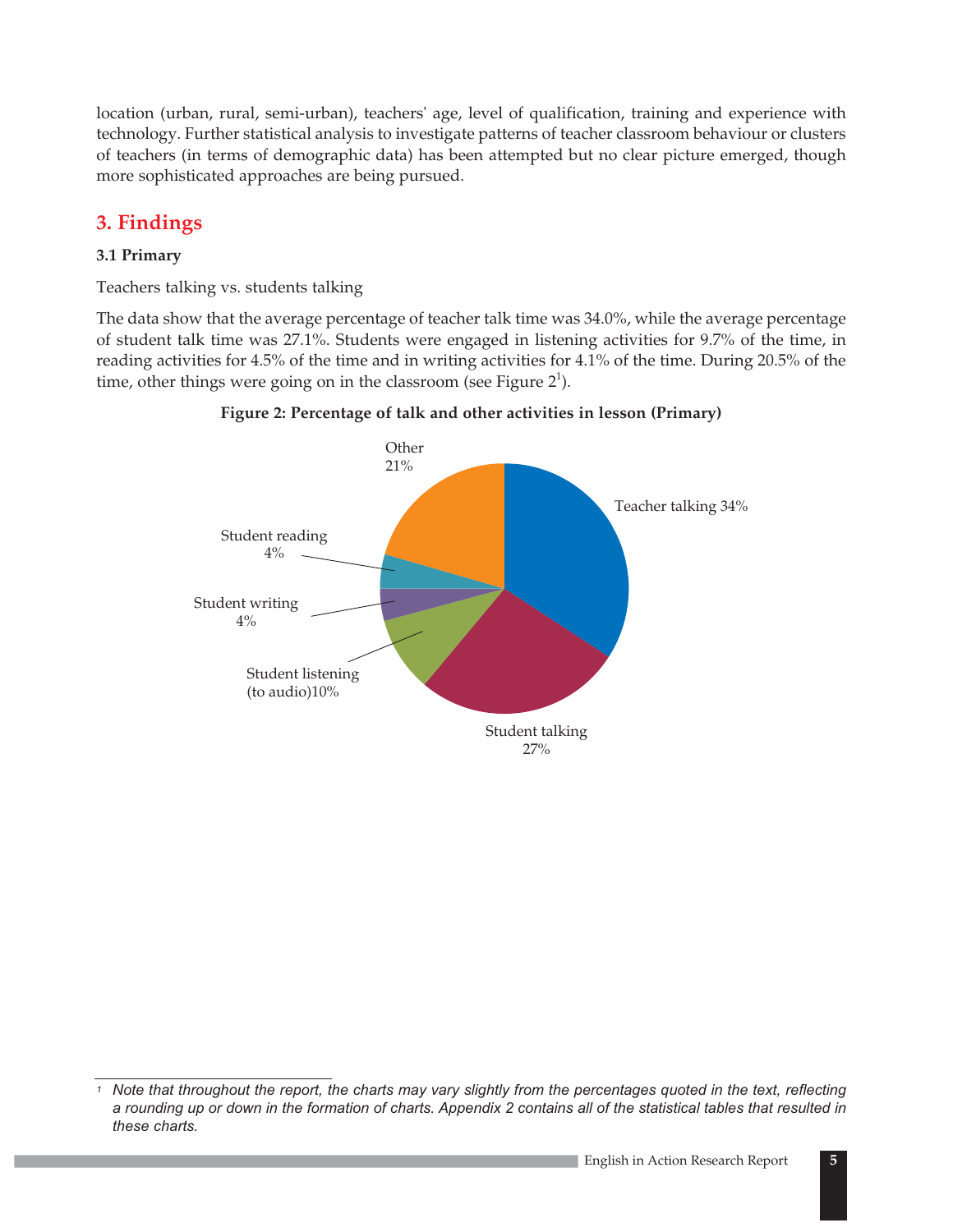location (urban, rural, semi-urban), teachers' age, level of qualification, training and experience with technology. Further statistical analysis to investigate patterns of teacher classroom behaviour or clusters of teachers (in terms of demographic data) has been attempted but no clear picture emerged, though more sophisticated approaches are being pursued.

# **3. Findings**

### **3.1 Primary**

Teachers talking vs. students talking

The data show that the average percentage of teacher talk time was 34.0%, while the average percentage of student talk time was 27.1%. Students were engaged in listening activities for 9.7% of the time, in reading activities for 4.5% of the time and in writing activities for 4.1% of the time. During 20.5% of the time, other things were going on in the classroom (see Figure  $2^1$ ).





*<sup>1</sup> Note that throughout the report, the charts may vary slightly from the percentages quoted in the text, reflecting a rounding up or down in the formation of charts. Appendix 2 contains all of the statistical tables that resulted in these charts.*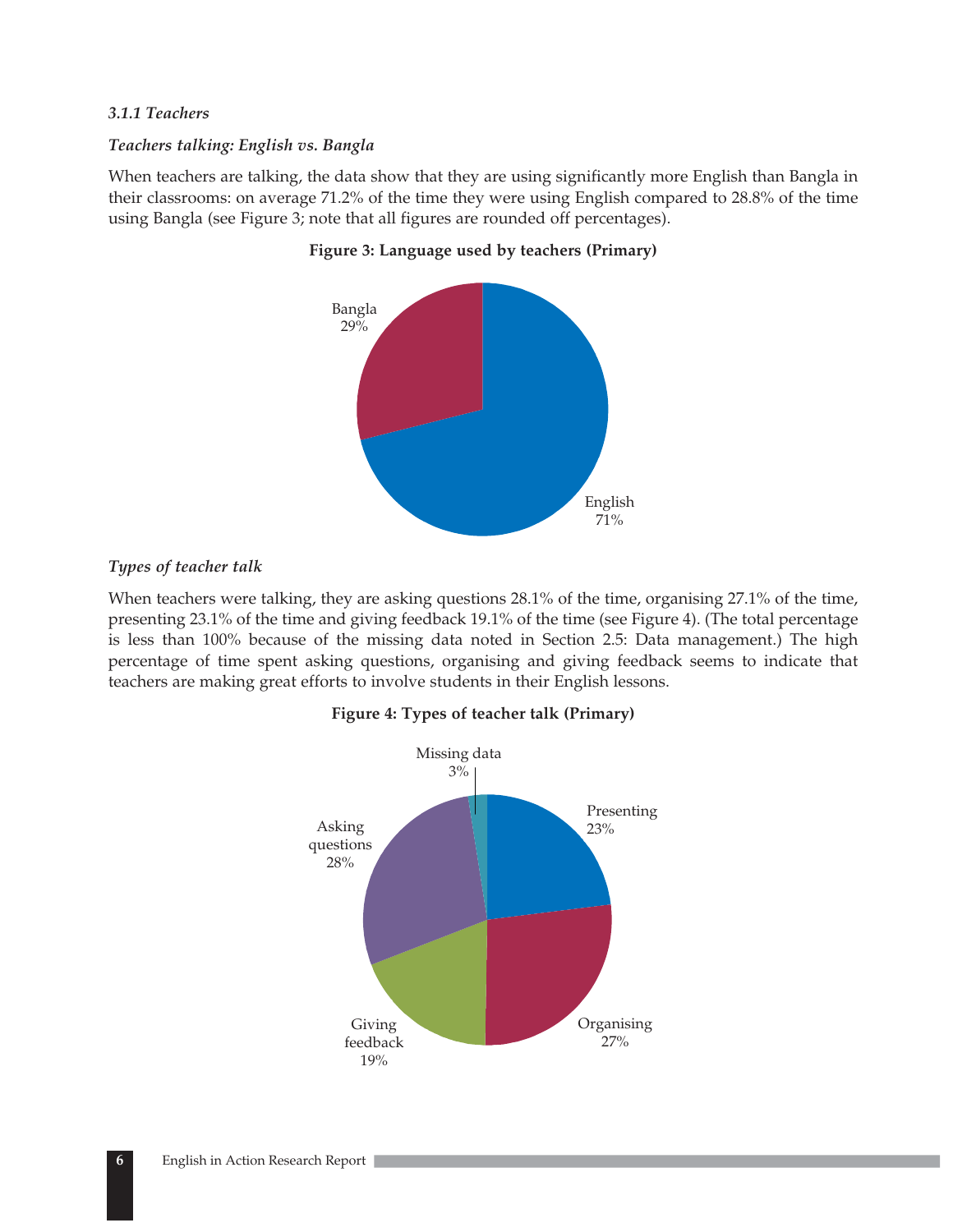### *3.1.1 Teachers*

### *Teachers talking: English vs. Bangla*

When teachers are talking, the data show that they are using significantly more English than Bangla in their classrooms: on average 71.2% of the time they were using English compared to 28.8% of the time using Bangla (see Figure 3; note that all figures are rounded off percentages).



### **Figure 3: Language used by teachers (Primary)**

### *Types of teacher talk*

When teachers were talking, they are asking questions 28.1% of the time, organising 27.1% of the time, presenting 23.1% of the time and giving feedback 19.1% of the time (see Figure 4). (The total percentage is less than 100% because of the missing data noted in Section 2.5: Data management.) The high percentage of time spent asking questions, organising and giving feedback seems to indicate that teachers are making great efforts to involve students in their English lessons.

### **Figure 4: Types of teacher talk (Primary)**

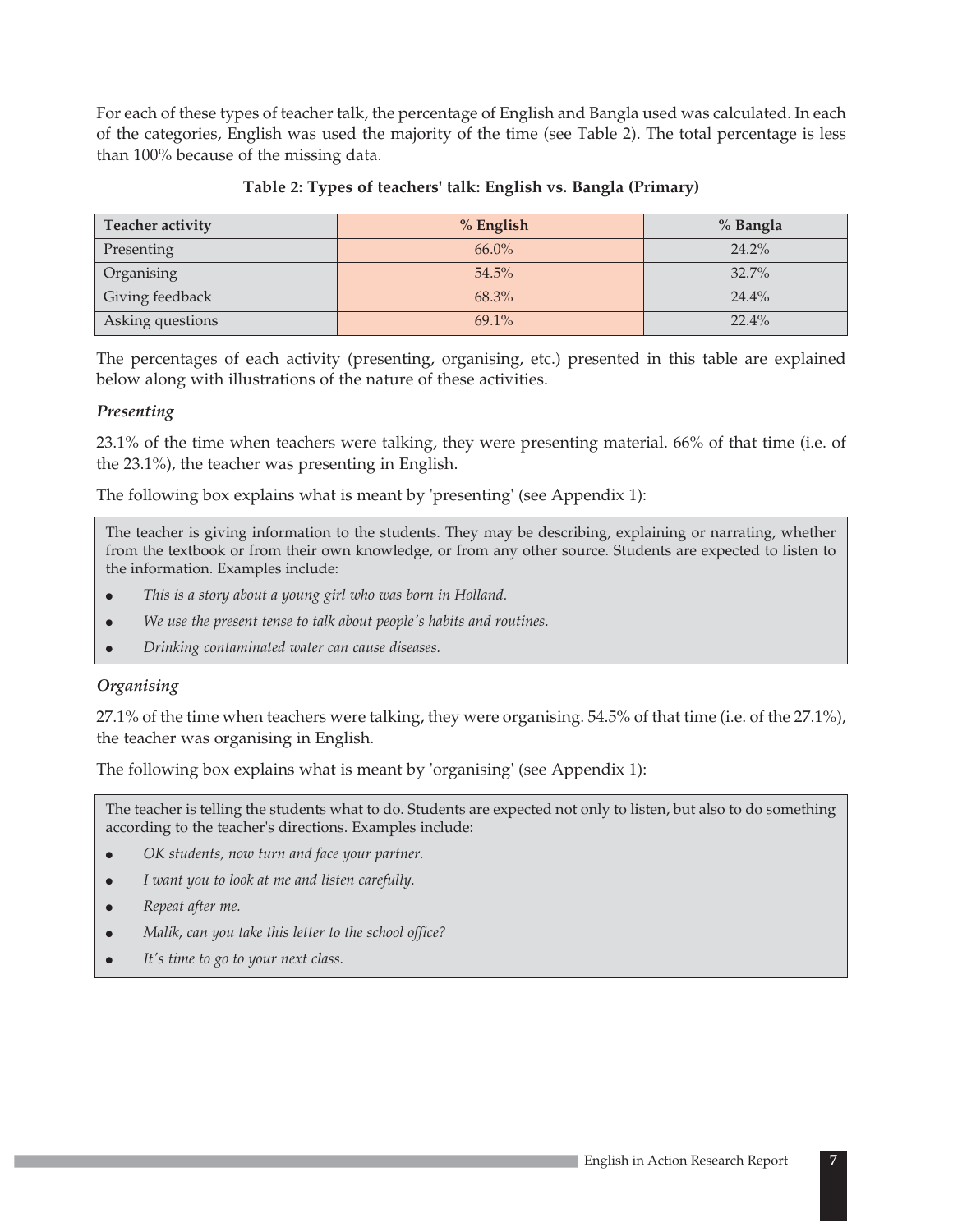For each of these types of teacher talk, the percentage of English and Bangla used was calculated. In each of the categories, English was used the majority of the time (see Table 2). The total percentage is less than 100% because of the missing data.

| <b>Teacher activity</b> | $%$ English | % Bangla |
|-------------------------|-------------|----------|
| Presenting              | $66.0\%$    | 24.2%    |
| Organising              | $54.5\%$    | 32.7%    |
| Giving feedback         | 68.3%       | 24.4%    |
| Asking questions        | $69.1\%$    | $22.4\%$ |

### **Table 2: Types of teachers' talk: English vs. Bangla (Primary)**

The percentages of each activity (presenting, organising, etc.) presented in this table are explained below along with illustrations of the nature of these activities.

### *Presenting*

23.1% of the time when teachers were talking, they were presenting material. 66% of that time (i.e. of the 23.1%), the teacher was presenting in English.

The following box explains what is meant by 'presenting' (see Appendix 1):

The teacher is giving information to the students. They may be describing, explaining or narrating, whether from the textbook or from their own knowledge, or from any other source. Students are expected to listen to the information. Examples include:

- $\bullet$ *This is a story about a young girl who was born in Holland.*
- -*We use the present tense to talk about people's habits and routines.*
- $\bullet$ *Drinking contaminated water can cause diseases.*

### *Organising*

27.1% of the time when teachers were talking, they were organising. 54.5% of that time (i.e. of the 27.1%), the teacher was organising in English.

The following box explains what is meant by 'organising' (see Appendix 1):

The teacher is telling the students what to do. Students are expected not only to listen, but also to do something according to the teacher's directions. Examples include:

- $\bullet$ *OK students, now turn and face your partner.*
- -*I want you to look at me and listen carefully.*
- $\bullet$ *Repeat after me.*
- $\bullet$ *Malik, can you take this letter to the school office?*
- $\bullet$ *It's time to go to your next class.*

**7**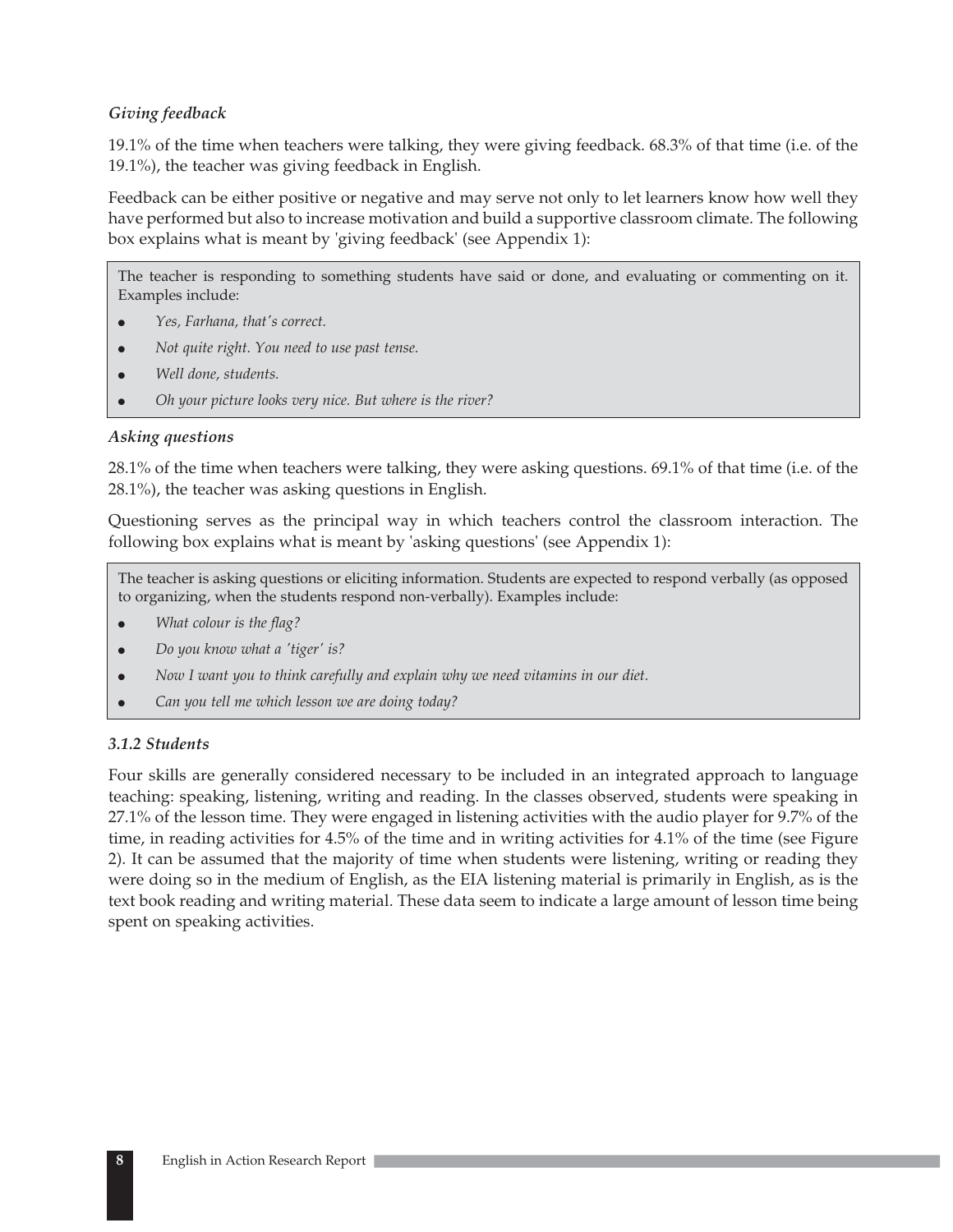### *Giving feedback*

19.1% of the time when teachers were talking, they were giving feedback. 68.3% of that time (i.e. of the 19.1%), the teacher was giving feedback in English.

Feedback can be either positive or negative and may serve not only to let learners know how well they have performed but also to increase motivation and build a supportive classroom climate. The following box explains what is meant by 'giving feedback' (see Appendix 1):

The teacher is responding to something students have said or done, and evaluating or commenting on it. Examples include:

- $\bullet$ *Yes, Farhana, that's correct.*
- $\bullet$ *Not quite right. You need to use past tense.*
- $\bullet$ *Well done, students.*
- -*Oh your picture looks very nice. But where is the river?*

### *Asking questions*

28.1% of the time when teachers were talking, they were asking questions. 69.1% of that time (i.e. of the 28.1%), the teacher was asking questions in English.

Questioning serves as the principal way in which teachers control the classroom interaction. The following box explains what is meant by 'asking questions' (see Appendix 1):

The teacher is asking questions or eliciting information. Students are expected to respond verbally (as opposed to organizing, when the students respond non-verbally). Examples include:

- $\bullet$ *What colour is the flag?*
- $\bullet$ *Do you know what a 'tiger' is?*
- $\bullet$ *Now I want you to think carefully and explain why we need vitamins in our diet.*
- 0  $\bullet$ *Can you tell me which lesson we are doing today?*

### *3.1.2 Students*

Four skills are generally considered necessary to be included in an integrated approach to language teaching: speaking, listening, writing and reading. In the classes observed, students were speaking in 27.1% of the lesson time. They were engaged in listening activities with the audio player for 9.7% of the time, in reading activities for 4.5% of the time and in writing activities for 4.1% of the time (see Figure 2). It can be assumed that the majority of time when students were listening, writing or reading they were doing so in the medium of English, as the EIA listening material is primarily in English, as is the text book reading and writing material. These data seem to indicate a large amount of lesson time being spent on speaking activities.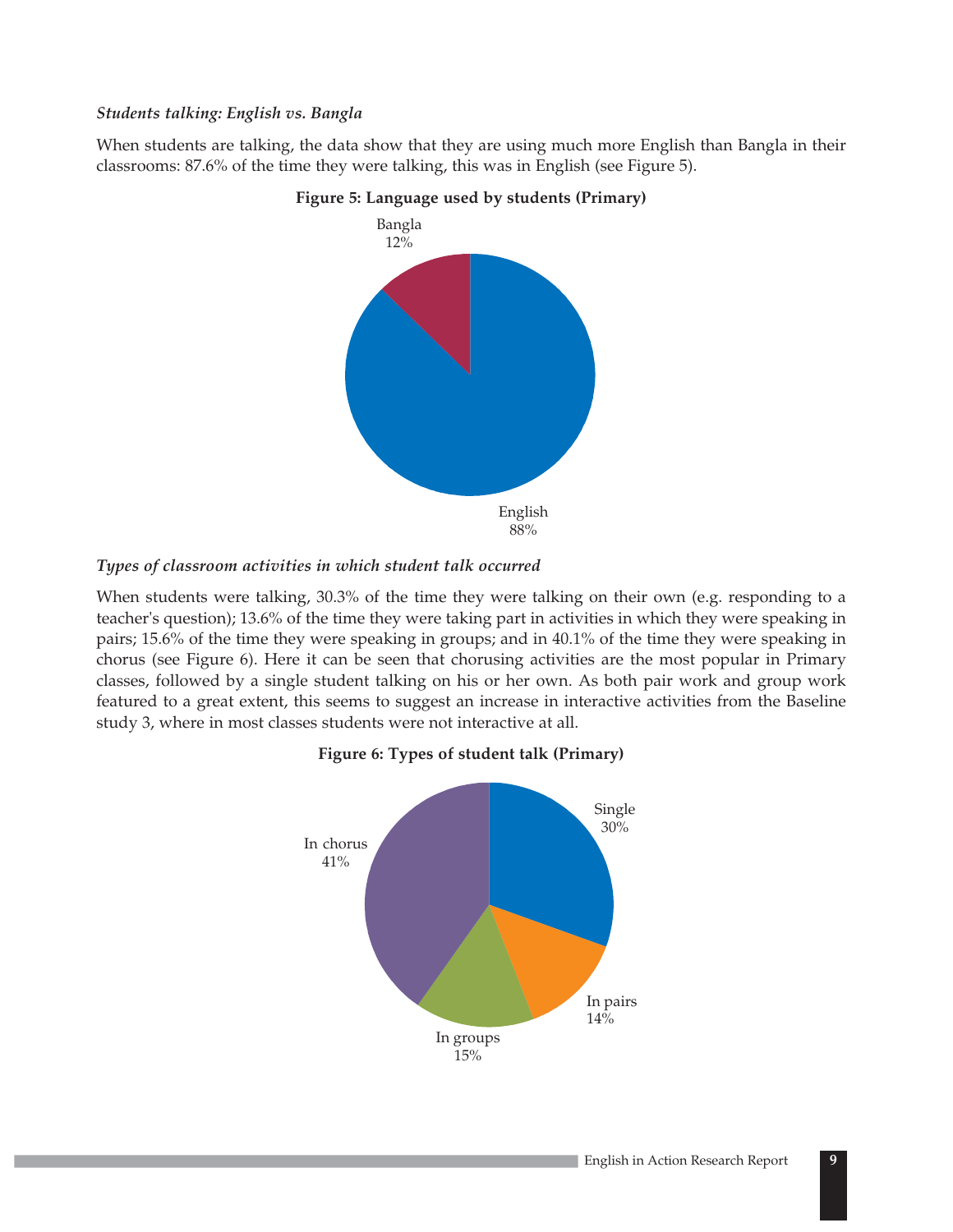### *Students talking: English vs. Bangla*

When students are talking, the data show that they are using much more English than Bangla in their classrooms: 87.6% of the time they were talking, this was in English (see Figure 5).





### *Types of classroom activities in which student talk occurred*

When students were talking, 30.3% of the time they were talking on their own (e.g. responding to a teacher's question); 13.6% of the time they were taking part in activities in which they were speaking in pairs; 15.6% of the time they were speaking in groups; and in 40.1% of the time they were speaking in chorus (see Figure 6). Here it can be seen that chorusing activities are the most popular in Primary classes, followed by a single student talking on his or her own. As both pair work and group work featured to a great extent, this seems to suggest an increase in interactive activities from the Baseline study 3, where in most classes students were not interactive at all.



### **Figure 6: Types of student talk (Primary)**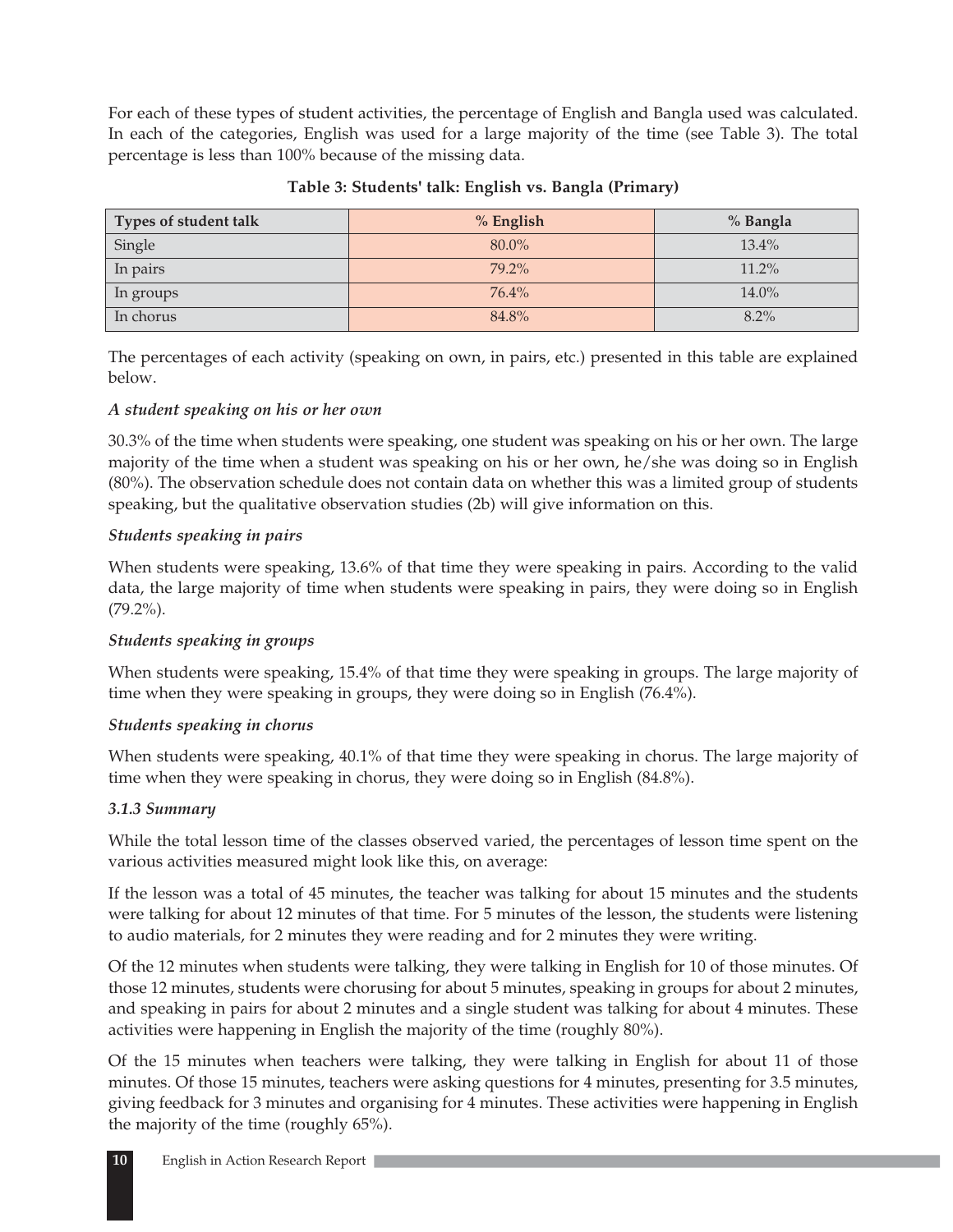For each of these types of student activities, the percentage of English and Bangla used was calculated. In each of the categories, English was used for a large majority of the time (see Table 3). The total percentage is less than 100% because of the missing data.

| Types of student talk | % English | % Bangla |
|-----------------------|-----------|----------|
| Single                | 80.0%     | $13.4\%$ |
| In pairs              | $79.2\%$  | 11.2%    |
| In groups             | 76.4%     | $14.0\%$ |
| In chorus             | 84.8%     | $8.2\%$  |

### **Table 3: Students' talk: English vs. Bangla (Primary)**

The percentages of each activity (speaking on own, in pairs, etc.) presented in this table are explained below.

### *A student speaking on his or her own*

30.3% of the time when students were speaking, one student was speaking on his or her own. The large majority of the time when a student was speaking on his or her own, he/she was doing so in English (80%). The observation schedule does not contain data on whether this was a limited group of students speaking, but the qualitative observation studies (2b) will give information on this.

### *Students speaking in pairs*

When students were speaking, 13.6% of that time they were speaking in pairs. According to the valid data, the large majority of time when students were speaking in pairs, they were doing so in English (79.2%).

### *Students speaking in groups*

When students were speaking, 15.4% of that time they were speaking in groups. The large majority of time when they were speaking in groups, they were doing so in English (76.4%).

### *Students speaking in chorus*

When students were speaking, 40.1% of that time they were speaking in chorus. The large majority of time when they were speaking in chorus, they were doing so in English (84.8%).

### *3.1.3 Summary*

While the total lesson time of the classes observed varied, the percentages of lesson time spent on the various activities measured might look like this, on average:

If the lesson was a total of 45 minutes, the teacher was talking for about 15 minutes and the students were talking for about 12 minutes of that time. For 5 minutes of the lesson, the students were listening to audio materials, for 2 minutes they were reading and for 2 minutes they were writing.

Of the 12 minutes when students were talking, they were talking in English for 10 of those minutes. Of those 12 minutes, students were chorusing for about 5 minutes, speaking in groups for about 2 minutes, and speaking in pairs for about 2 minutes and a single student was talking for about 4 minutes. These activities were happening in English the majority of the time (roughly 80%).

Of the 15 minutes when teachers were talking, they were talking in English for about 11 of those minutes. Of those 15 minutes, teachers were asking questions for 4 minutes, presenting for 3.5 minutes, giving feedback for 3 minutes and organising for 4 minutes. These activities were happening in English the majority of the time (roughly 65%).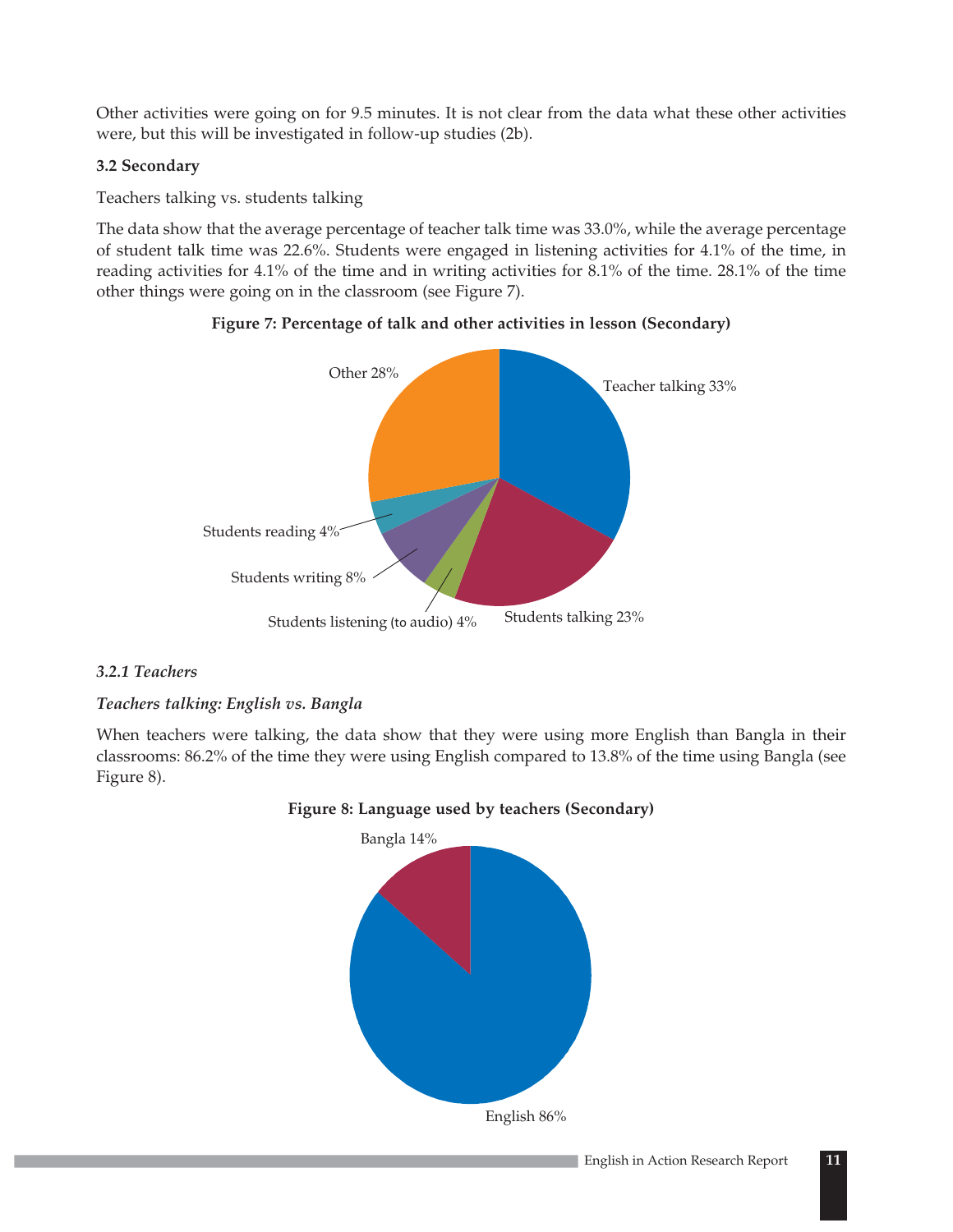Other activities were going on for 9.5 minutes. It is not clear from the data what these other activities were, but this will be investigated in follow-up studies (2b).

### **3.2 Secondary**

Teachers talking vs. students talking

The data show that the average percentage of teacher talk time was 33.0%, while the average percentage of student talk time was 22.6%. Students were engaged in listening activities for 4.1% of the time, in reading activities for 4.1% of the time and in writing activities for 8.1% of the time. 28.1% of the time other things were going on in the classroom (see Figure 7).





### *3.2.1 Teachers*

### *Teachers talking: English vs. Bangla*

When teachers were talking, the data show that they were using more English than Bangla in their classrooms: 86.2% of the time they were using English compared to 13.8% of the time using Bangla (see Figure 8).



### **Figure 8: Language used by teachers (Secondary)**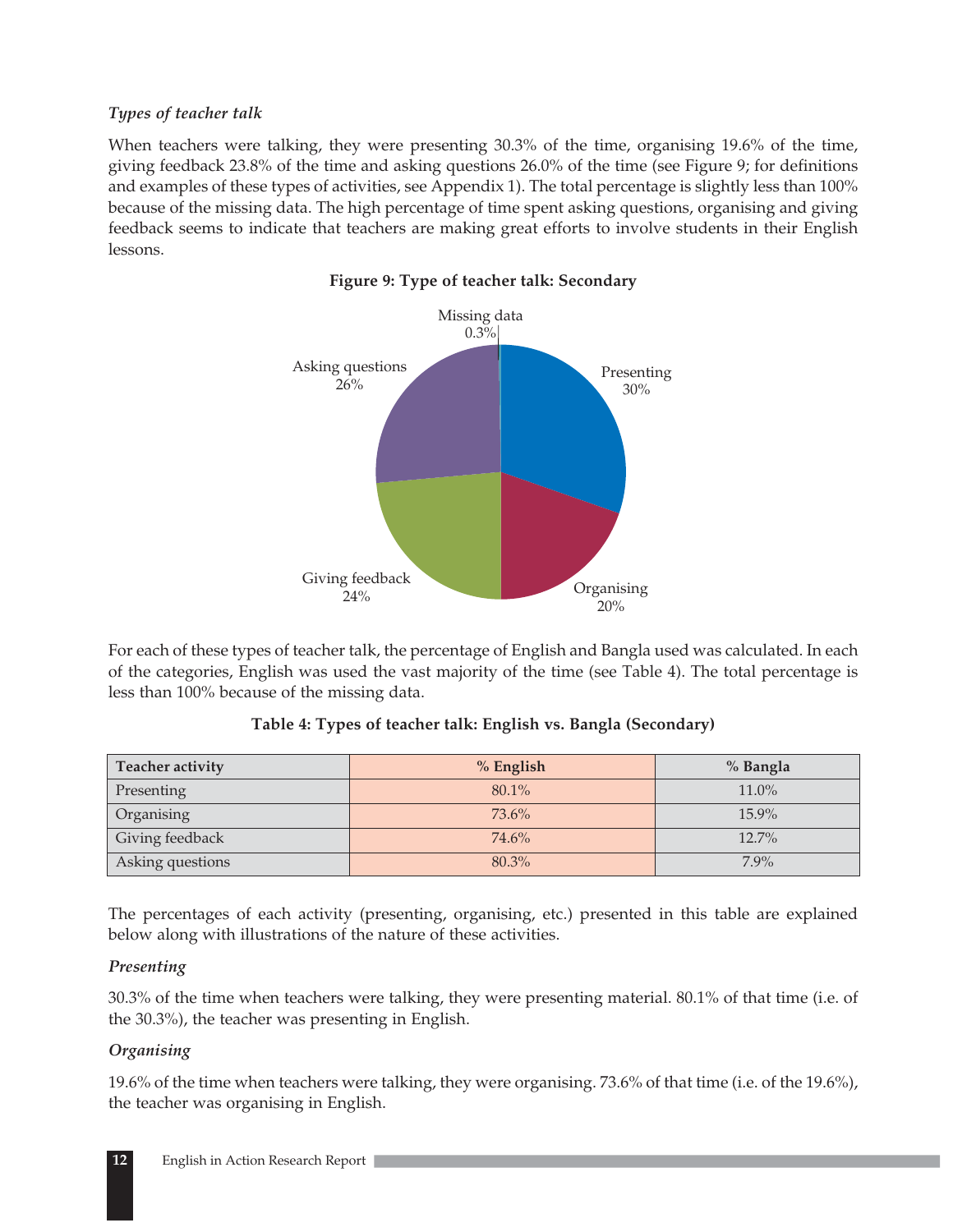### *Types of teacher talk*

When teachers were talking, they were presenting 30.3% of the time, organising 19.6% of the time, giving feedback 23.8% of the time and asking questions 26.0% of the time (see Figure 9; for definitions and examples of these types of activities, see Appendix 1). The total percentage is slightly less than 100% because of the missing data. The high percentage of time spent asking questions, organising and giving feedback seems to indicate that teachers are making great efforts to involve students in their English lessons.



### **Figure 9: Type of teacher talk: Secondary**

For each of these types of teacher talk, the percentage of English and Bangla used was calculated. In each of the categories, English was used the vast majority of the time (see Table 4). The total percentage is less than 100% because of the missing data.

### **Table 4: Types of teacher talk: English vs. Bangla (Secondary)**

| Teacher activity | $%$ English | % Bangla |
|------------------|-------------|----------|
| Presenting       | 80.1%       | 11.0%    |
| Organising       | 73.6%       | 15.9%    |
| Giving feedback  | 74.6%       | $12.7\%$ |
| Asking questions | 80.3%       | $7.9\%$  |

The percentages of each activity (presenting, organising, etc.) presented in this table are explained below along with illustrations of the nature of these activities.

### *Presenting*

30.3% of the time when teachers were talking, they were presenting material. 80.1% of that time (i.e. of the 30.3%), the teacher was presenting in English.

### *Organising*

19.6% of the time when teachers were talking, they were organising. 73.6% of that time (i.e. of the 19.6%), the teacher was organising in English.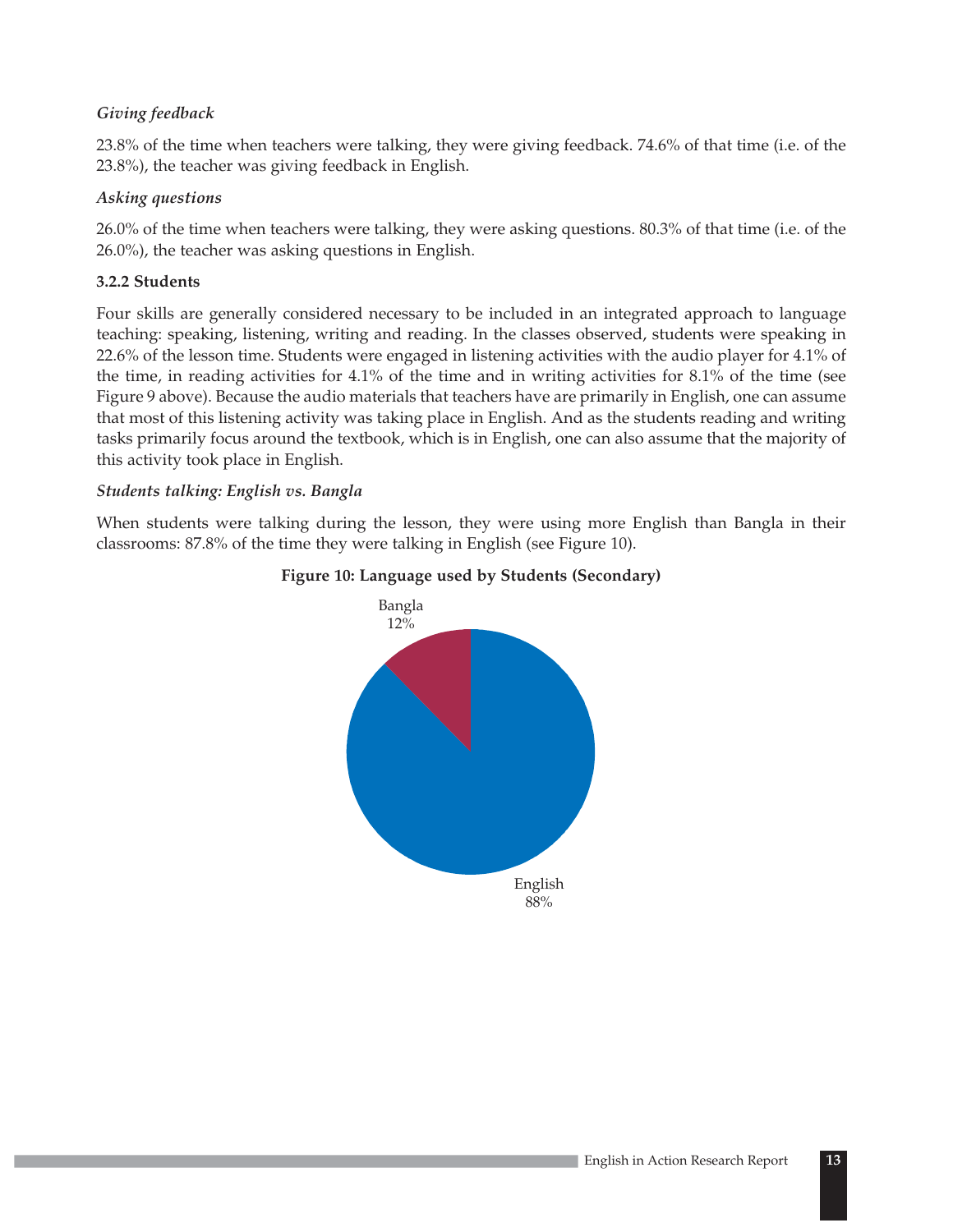### *Giving feedback*

23.8% of the time when teachers were talking, they were giving feedback. 74.6% of that time (i.e. of the 23.8%), the teacher was giving feedback in English.

### *Asking questions*

26.0% of the time when teachers were talking, they were asking questions. 80.3% of that time (i.e. of the 26.0%), the teacher was asking questions in English.

### **3.2.2 Students**

Four skills are generally considered necessary to be included in an integrated approach to language teaching: speaking, listening, writing and reading. In the classes observed, students were speaking in 22.6% of the lesson time. Students were engaged in listening activities with the audio player for 4.1% of the time, in reading activities for 4.1% of the time and in writing activities for 8.1% of the time (see Figure 9 above). Because the audio materials that teachers have are primarily in English, one can assume that most of this listening activity was taking place in English. And as the students reading and writing tasks primarily focus around the textbook, which is in English, one can also assume that the majority of this activity took place in English.

### *Students talking: English vs. Bangla*

When students were talking during the lesson, they were using more English than Bangla in their classrooms: 87.8% of the time they were talking in English (see Figure 10).



### **Figure 10: Language used by Students (Secondary)**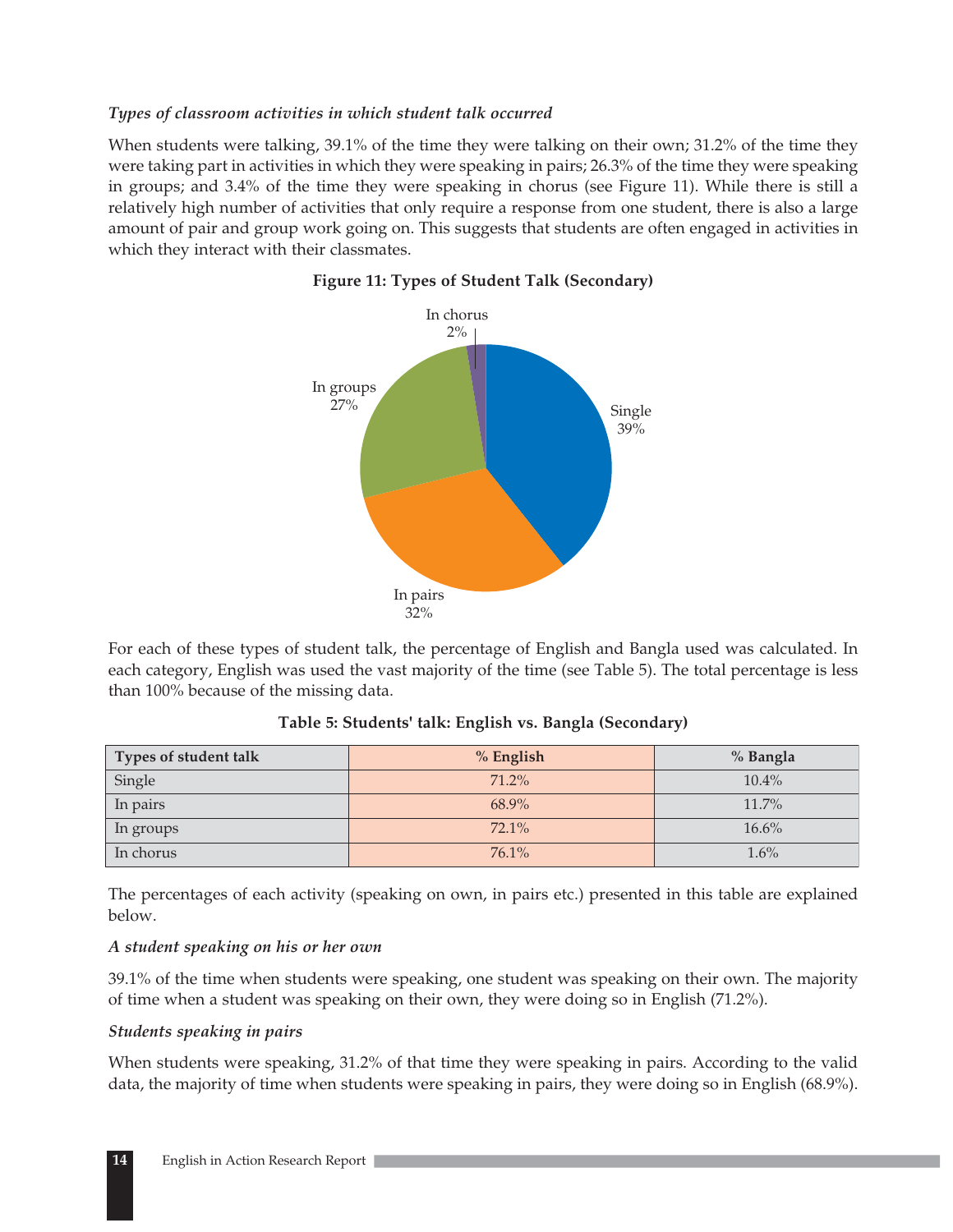### *Types of classroom activities in which student talk occurred*

When students were talking, 39.1% of the time they were talking on their own; 31.2% of the time they were taking part in activities in which they were speaking in pairs; 26.3% of the time they were speaking in groups; and 3.4% of the time they were speaking in chorus (see Figure 11). While there is still a relatively high number of activities that only require a response from one student, there is also a large amount of pair and group work going on. This suggests that students are often engaged in activities in which they interact with their classmates.



### **Figure 11: Types of Student Talk (Secondary)**

For each of these types of student talk, the percentage of English and Bangla used was calculated. In each category, English was used the vast majority of the time (see Table 5). The total percentage is less than 100% because of the missing data.

| Types of student talk | % English | % Bangla |
|-----------------------|-----------|----------|
| Single                | 71.2%     | $10.4\%$ |
| In pairs              | 68.9%     | $11.7\%$ |
| In groups             | $72.1\%$  | 16.6%    |
| In chorus             | 76.1%     | $1.6\%$  |

### **Table 5: Students' talk: English vs. Bangla (Secondary)**

The percentages of each activity (speaking on own, in pairs etc.) presented in this table are explained below.

### *A student speaking on his or her own*

39.1% of the time when students were speaking, one student was speaking on their own. The majority of time when a student was speaking on their own, they were doing so in English (71.2%).

### *Students speaking in pairs*

When students were speaking, 31.2% of that time they were speaking in pairs. According to the valid data, the majority of time when students were speaking in pairs, they were doing so in English (68.9%).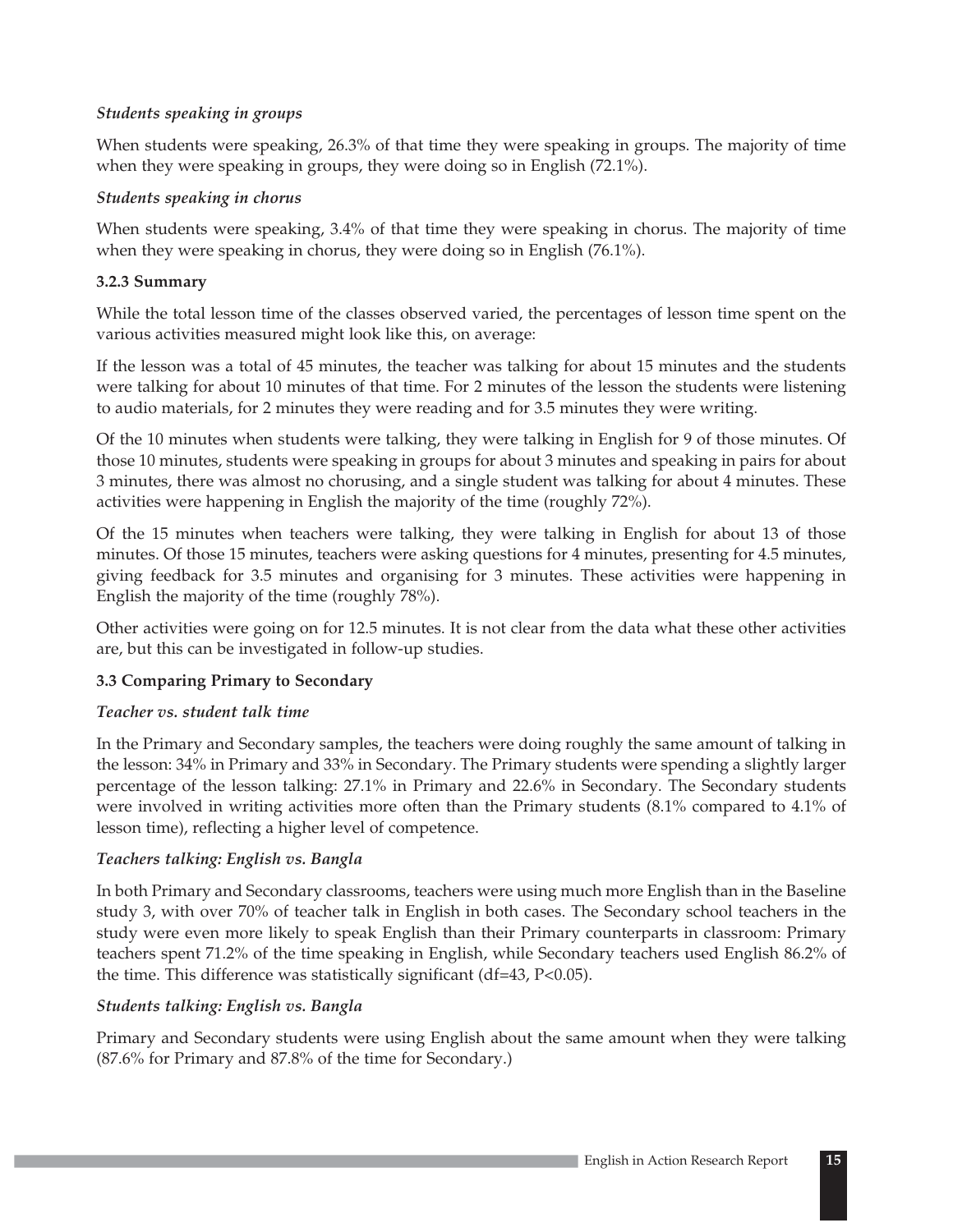### *Students speaking in groups*

When students were speaking, 26.3% of that time they were speaking in groups. The majority of time when they were speaking in groups, they were doing so in English (72.1%).

### *Students speaking in chorus*

When students were speaking, 3.4% of that time they were speaking in chorus. The majority of time when they were speaking in chorus, they were doing so in English (76.1%).

### **3.2.3 Summary**

While the total lesson time of the classes observed varied, the percentages of lesson time spent on the various activities measured might look like this, on average:

If the lesson was a total of 45 minutes, the teacher was talking for about 15 minutes and the students were talking for about 10 minutes of that time. For 2 minutes of the lesson the students were listening to audio materials, for 2 minutes they were reading and for 3.5 minutes they were writing.

Of the 10 minutes when students were talking, they were talking in English for 9 of those minutes. Of those 10 minutes, students were speaking in groups for about 3 minutes and speaking in pairs for about 3 minutes, there was almost no chorusing, and a single student was talking for about 4 minutes. These activities were happening in English the majority of the time (roughly 72%).

Of the 15 minutes when teachers were talking, they were talking in English for about 13 of those minutes. Of those 15 minutes, teachers were asking questions for 4 minutes, presenting for 4.5 minutes, giving feedback for 3.5 minutes and organising for 3 minutes. These activities were happening in English the majority of the time (roughly 78%).

Other activities were going on for 12.5 minutes. It is not clear from the data what these other activities are, but this can be investigated in follow-up studies.

### **3.3 Comparing Primary to Secondary**

### *Teacher vs. student talk time*

In the Primary and Secondary samples, the teachers were doing roughly the same amount of talking in the lesson: 34% in Primary and 33% in Secondary. The Primary students were spending a slightly larger percentage of the lesson talking: 27.1% in Primary and 22.6% in Secondary. The Secondary students were involved in writing activities more often than the Primary students (8.1% compared to 4.1% of lesson time), reflecting a higher level of competence.

### *Teachers talking: English vs. Bangla*

In both Primary and Secondary classrooms, teachers were using much more English than in the Baseline study 3, with over 70% of teacher talk in English in both cases. The Secondary school teachers in the study were even more likely to speak English than their Primary counterparts in classroom: Primary teachers spent 71.2% of the time speaking in English, while Secondary teachers used English 86.2% of the time. This difference was statistically significant (df=43, P<0.05).

### *Students talking: English vs. Bangla*

Primary and Secondary students were using English about the same amount when they were talking (87.6% for Primary and 87.8% of the time for Secondary.)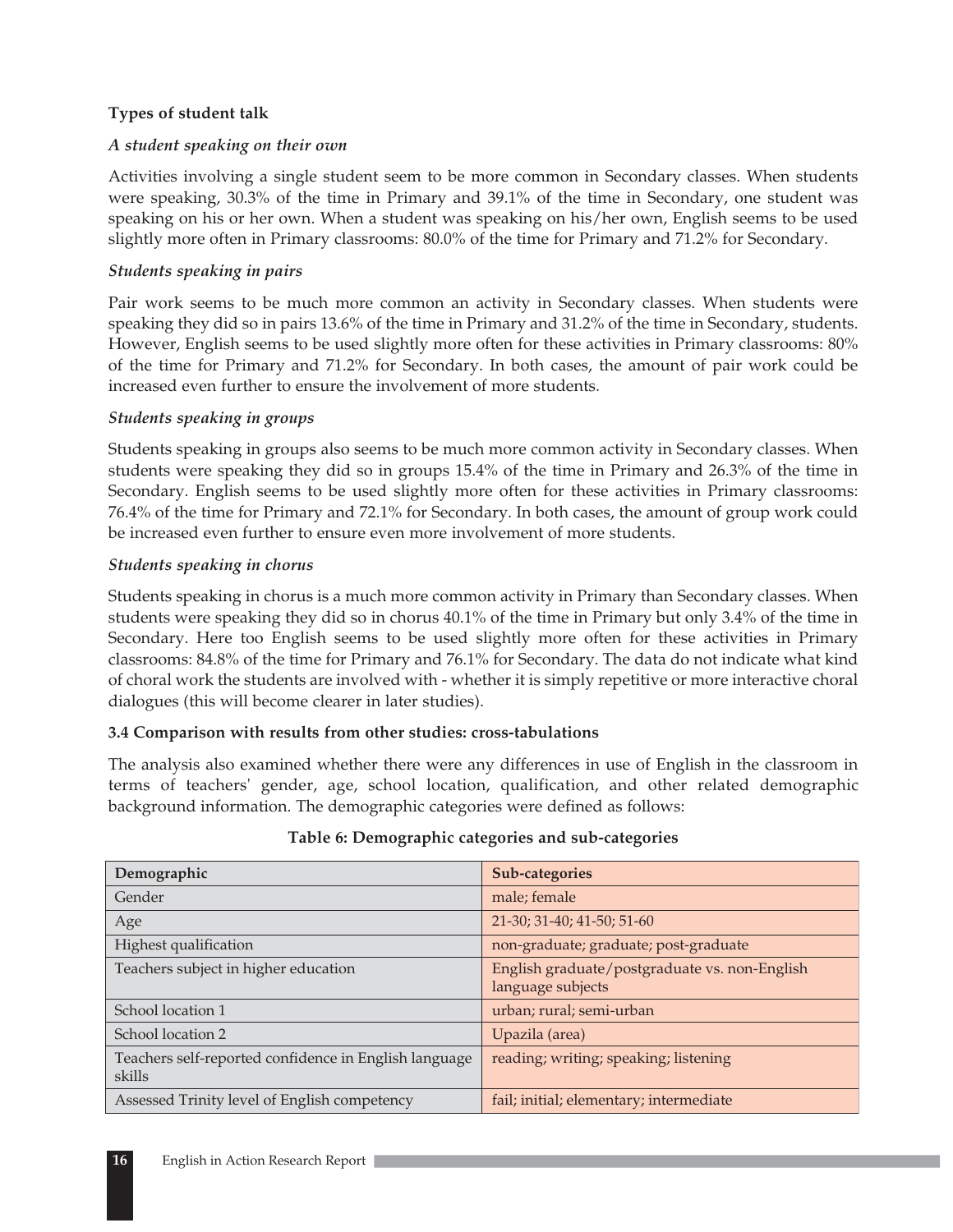### **Types of student talk**

### *A student speaking on their own*

Activities involving a single student seem to be more common in Secondary classes. When students were speaking, 30.3% of the time in Primary and 39.1% of the time in Secondary, one student was speaking on his or her own. When a student was speaking on his/her own, English seems to be used slightly more often in Primary classrooms: 80.0% of the time for Primary and 71.2% for Secondary.

### *Students speaking in pairs*

Pair work seems to be much more common an activity in Secondary classes. When students were speaking they did so in pairs 13.6% of the time in Primary and 31.2% of the time in Secondary, students. However, English seems to be used slightly more often for these activities in Primary classrooms: 80% of the time for Primary and 71.2% for Secondary. In both cases, the amount of pair work could be increased even further to ensure the involvement of more students.

### *Students speaking in groups*

Students speaking in groups also seems to be much more common activity in Secondary classes. When students were speaking they did so in groups 15.4% of the time in Primary and 26.3% of the time in Secondary. English seems to be used slightly more often for these activities in Primary classrooms: 76.4% of the time for Primary and 72.1% for Secondary. In both cases, the amount of group work could be increased even further to ensure even more involvement of more students.

### *Students speaking in chorus*

Students speaking in chorus is a much more common activity in Primary than Secondary classes. When students were speaking they did so in chorus 40.1% of the time in Primary but only 3.4% of the time in Secondary. Here too English seems to be used slightly more often for these activities in Primary classrooms: 84.8% of the time for Primary and 76.1% for Secondary. The data do not indicate what kind of choral work the students are involved with - whether it is simply repetitive or more interactive choral dialogues (this will become clearer in later studies).

### **3.4 Comparison with results from other studies: cross-tabulations**

The analysis also examined whether there were any differences in use of English in the classroom in terms of teachers' gender, age, school location, qualification, and other related demographic background information. The demographic categories were defined as follows:

| Demographic                                                     | Sub-categories                                                     |
|-----------------------------------------------------------------|--------------------------------------------------------------------|
| Gender                                                          | male; female                                                       |
| Age                                                             | 21-30; 31-40; 41-50; 51-60                                         |
| Highest qualification                                           | non-graduate; graduate; post-graduate                              |
| Teachers subject in higher education                            | English graduate/postgraduate vs. non-English<br>language subjects |
| School location 1                                               | urban; rural; semi-urban                                           |
| School location 2                                               | Upazila (area)                                                     |
| Teachers self-reported confidence in English language<br>skills | reading; writing; speaking; listening                              |
| Assessed Trinity level of English competency                    | fail; initial; elementary; intermediate                            |

### **Table 6: Demographic categories and sub-categories**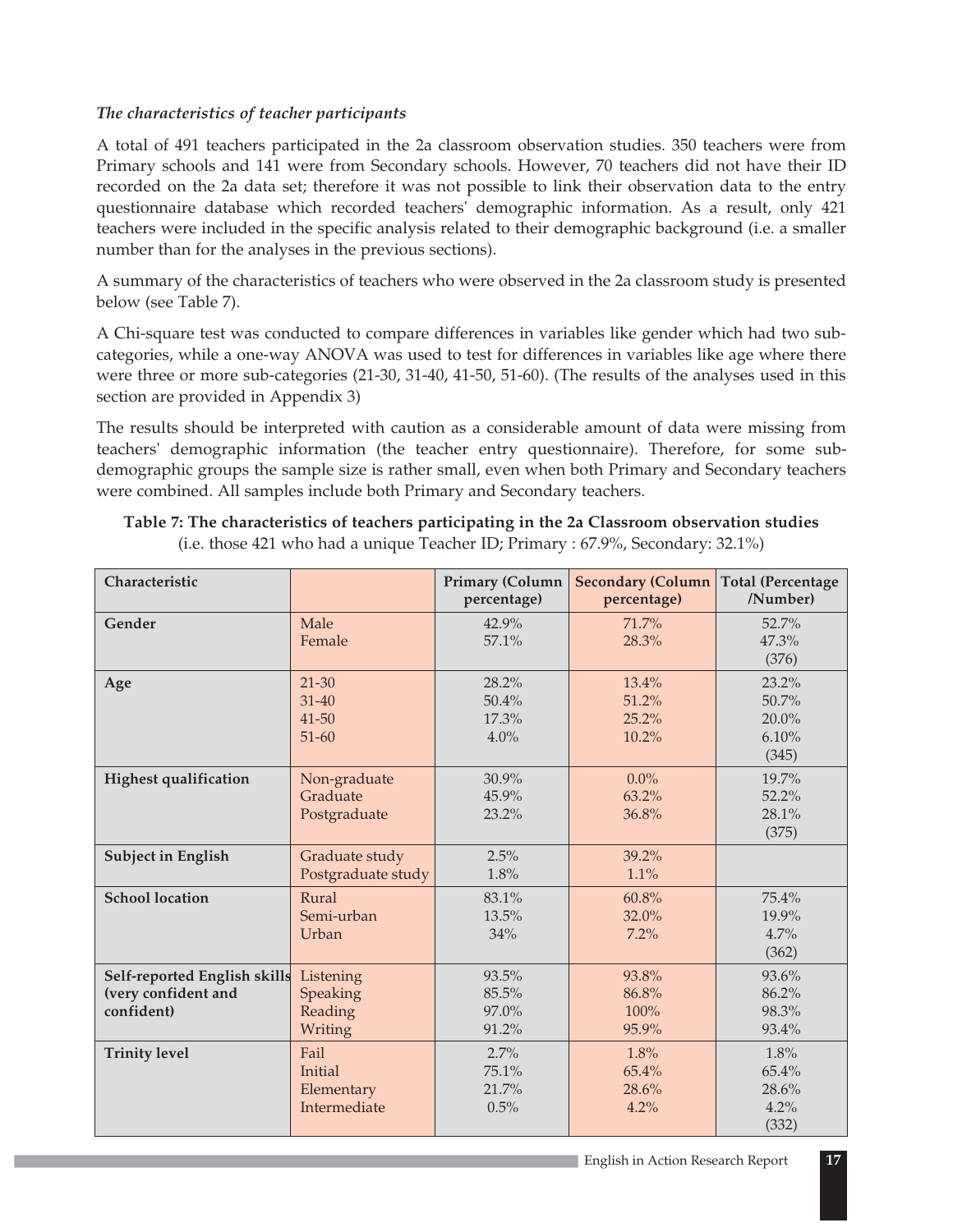### *The characteristics of teacher participants*

A total of 491 teachers participated in the 2a classroom observation studies. 350 teachers were from Primary schools and 141 were from Secondary schools. However, 70 teachers did not have their ID recorded on the 2a data set; therefore it was not possible to link their observation data to the entry questionnaire database which recorded teachers' demographic information. As a result, only 421 teachers were included in the specific analysis related to their demographic background (i.e. a smaller number than for the analyses in the previous sections).

A summary of the characteristics of teachers who were observed in the 2a classroom study is presented below (see Table 7).

A Chi-square test was conducted to compare differences in variables like gender which had two subcategories, while a one-way ANOVA was used to test for differences in variables like age where there were three or more sub-categories (21-30, 31-40, 41-50, 51-60). (The results of the analyses used in this section are provided in Appendix 3)

The results should be interpreted with caution as a considerable amount of data were missing from teachers' demographic information (the teacher entry questionnaire). Therefore, for some subdemographic groups the sample size is rather small, even when both Primary and Secondary teachers were combined. All samples include both Primary and Secondary teachers.

| Characteristic                                                    |                                               | <b>Primary (Column</b><br>percentage) | <b>Secondary (Column</b><br>percentage) | <b>Total (Percentage</b><br>/Number)      |
|-------------------------------------------------------------------|-----------------------------------------------|---------------------------------------|-----------------------------------------|-------------------------------------------|
| Gender                                                            | Male<br>Female                                | 42.9%<br>57.1%                        | 71.7%<br>28.3%                          | 52.7%<br>47.3%<br>(376)                   |
| Age                                                               | $21 - 30$<br>$31 - 40$<br>41-50<br>$51 - 60$  | 28.2%<br>50.4%<br>17.3%<br>4.0%       | 13.4%<br>51.2%<br>25.2%<br>10.2%        | 23.2%<br>50.7%<br>20.0%<br>6.10%<br>(345) |
| <b>Highest qualification</b>                                      | Non-graduate<br>Graduate<br>Postgraduate      | 30.9%<br>45.9%<br>23.2%               | $0.0\%$<br>63.2%<br>36.8%               | 19.7%<br>52.2%<br>28.1%<br>(375)          |
| <b>Subject in English</b>                                         | Graduate study<br>Postgraduate study          | 2.5%<br>1.8%                          | 39.2%<br>1.1%                           |                                           |
| <b>School location</b>                                            | Rural<br>Semi-urban<br>Urban                  | 83.1%<br>13.5%<br>34%                 | 60.8%<br>32.0%<br>7.2%                  | 75.4%<br>19.9%<br>4.7%<br>(362)           |
| Self-reported English skills<br>(very confident and<br>confident) | Listening<br>Speaking<br>Reading<br>Writing   | 93.5%<br>85.5%<br>97.0%<br>91.2%      | 93.8%<br>86.8%<br>100%<br>95.9%         | 93.6%<br>86.2%<br>98.3%<br>93.4%          |
| <b>Trinity level</b>                                              | Fail<br>Initial<br>Elementary<br>Intermediate | 2.7%<br>75.1%<br>21.7%<br>0.5%        | 1.8%<br>65.4%<br>28.6%<br>4.2%          | 1.8%<br>65.4%<br>28.6%<br>4.2%<br>(332)   |

| Table 7: The characteristics of teachers participating in the 2a Classroom observation studies |  |
|------------------------------------------------------------------------------------------------|--|
| (i.e. those 421 who had a unique Teacher ID; Primary : 67.9%, Secondary: 32.1%)                |  |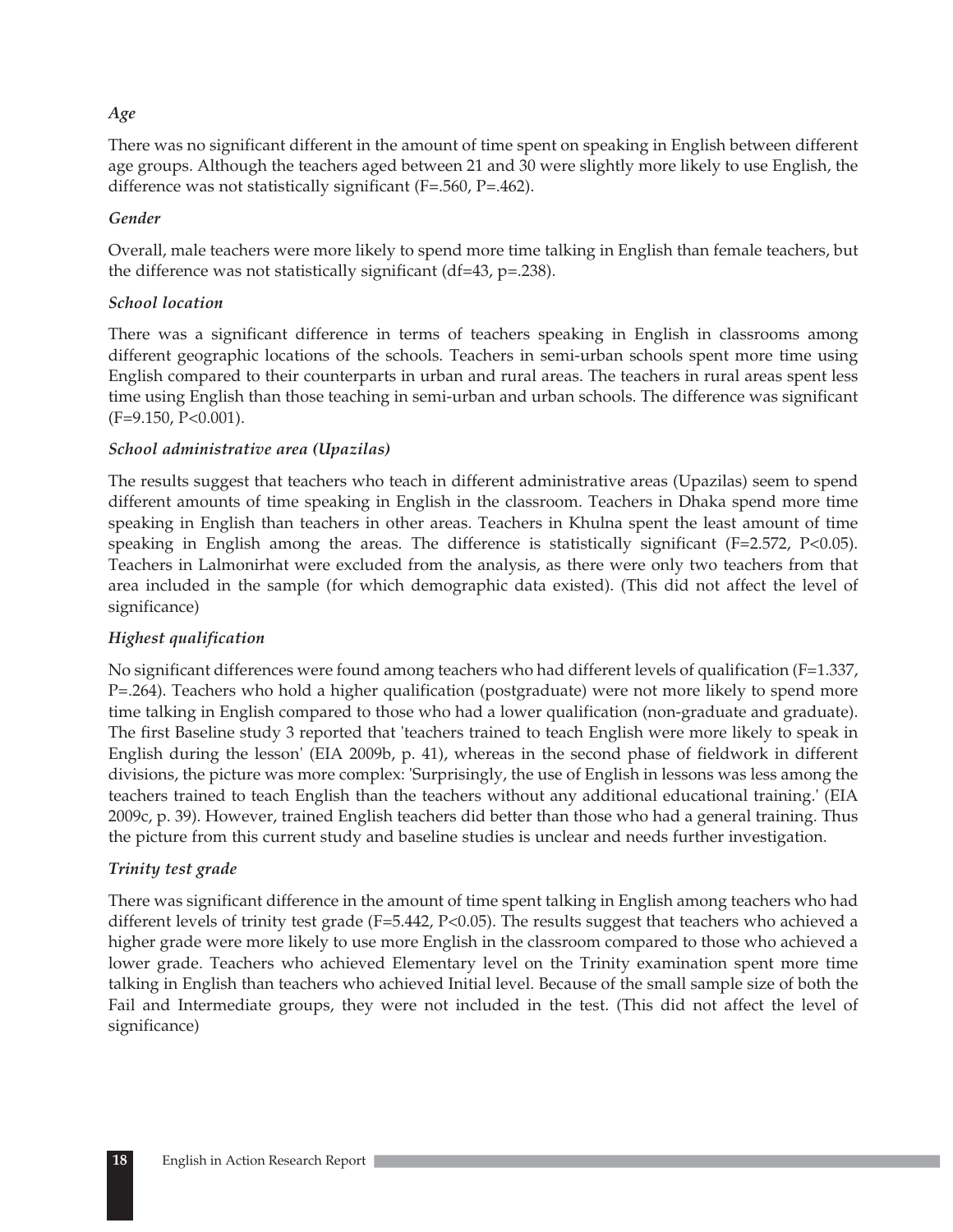### *Age*

There was no significant different in the amount of time spent on speaking in English between different age groups. Although the teachers aged between 21 and 30 were slightly more likely to use English, the difference was not statistically significant (F=.560, P=.462).

### *Gender*

Overall, male teachers were more likely to spend more time talking in English than female teachers, but the difference was not statistically significant (df=43, p=.238).

### *School location*

There was a significant difference in terms of teachers speaking in English in classrooms among different geographic locations of the schools. Teachers in semi-urban schools spent more time using English compared to their counterparts in urban and rural areas. The teachers in rural areas spent less time using English than those teaching in semi-urban and urban schools. The difference was significant (F=9.150, P<0.001).

### *School administrative area (Upazilas)*

The results suggest that teachers who teach in different administrative areas (Upazilas) seem to spend different amounts of time speaking in English in the classroom. Teachers in Dhaka spend more time speaking in English than teachers in other areas. Teachers in Khulna spent the least amount of time speaking in English among the areas. The difference is statistically significant (F=2.572, P<0.05). Teachers in Lalmonirhat were excluded from the analysis, as there were only two teachers from that area included in the sample (for which demographic data existed). (This did not affect the level of significance)

### *Highest qualification*

No significant differences were found among teachers who had different levels of qualification (F=1.337, P=.264). Teachers who hold a higher qualification (postgraduate) were not more likely to spend more time talking in English compared to those who had a lower qualification (non-graduate and graduate). The first Baseline study 3 reported that 'teachers trained to teach English were more likely to speak in English during the lesson' (EIA 2009b, p. 41), whereas in the second phase of fieldwork in different divisions, the picture was more complex: 'Surprisingly, the use of English in lessons was less among the teachers trained to teach English than the teachers without any additional educational training.' (EIA 2009c, p. 39). However, trained English teachers did better than those who had a general training. Thus the picture from this current study and baseline studies is unclear and needs further investigation.

### *Trinity test grade*

There was significant difference in the amount of time spent talking in English among teachers who had different levels of trinity test grade (F=5.442, P<0.05). The results suggest that teachers who achieved a higher grade were more likely to use more English in the classroom compared to those who achieved a lower grade. Teachers who achieved Elementary level on the Trinity examination spent more time talking in English than teachers who achieved Initial level. Because of the small sample size of both the Fail and Intermediate groups, they were not included in the test. (This did not affect the level of significance)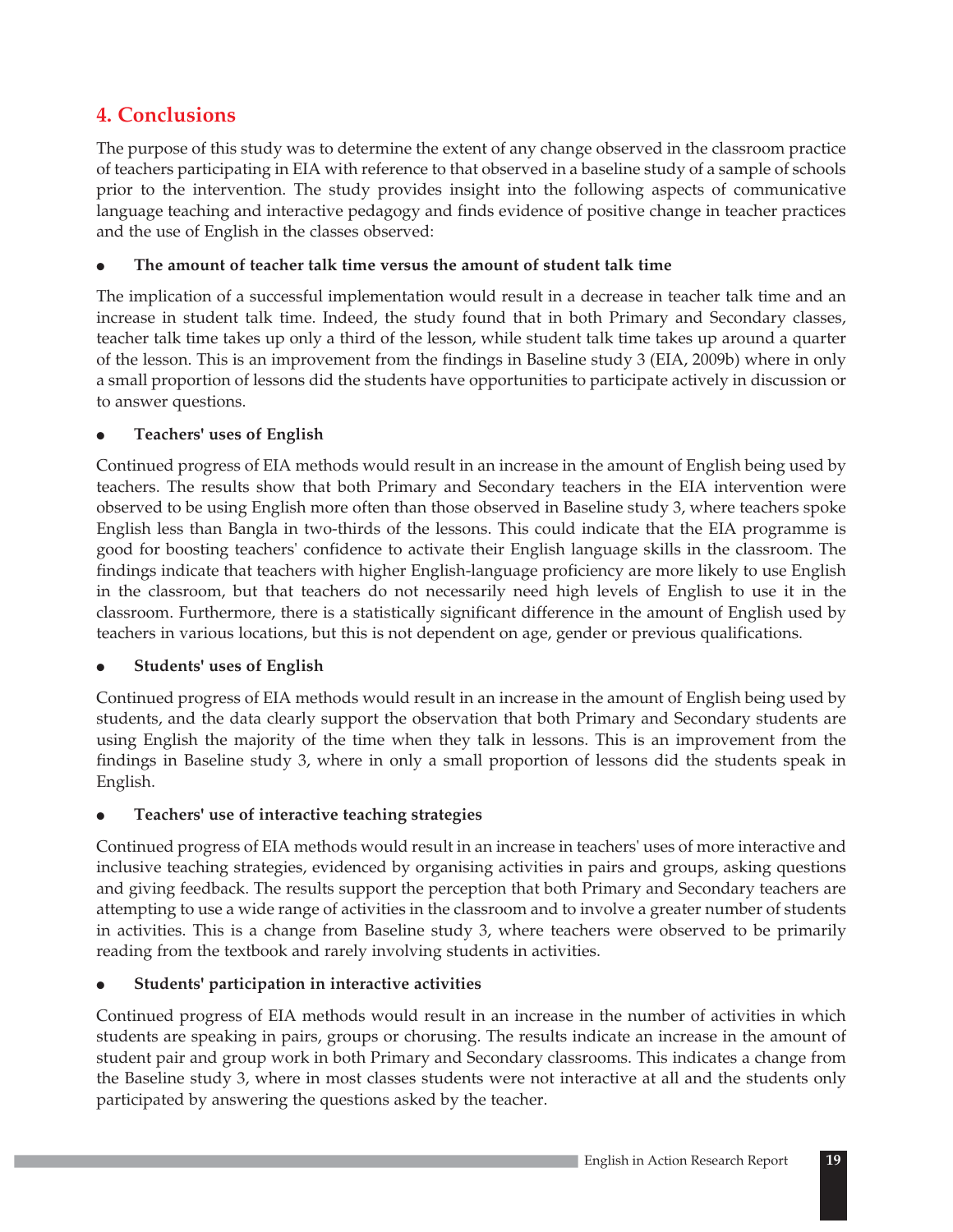# **4. Conclusions**

The purpose of this study was to determine the extent of any change observed in the classroom practice of teachers participating in EIA with reference to that observed in a baseline study of a sample of schools prior to the intervention. The study provides insight into the following aspects of communicative language teaching and interactive pedagogy and finds evidence of positive change in teacher practices and the use of English in the classes observed:

#### $\bullet$ **The amount of teacher talk time versus the amount of student talk time**

The implication of a successful implementation would result in a decrease in teacher talk time and an increase in student talk time. Indeed, the study found that in both Primary and Secondary classes, teacher talk time takes up only a third of the lesson, while student talk time takes up around a quarter of the lesson. This is an improvement from the findings in Baseline study 3 (EIA, 2009b) where in only a small proportion of lessons did the students have opportunities to participate actively in discussion or to answer questions.

#### $\bullet$ **Teachers' uses of English**

Continued progress of EIA methods would result in an increase in the amount of English being used by teachers. The results show that both Primary and Secondary teachers in the EIA intervention were observed to be using English more often than those observed in Baseline study 3, where teachers spoke English less than Bangla in two-thirds of the lessons. This could indicate that the EIA programme is good for boosting teachers' confidence to activate their English language skills in the classroom. The findings indicate that teachers with higher English-language proficiency are more likely to use English in the classroom, but that teachers do not necessarily need high levels of English to use it in the classroom. Furthermore, there is a statistically significant difference in the amount of English used by teachers in various locations, but this is not dependent on age, gender or previous qualifications.

#### $\bullet$ **Students' uses of English**

Continued progress of EIA methods would result in an increase in the amount of English being used by students, and the data clearly support the observation that both Primary and Secondary students are using English the majority of the time when they talk in lessons. This is an improvement from the findings in Baseline study 3, where in only a small proportion of lessons did the students speak in English.

#### $\bullet$ **Teachers' use of interactive teaching strategies**

Continued progress of EIA methods would result in an increase in teachers' uses of more interactive and inclusive teaching strategies, evidenced by organising activities in pairs and groups, asking questions and giving feedback. The results support the perception that both Primary and Secondary teachers are attempting to use a wide range of activities in the classroom and to involve a greater number of students in activities. This is a change from Baseline study 3, where teachers were observed to be primarily reading from the textbook and rarely involving students in activities.

#### $\bullet$ **Students' participation in interactive activities**

Continued progress of EIA methods would result in an increase in the number of activities in which students are speaking in pairs, groups or chorusing. The results indicate an increase in the amount of student pair and group work in both Primary and Secondary classrooms. This indicates a change from the Baseline study 3, where in most classes students were not interactive at all and the students only participated by answering the questions asked by the teacher.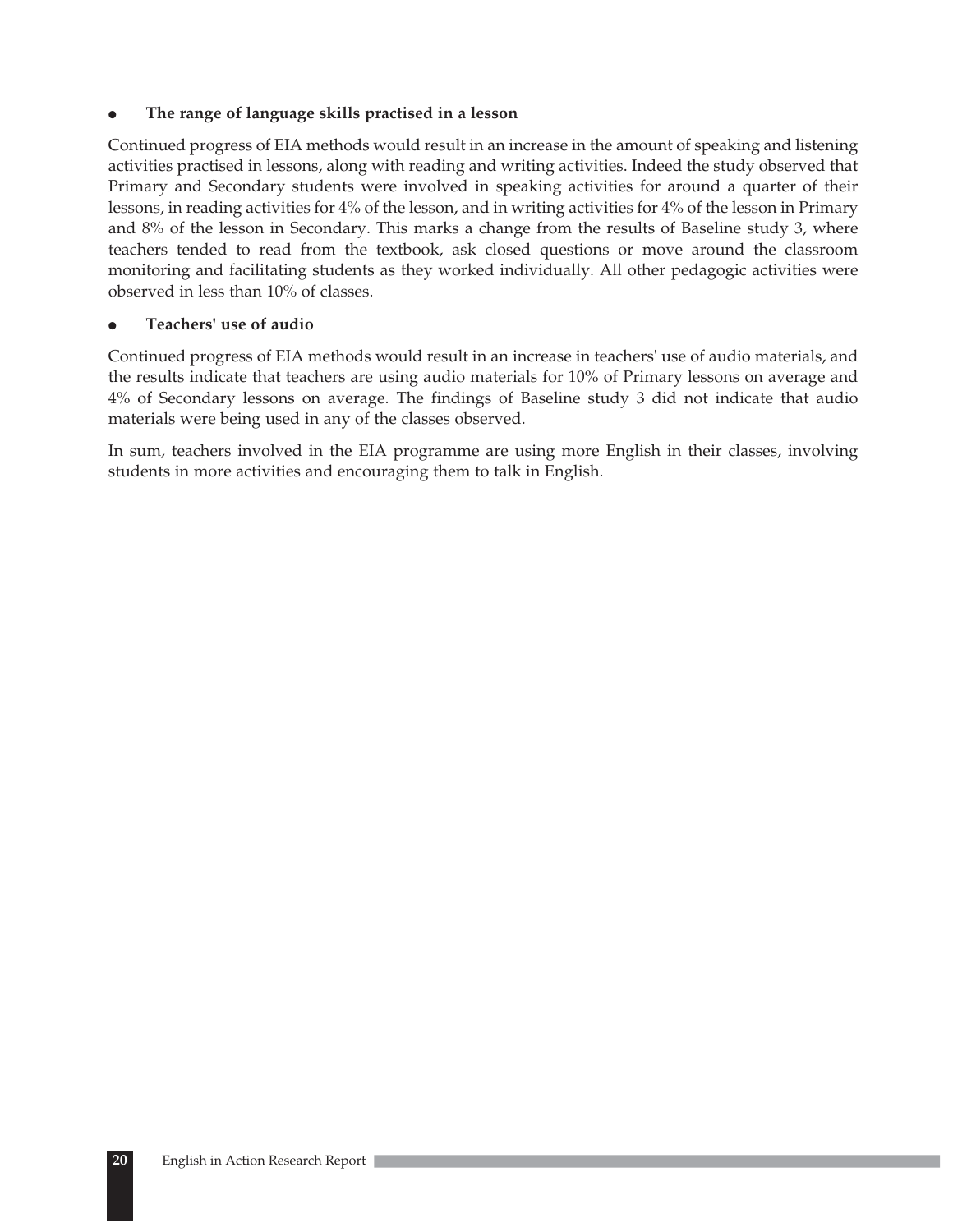#### $\bullet$ **The range of language skills practised in a lesson**

Continued progress of EIA methods would result in an increase in the amount of speaking and listening activities practised in lessons, along with reading and writing activities. Indeed the study observed that Primary and Secondary students were involved in speaking activities for around a quarter of their lessons, in reading activities for 4% of the lesson, and in writing activities for 4% of the lesson in Primary and 8% of the lesson in Secondary. This marks a change from the results of Baseline study 3, where teachers tended to read from the textbook, ask closed questions or move around the classroom monitoring and facilitating students as they worked individually. All other pedagogic activities were observed in less than 10% of classes.

#### $\bullet$ **Teachers' use of audio**

Continued progress of EIA methods would result in an increase in teachers' use of audio materials, and the results indicate that teachers are using audio materials for 10% of Primary lessons on average and 4% of Secondary lessons on average. The findings of Baseline study 3 did not indicate that audio materials were being used in any of the classes observed.

In sum, teachers involved in the EIA programme are using more English in their classes, involving students in more activities and encouraging them to talk in English.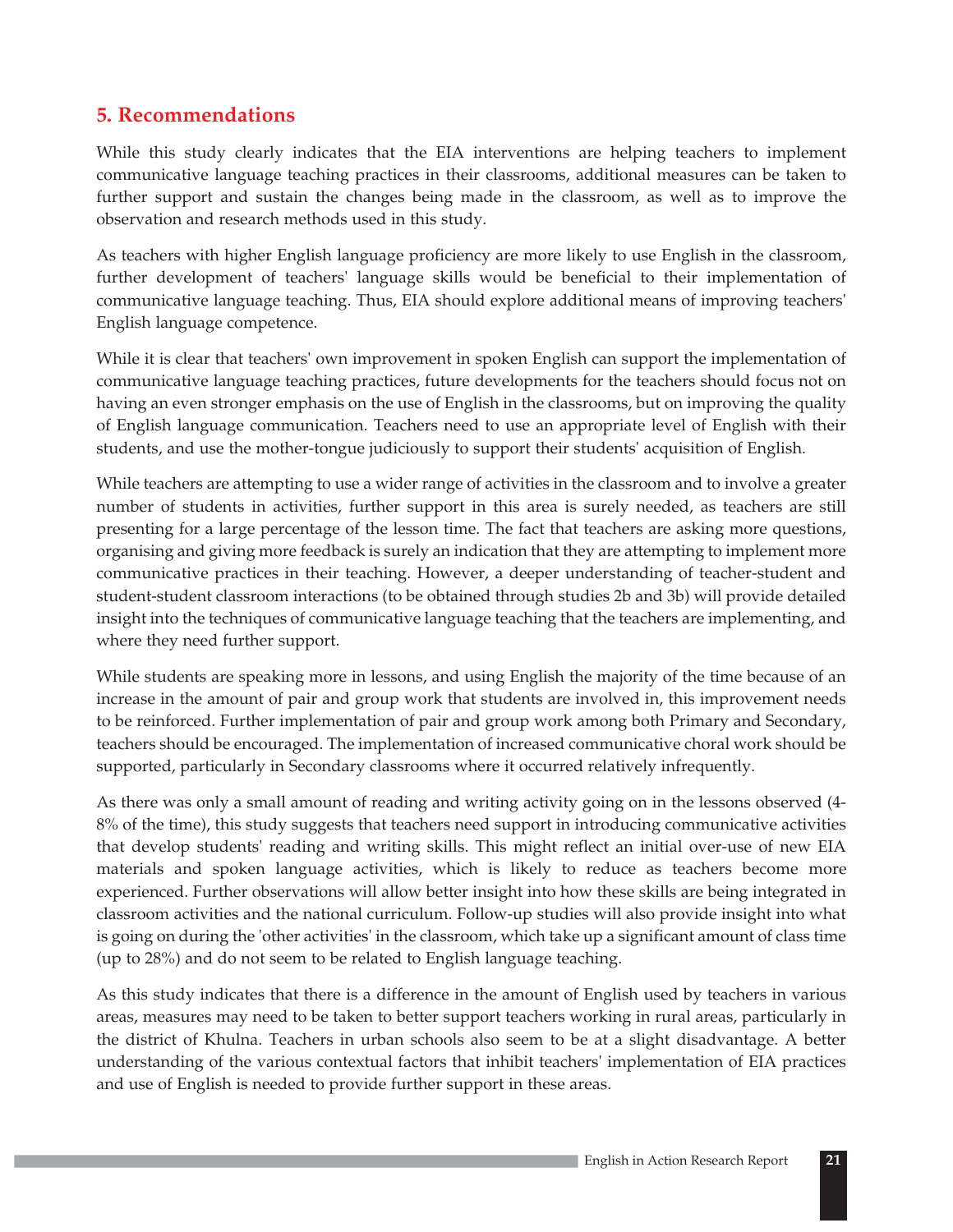# **5. Recommendations**

While this study clearly indicates that the EIA interventions are helping teachers to implement communicative language teaching practices in their classrooms, additional measures can be taken to further support and sustain the changes being made in the classroom, as well as to improve the observation and research methods used in this study.

As teachers with higher English language proficiency are more likely to use English in the classroom, further development of teachers' language skills would be beneficial to their implementation of communicative language teaching. Thus, EIA should explore additional means of improving teachers' English language competence.

While it is clear that teachers' own improvement in spoken English can support the implementation of communicative language teaching practices, future developments for the teachers should focus not on having an even stronger emphasis on the use of English in the classrooms, but on improving the quality of English language communication. Teachers need to use an appropriate level of English with their students, and use the mother-tongue judiciously to support their students' acquisition of English.

While teachers are attempting to use a wider range of activities in the classroom and to involve a greater number of students in activities, further support in this area is surely needed, as teachers are still presenting for a large percentage of the lesson time. The fact that teachers are asking more questions, organising and giving more feedback is surely an indication that they are attempting to implement more communicative practices in their teaching. However, a deeper understanding of teacher-student and student-student classroom interactions (to be obtained through studies 2b and 3b) will provide detailed insight into the techniques of communicative language teaching that the teachers are implementing, and where they need further support.

While students are speaking more in lessons, and using English the majority of the time because of an increase in the amount of pair and group work that students are involved in, this improvement needs to be reinforced. Further implementation of pair and group work among both Primary and Secondary, teachers should be encouraged. The implementation of increased communicative choral work should be supported, particularly in Secondary classrooms where it occurred relatively infrequently.

As there was only a small amount of reading and writing activity going on in the lessons observed (4- 8% of the time), this study suggests that teachers need support in introducing communicative activities that develop students' reading and writing skills. This might reflect an initial over-use of new EIA materials and spoken language activities, which is likely to reduce as teachers become more experienced. Further observations will allow better insight into how these skills are being integrated in classroom activities and the national curriculum. Follow-up studies will also provide insight into what is going on during the 'other activities' in the classroom, which take up a significant amount of class time (up to 28%) and do not seem to be related to English language teaching.

As this study indicates that there is a difference in the amount of English used by teachers in various areas, measures may need to be taken to better support teachers working in rural areas, particularly in the district of Khulna. Teachers in urban schools also seem to be at a slight disadvantage. A better understanding of the various contextual factors that inhibit teachers' implementation of EIA practices and use of English is needed to provide further support in these areas.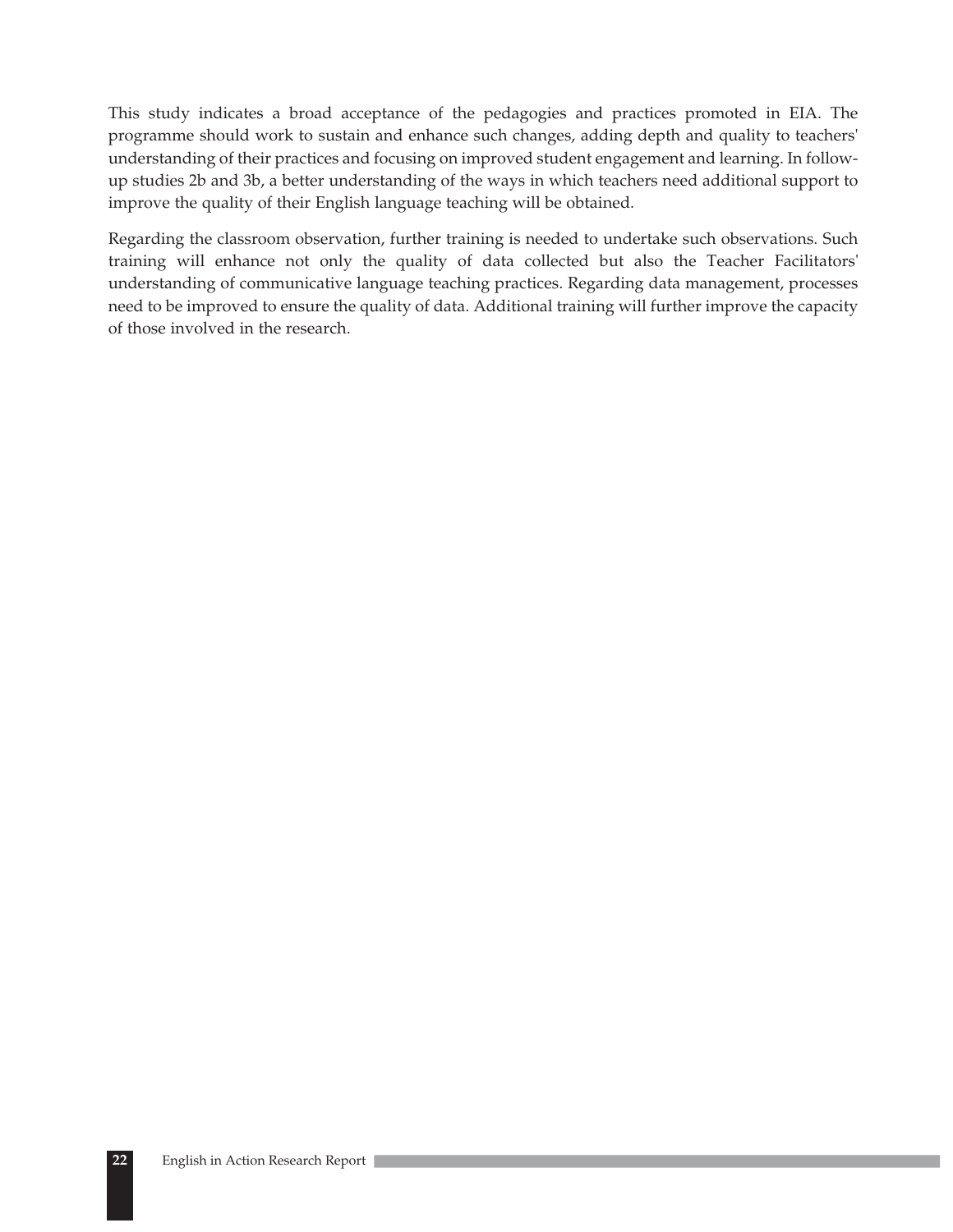This study indicates a broad acceptance of the pedagogies and practices promoted in EIA. The programme should work to sustain and enhance such changes, adding depth and quality to teachers' understanding of their practices and focusing on improved student engagement and learning. In followup studies 2b and 3b, a better understanding of the ways in which teachers need additional support to improve the quality of their English language teaching will be obtained.

Regarding the classroom observation, further training is needed to undertake such observations. Such training will enhance not only the quality of data collected but also the Teacher Facilitators' understanding of communicative language teaching practices. Regarding data management, processes need to be improved to ensure the quality of data. Additional training will further improve the capacity of those involved in the research.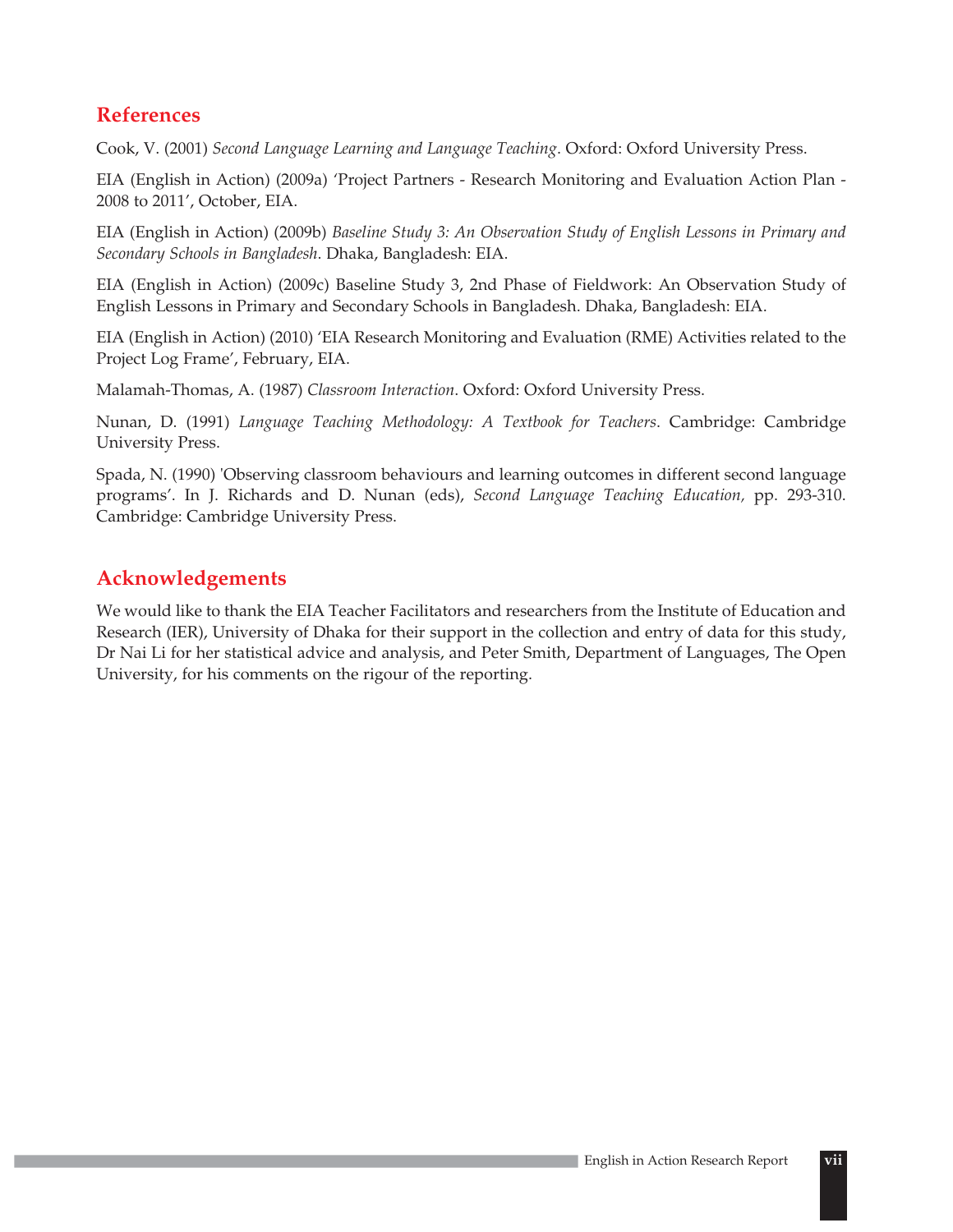# **References**

Cook, V. (2001) *Second Language Learning and Language Teaching*. Oxford: Oxford University Press.

EIA (English in Action) (2009a) 'Project Partners - Research Monitoring and Evaluation Action Plan - 2008 to 2011', October, EIA.

EIA (English in Action) (2009b) *Baseline Study 3: An Observation Study of English Lessons in Primary and Secondary Schools in Bangladesh*. Dhaka, Bangladesh: EIA.

EIA (English in Action) (2009c) Baseline Study 3, 2nd Phase of Fieldwork: An Observation Study of English Lessons in Primary and Secondary Schools in Bangladesh. Dhaka, Bangladesh: EIA.

EIA (English in Action) (2010) 'EIA Research Monitoring and Evaluation (RME) Activities related to the Project Log Frame', February, EIA.

Malamah-Thomas, A. (1987) *Classroom Interaction*. Oxford: Oxford University Press.

Nunan, D. (1991) *Language Teaching Methodology: A Textbook for Teachers*. Cambridge: Cambridge University Press.

Spada, N. (1990) 'Observing classroom behaviours and learning outcomes in different second language programs'. In J. Richards and D. Nunan (eds), *Second Language Teaching Education,* pp. 293-310. Cambridge: Cambridge University Press.

# **Acknowledgements**

We would like to thank the EIA Teacher Facilitators and researchers from the Institute of Education and Research (IER), University of Dhaka for their support in the collection and entry of data for this study, Dr Nai Li for her statistical advice and analysis, and Peter Smith, Department of Languages, The Open University, for his comments on the rigour of the reporting.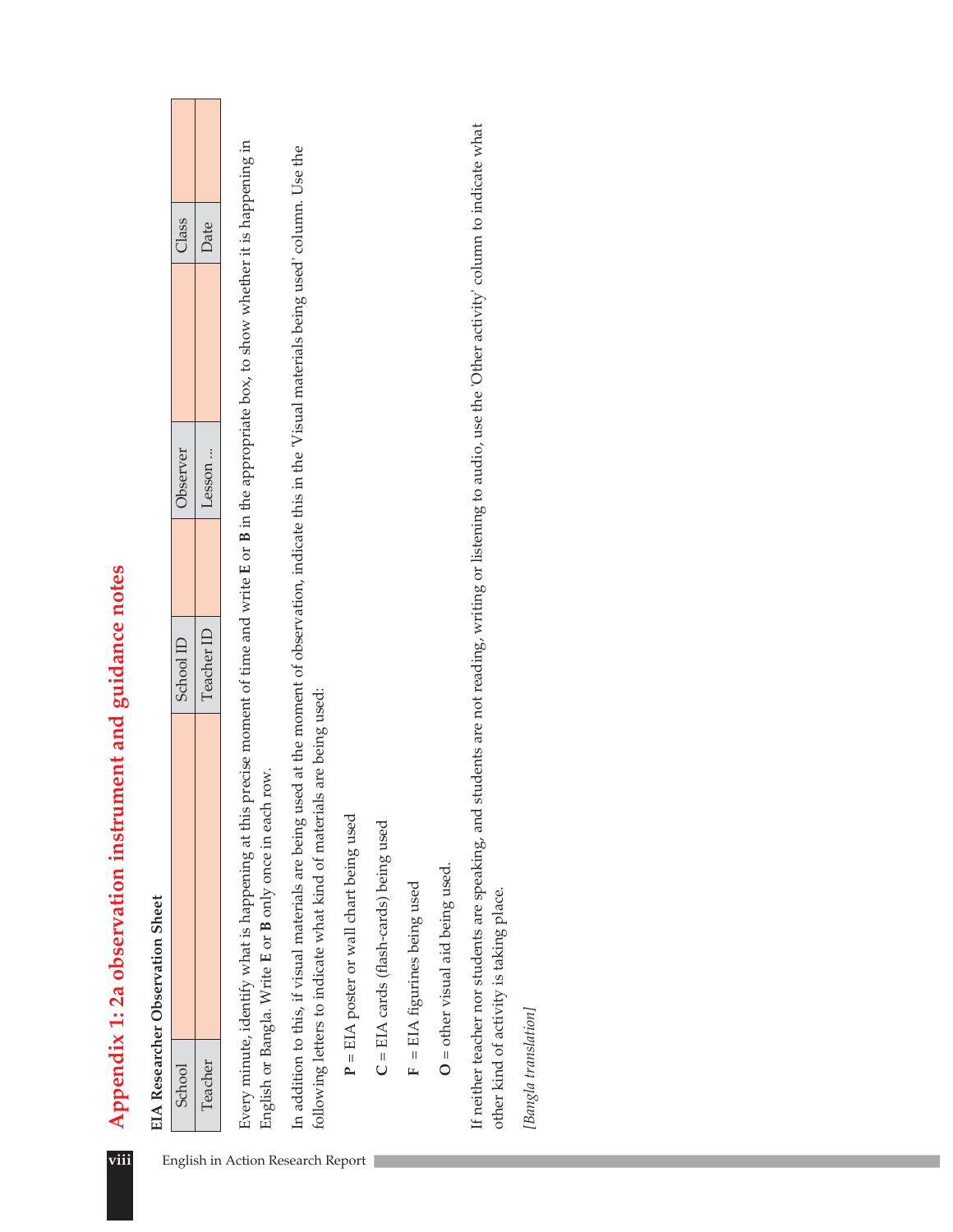|                                   |                      | <b>EIA Researcher Observation Sheet</b>                                                                                                                                                                                               |                                                                                                           |          |       |  |
|-----------------------------------|----------------------|---------------------------------------------------------------------------------------------------------------------------------------------------------------------------------------------------------------------------------------|-----------------------------------------------------------------------------------------------------------|----------|-------|--|
|                                   | School               |                                                                                                                                                                                                                                       | School ID                                                                                                 | Observer | Class |  |
|                                   | Teacher              |                                                                                                                                                                                                                                       | Teacher ID                                                                                                | Lesson   | Date  |  |
|                                   |                      | Every minute, identify what is happening at this precise moment of time and write E or B in the appropriate box, to show whether it is happening in<br>row.<br>English or Bangla. Write E or B only once in each                      |                                                                                                           |          |       |  |
| English in Action Research Report |                      | In addition to this, if visual materials are being used at the moment of observation, indicate this in the 'Visual materials being used' column. Use the<br>Is are being used:<br>following letters to indicate what kind of material |                                                                                                           |          |       |  |
|                                   |                      | P = EIA poster or wall chart being used                                                                                                                                                                                               |                                                                                                           |          |       |  |
|                                   |                      | $C = EIA$ cards (flash-cards) being used                                                                                                                                                                                              |                                                                                                           |          |       |  |
|                                   |                      | $F = EIA$ figurines being used                                                                                                                                                                                                        |                                                                                                           |          |       |  |
|                                   |                      | $O =$ other visual aid being used.                                                                                                                                                                                                    |                                                                                                           |          |       |  |
|                                   |                      | If neither teacher nor students are speaking, and<br>other kind of activity is taking place.                                                                                                                                          | students are not reading, writing or listening to audio, use the 'Other activity' column to indicate what |          |       |  |
|                                   | [Bangla translation] |                                                                                                                                                                                                                                       |                                                                                                           |          |       |  |
|                                   |                      |                                                                                                                                                                                                                                       |                                                                                                           |          |       |  |
|                                   |                      |                                                                                                                                                                                                                                       |                                                                                                           |          |       |  |
|                                   |                      |                                                                                                                                                                                                                                       |                                                                                                           |          |       |  |
|                                   |                      |                                                                                                                                                                                                                                       |                                                                                                           |          |       |  |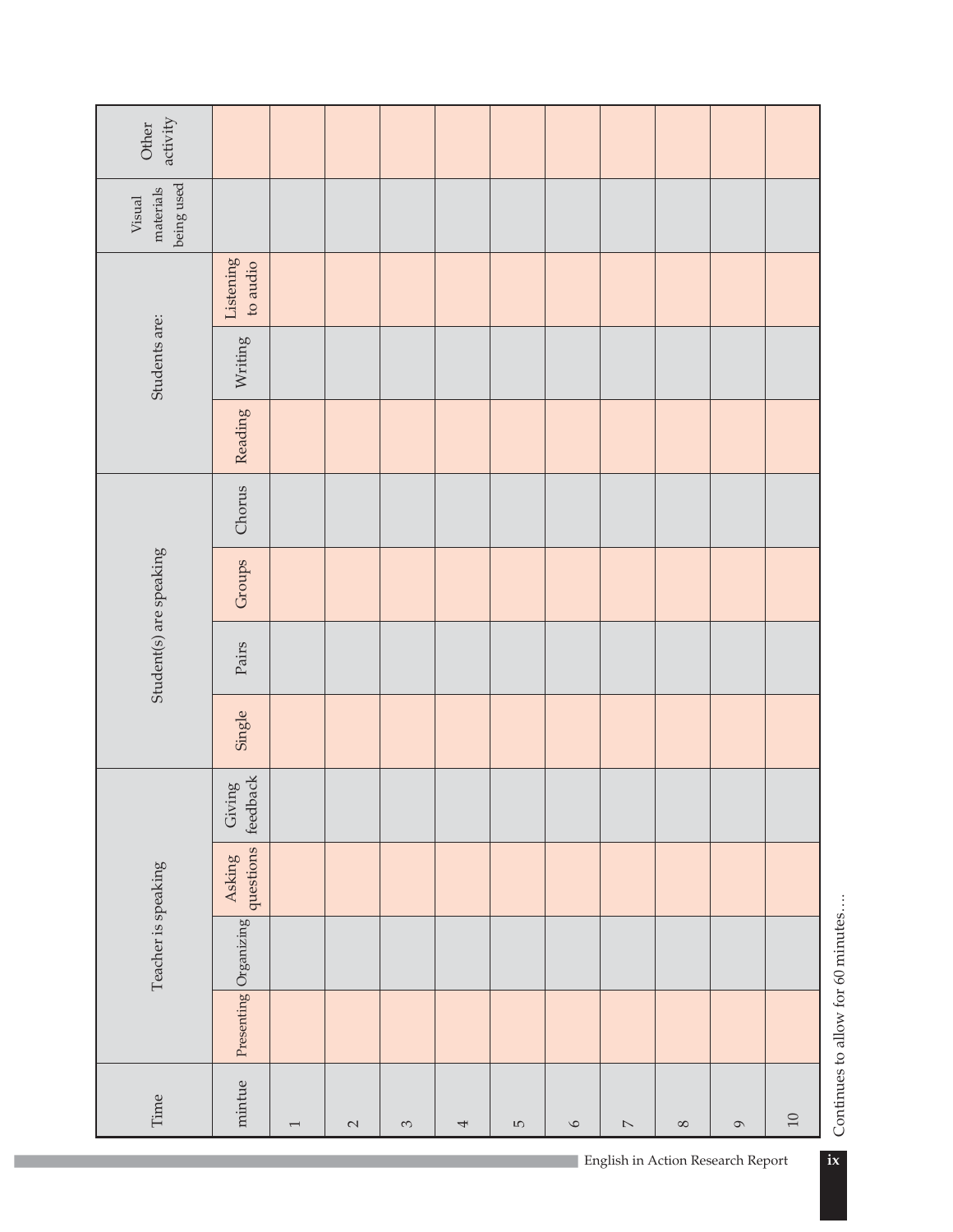| activity<br>Other                 |                       |                |                 |          |   |                 |         |                                               |          |               |        |
|-----------------------------------|-----------------------|----------------|-----------------|----------|---|-----------------|---------|-----------------------------------------------|----------|---------------|--------|
| being used<br>materials<br>Visual |                       |                |                 |          |   |                 |         |                                               |          |               |        |
|                                   | Listening<br>to audio |                |                 |          |   |                 |         |                                               |          |               |        |
| Students are:                     | Writing               |                |                 |          |   |                 |         |                                               |          |               |        |
|                                   | Reading               |                |                 |          |   |                 |         |                                               |          |               |        |
|                                   | Chorus                |                |                 |          |   |                 |         |                                               |          |               |        |
|                                   | Groups                |                |                 |          |   |                 |         |                                               |          |               |        |
| Student(s) are speaking           | Pairs                 |                |                 |          |   |                 |         |                                               |          |               |        |
|                                   | Single                |                |                 |          |   |                 |         |                                               |          |               |        |
|                                   | feedback<br>Giving    |                |                 |          |   |                 |         |                                               |          |               |        |
|                                   | questions<br>Asking   |                |                 |          |   |                 |         |                                               |          |               |        |
| Teacher is speaking               | Presenting Organizing |                |                 |          |   |                 |         |                                               |          |               |        |
|                                   |                       |                |                 |          |   |                 |         |                                               |          |               |        |
| Time                              | mintue                | $\overline{ }$ | $\mathbf{\sim}$ | $\infty$ | 4 | $\overline{10}$ | $\circ$ | $\mathord{\hspace{1pt}\text{--}\hspace{1pt}}$ | $\infty$ | $\mathcal{O}$ | $10\,$ |

Continues to allow for 60 minutes.... Continues to allow for 60 minutes….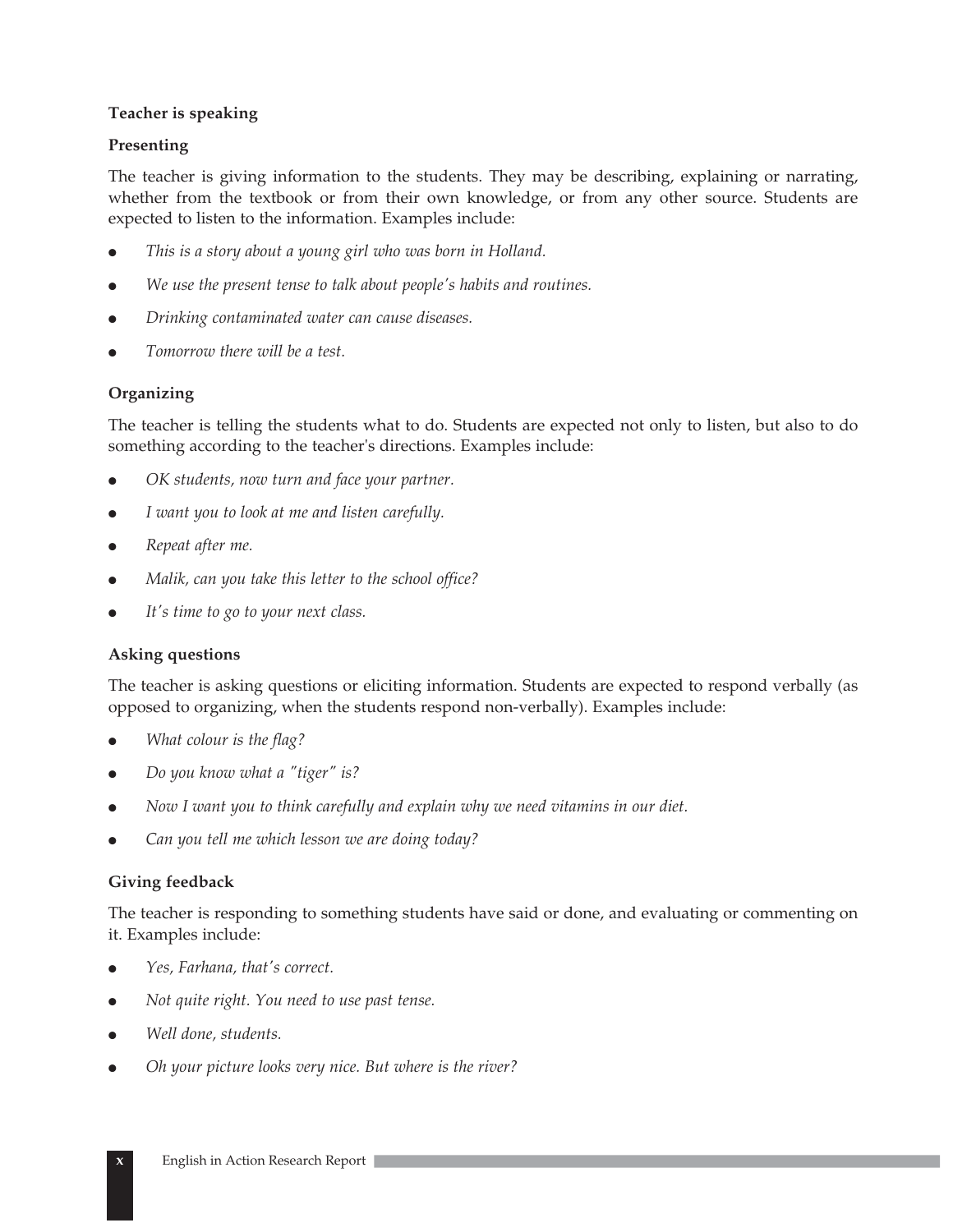### **Teacher is speaking**

### **Presenting**

The teacher is giving information to the students. They may be describing, explaining or narrating, whether from the textbook or from their own knowledge, or from any other source. Students are expected to listen to the information. Examples include:

- $\bullet$ *This is a story about a young girl who was born in Holland.*
- $\bullet$ *We use the present tense to talk about people's habits and routines.*
- $\bullet$ *Drinking contaminated water can cause diseases.*
- $\bullet$ *Tomorrow there will be a test.*

### **Organizing**

The teacher is telling the students what to do. Students are expected not only to listen, but also to do something according to the teacher's directions. Examples include:

- $\bullet$ *OK students, now turn and face your partner.*
- $\bullet$ *I want you to look at me and listen carefully.*
- $\bullet$ *Repeat after me.*
- $\bullet$ *Malik, can you take this letter to the school office?*
- $\bullet$ *It's time to go to your next class.*

### **Asking questions**

The teacher is asking questions or eliciting information. Students are expected to respond verbally (as opposed to organizing, when the students respond non-verbally). Examples include:

- $\bullet$ *What colour is the flag?*
- $\bullet$ *Do you know what a "tiger" is?*
- $\bullet$ *Now I want you to think carefully and explain why we need vitamins in our diet.*
- $\bullet$ *Can you tell me which lesson we are doing today?*

### **Giving feedback**

The teacher is responding to something students have said or done, and evaluating or commenting on it. Examples include:

- $\bullet$ *Yes, Farhana, that's correct.*
- $\bullet$ *Not quite right. You need to use past tense.*
- $\bullet$ *Well done, students.*
- $\bullet$ *Oh your picture looks very nice. But where is the river?*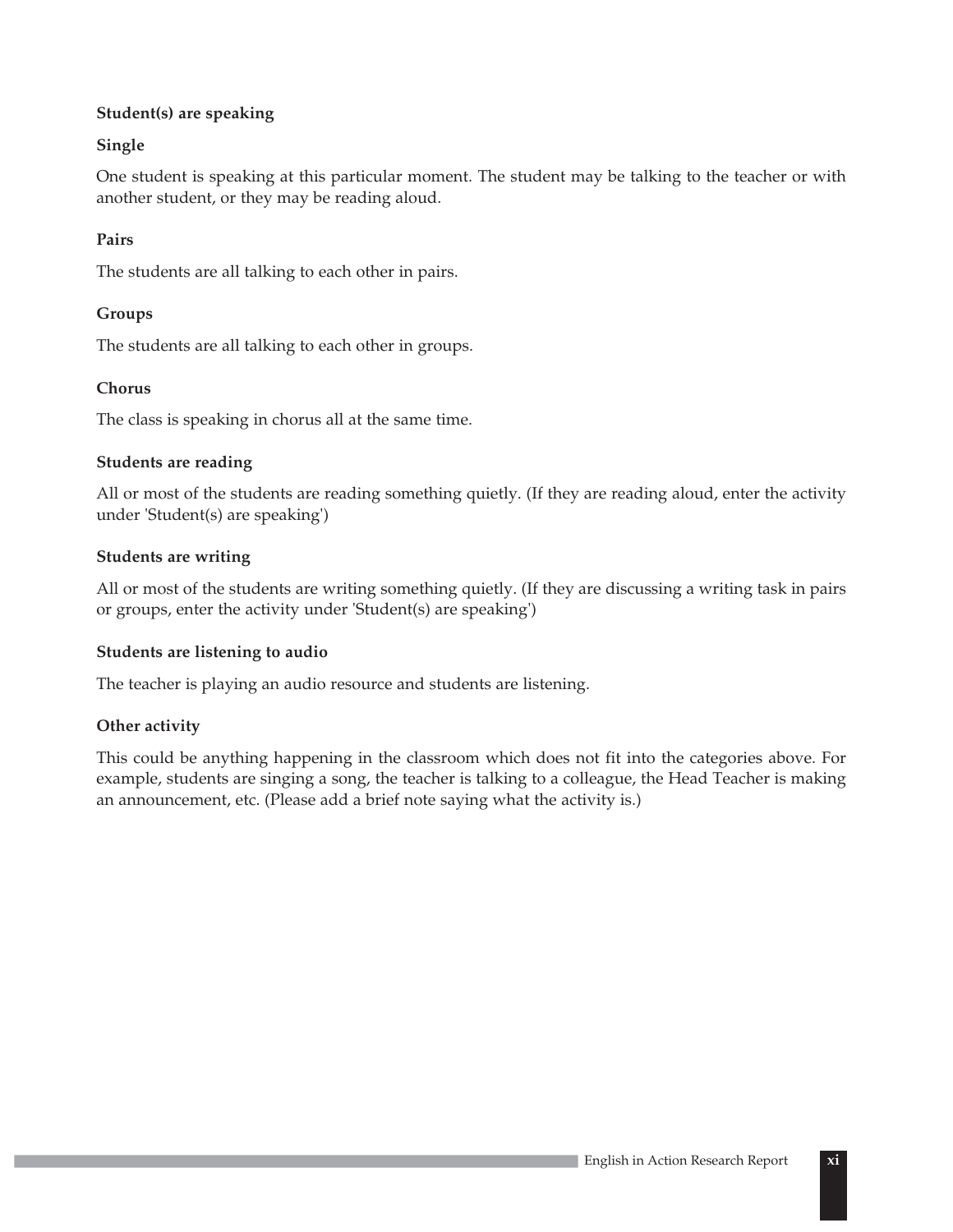### **Student(s) are speaking**

### **Single**

One student is speaking at this particular moment. The student may be talking to the teacher or with another student, or they may be reading aloud.

### **Pairs**

The students are all talking to each other in pairs.

### **Groups**

The students are all talking to each other in groups.

### **Chorus**

The class is speaking in chorus all at the same time.

### **Students are reading**

All or most of the students are reading something quietly. (If they are reading aloud, enter the activity under 'Student(s) are speaking')

### **Students are writing**

All or most of the students are writing something quietly. (If they are discussing a writing task in pairs or groups, enter the activity under 'Student(s) are speaking')

### **Students are listening to audio**

The teacher is playing an audio resource and students are listening.

### **Other activity**

This could be anything happening in the classroom which does not fit into the categories above. For example, students are singing a song, the teacher is talking to a colleague, the Head Teacher is making an announcement, etc. (Please add a brief note saying what the activity is.)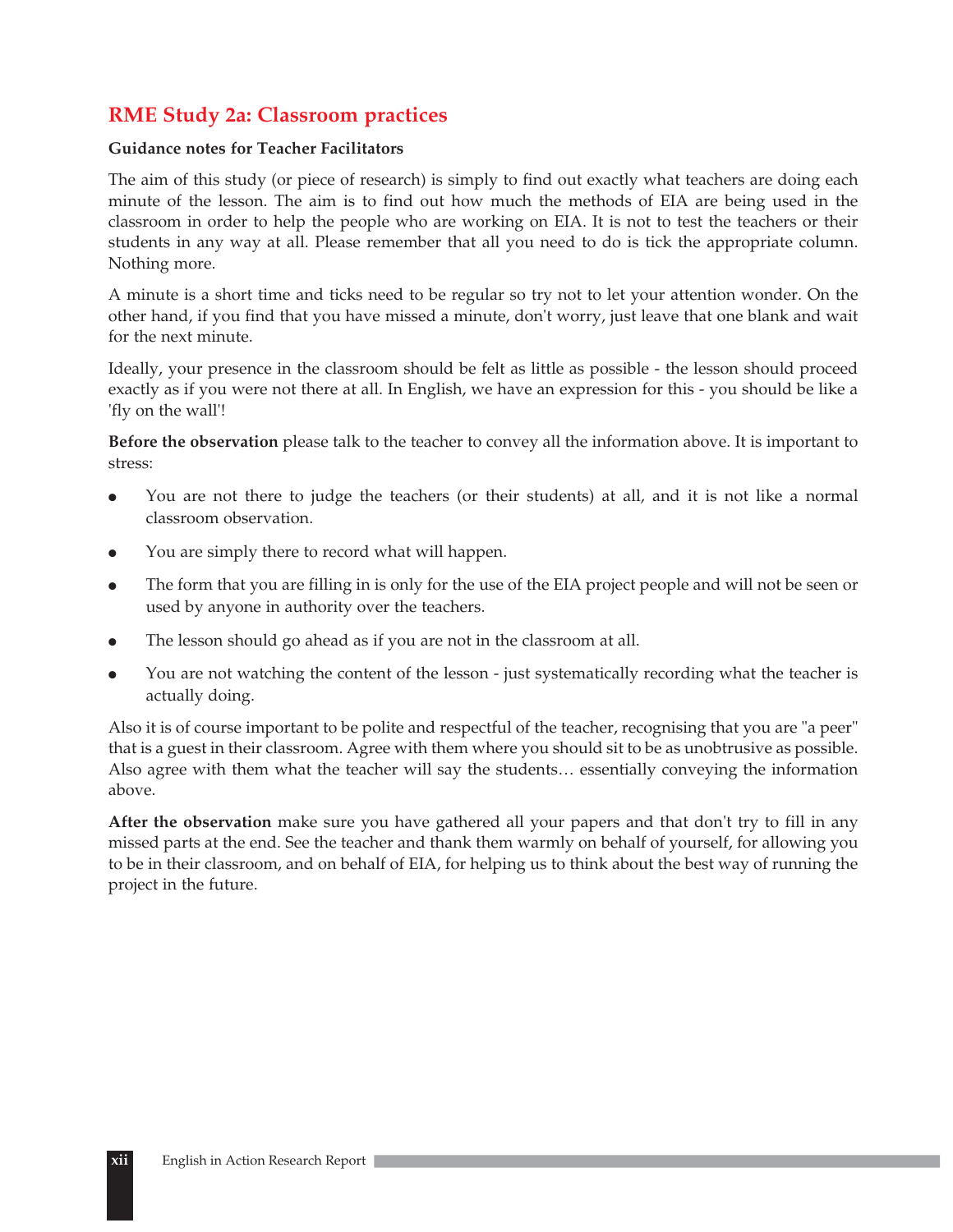# **RME Study 2a: Classroom practices**

### **Guidance notes for Teacher Facilitators**

The aim of this study (or piece of research) is simply to find out exactly what teachers are doing each minute of the lesson. The aim is to find out how much the methods of EIA are being used in the classroom in order to help the people who are working on EIA. It is not to test the teachers or their students in any way at all. Please remember that all you need to do is tick the appropriate column. Nothing more.

A minute is a short time and ticks need to be regular so try not to let your attention wonder. On the other hand, if you find that you have missed a minute, don't worry, just leave that one blank and wait for the next minute.

Ideally, your presence in the classroom should be felt as little as possible - the lesson should proceed exactly as if you were not there at all. In English, we have an expression for this - you should be like a 'fly on the wall'!

**Before the observation** please talk to the teacher to convey all the information above. It is important to stress:

- $\bullet$  You are not there to judge the teachers (or their students) at all, and it is not like a normal classroom observation.
- $\bullet$ You are simply there to record what will happen.
- $\bullet$  The form that you are filling in is only for the use of the EIA project people and will not be seen or used by anyone in authority over the teachers.
- $\bullet$ The lesson should go ahead as if you are not in the classroom at all.
- $\bullet$  You are not watching the content of the lesson - just systematically recording what the teacher is actually doing.

Also it is of course important to be polite and respectful of the teacher, recognising that you are "a peer" that is a guest in their classroom. Agree with them where you should sit to be as unobtrusive as possible. Also agree with them what the teacher will say the students… essentially conveying the information above.

**After the observation** make sure you have gathered all your papers and that don't try to fill in any missed parts at the end. See the teacher and thank them warmly on behalf of yourself, for allowing you to be in their classroom, and on behalf of EIA, for helping us to think about the best way of running the project in the future.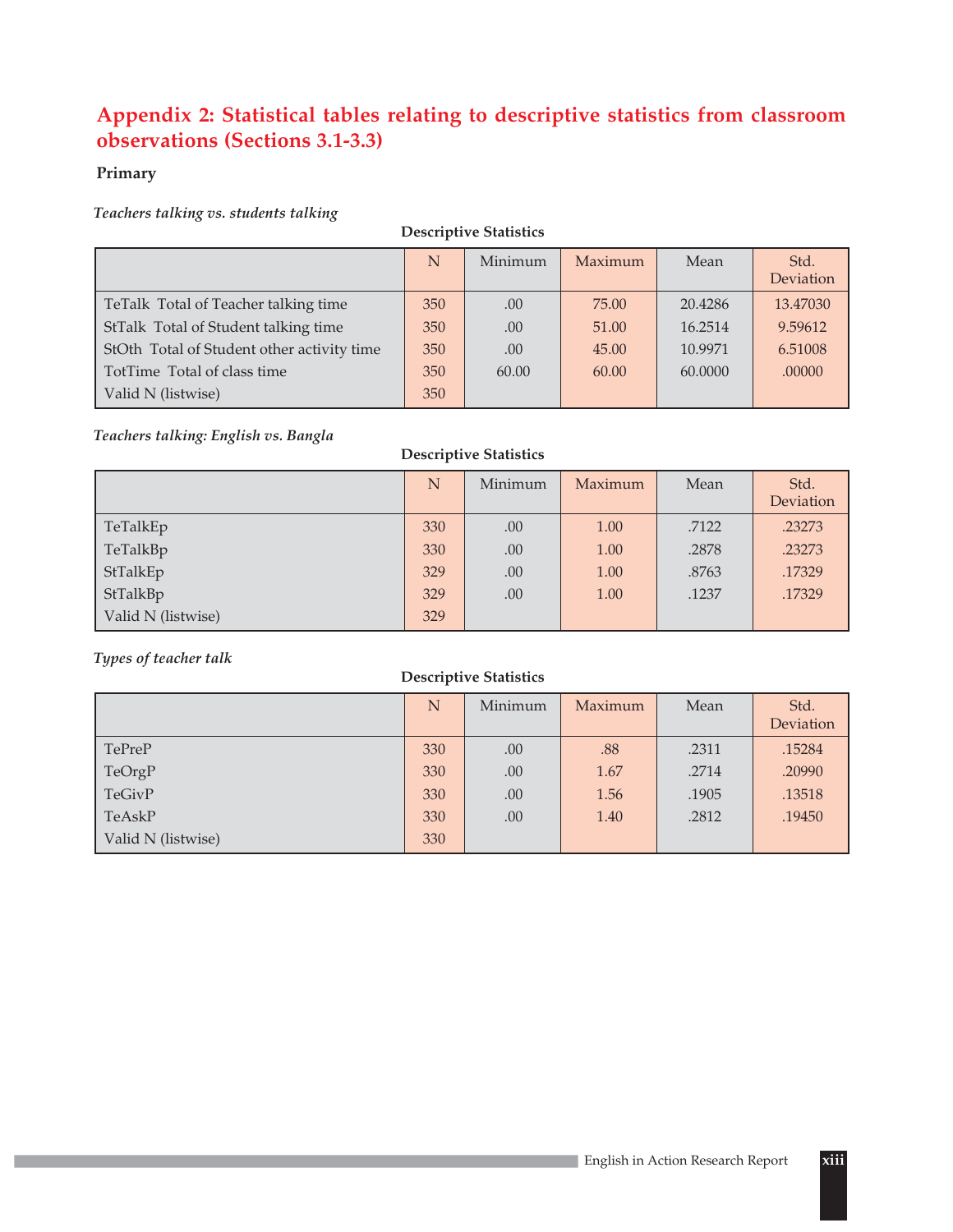# **Appendix 2: Statistical tables relating to descriptive statistics from classroom observations (Sections 3.1-3.3)**

### **Primary**

### *Teachers talking vs. students talking*

| <b>Descriptive Statistics</b>              |     |         |         |         |                   |  |  |  |
|--------------------------------------------|-----|---------|---------|---------|-------------------|--|--|--|
|                                            | N   | Minimum | Maximum | Mean    | Std.<br>Deviation |  |  |  |
| TeTalk Total of Teacher talking time       | 350 | .00     | 75.00   | 20.4286 | 13.47030          |  |  |  |
| StTalk Total of Student talking time       | 350 | .00     | 51.00   | 16.2514 | 9.59612           |  |  |  |
| StOth Total of Student other activity time | 350 | .00     | 45.00   | 10.9971 | 6.51008           |  |  |  |
| TotTime Total of class time                | 350 | 60.00   | 60.00   | 60,0000 | .00000            |  |  |  |
| Valid N (listwise)                         | 350 |         |         |         |                   |  |  |  |

### *Teachers talking: English vs. Bangla*

### **Descriptive Statistics**

|                    | N   | Minimum | Maximum | Mean  | Std.      |
|--------------------|-----|---------|---------|-------|-----------|
|                    |     |         |         |       | Deviation |
| TeTalkEp           | 330 | .00     | 1.00    | .7122 | .23273    |
| TeTalkBp           | 330 | .00     | 1.00    | .2878 | .23273    |
| StTalkEp           | 329 | .00     | 1.00    | .8763 | .17329    |
| StTalkBp           | 329 | .00     | 1.00    | .1237 | .17329    |
| Valid N (listwise) | 329 |         |         |       |           |

### *Types of teacher talk*

|                    | N   | Minimum | Maximum | Mean  | Std.<br>Deviation |
|--------------------|-----|---------|---------|-------|-------------------|
| TePreP             | 330 | .00     | .88     | .2311 | .15284            |
| TeOrgP             | 330 | .00     | 1.67    | .2714 | .20990            |
| TeGivP             | 330 | .00     | 1.56    | .1905 | .13518            |
| TeAskP             | 330 | .00     | 1.40    | .2812 | .19450            |
| Valid N (listwise) | 330 |         |         |       |                   |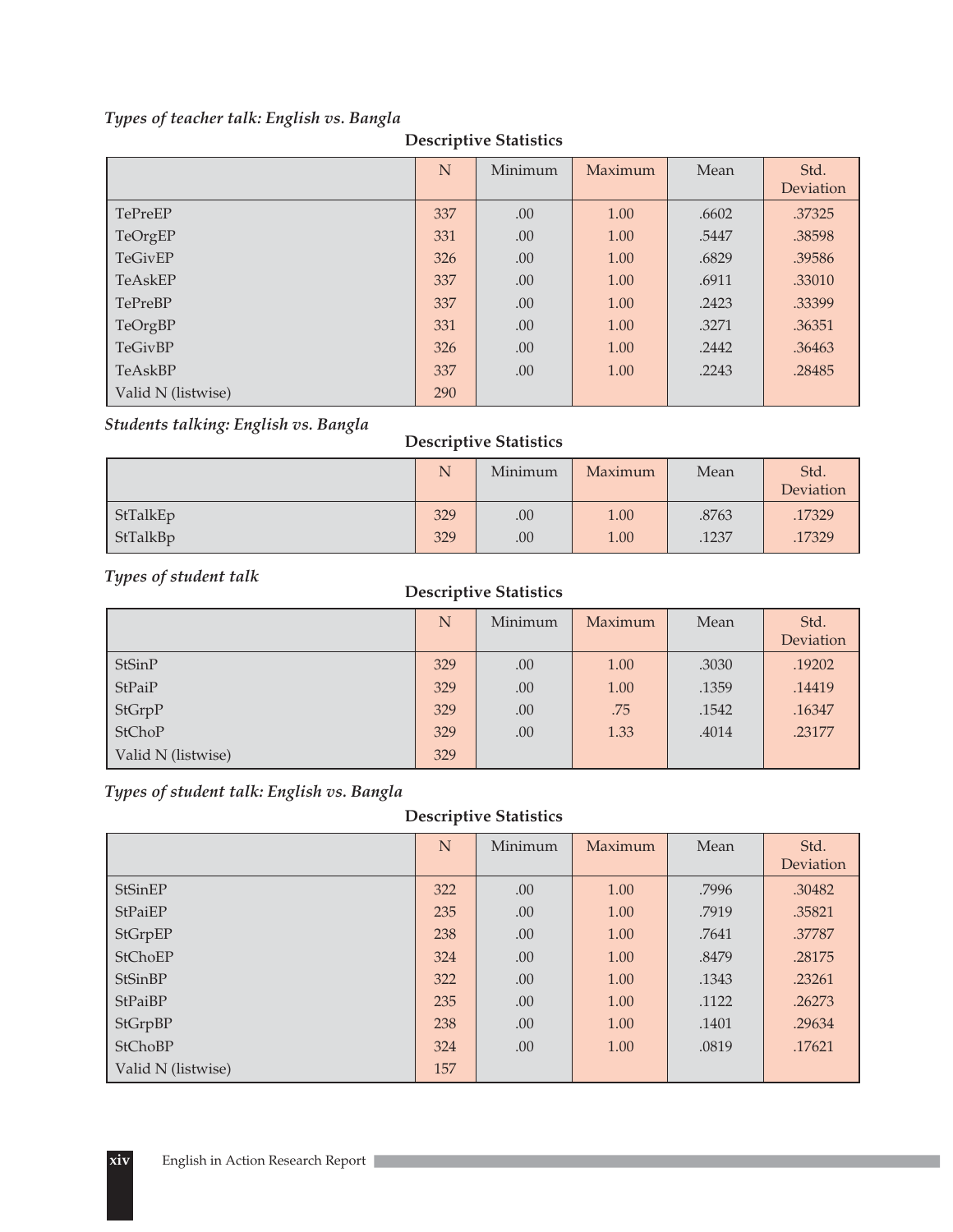### *Types of teacher talk: English vs. Bangla*

|                    | N   | Minimum | Maximum | Mean  | Std.<br>Deviation |
|--------------------|-----|---------|---------|-------|-------------------|
| TePreEP            | 337 | .00     | 1.00    | .6602 | .37325            |
| TeOrgEP            | 331 | .00     | 1.00    | .5447 | .38598            |
| TeGivEP            | 326 | .00     | 1.00    | .6829 | .39586            |
| TeAskEP            | 337 | .00     | 1.00    | .6911 | .33010            |
| TePreBP            | 337 | .00     | 1.00    | .2423 | .33399            |
| TeOrgBP            | 331 | .00     | 1.00    | .3271 | .36351            |
| <b>TeGivBP</b>     | 326 | .00     | 1.00    | .2442 | .36463            |
| TeAskBP            | 337 | .00     | 1.00    | .2243 | .28485            |
| Valid N (listwise) | 290 |         |         |       |                   |

### **Descriptive Statistics**

### *Students talking: English vs. Bangla*

# N Minimum Maximum Mean Std. deviation in the contract of the contract of the contract of the contract of the contract of the contract of t 1.17329 .00 .8763 .17329 .00 .8763 .17329 17329 .00 .1237 .1237 .17329 .00 .00 .1237 .17329 **Descriptive Statistics**

# **Descriptive Statistics** *Types of student talk*

|                    | N   | Minimum | Maximum | Mean  | Std.<br>Deviation |
|--------------------|-----|---------|---------|-------|-------------------|
| <b>StSinP</b>      | 329 | .00     | 1.00    | .3030 | .19202            |
| StPaiP             | 329 | .00     | 1.00    | .1359 | .14419            |
| StGrpP             | 329 | .00     | .75     | .1542 | .16347            |
| <b>StChoP</b>      | 329 | .00     | 1.33    | .4014 | .23177            |
| Valid N (listwise) | 329 |         |         |       |                   |

### *Types of student talk: English vs. Bangla*

|                    | N   | Minimum | Maximum | Mean  | Std.<br>Deviation |
|--------------------|-----|---------|---------|-------|-------------------|
|                    |     |         |         |       |                   |
| StSinEP            | 322 | .00     | 1.00    | .7996 | .30482            |
| StPaiEP            | 235 | .00     | 1.00    | .7919 | .35821            |
| StGrpEP            | 238 | .00     | 1.00    | .7641 | .37787            |
| StChoEP            | 324 | .00     | 1.00    | .8479 | .28175            |
| StSinBP            | 322 | .00     | 1.00    | .1343 | .23261            |
| StPaiBP            | 235 | .00     | 1.00    | .1122 | .26273            |
| StGrpBP            | 238 | .00     | 1.00    | .1401 | .29634            |
| <b>StChoBP</b>     | 324 | .00     | 1.00    | .0819 | .17621            |
| Valid N (listwise) | 157 |         |         |       |                   |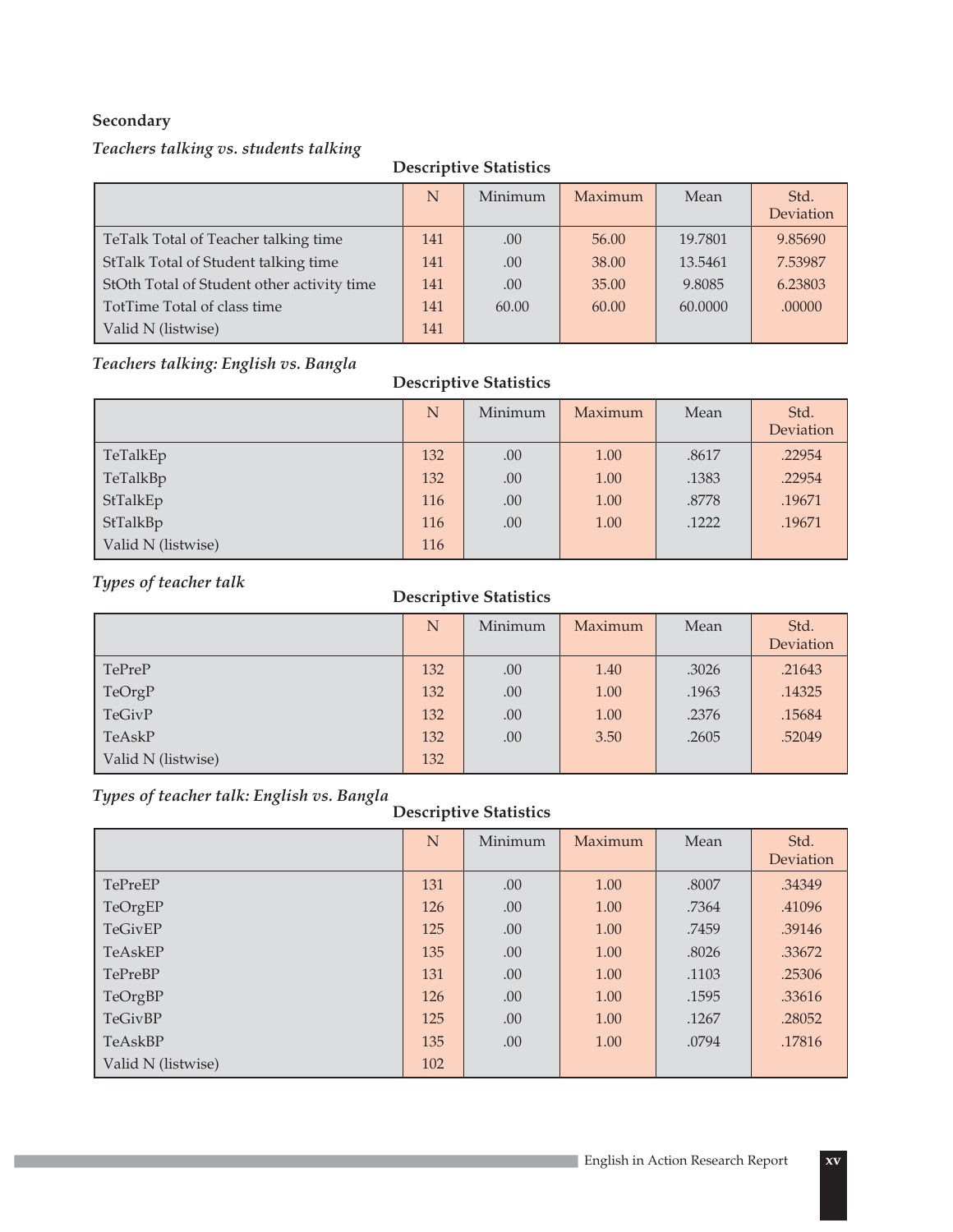### **Secondary**

### *Teachers talking vs. students talking*

### **Descriptive Statistics**

|                                            | N   | Minimum | Maximum | Mean    | Std.<br>Deviation |
|--------------------------------------------|-----|---------|---------|---------|-------------------|
|                                            |     |         |         |         |                   |
| TeTalk Total of Teacher talking time       | 141 | .00     | 56.00   | 19.7801 | 9.85690           |
| StTalk Total of Student talking time       | 141 | .00     | 38.00   | 13.5461 | 7.53987           |
| StOth Total of Student other activity time | 141 | .00     | 35.00   | 9.8085  | 6.23803           |
| TotTime Total of class time                | 141 | 60.00   | 60.00   | 60.0000 | .00000            |
| Valid N (listwise)                         | 141 |         |         |         |                   |

### *Teachers talking: English vs. Bangla*

### **Descriptive Statistics**

|                    | N   | Minimum | Maximum | Mean  | Std.      |
|--------------------|-----|---------|---------|-------|-----------|
|                    |     |         |         |       | Deviation |
| TeTalkEp           | 132 | .00     | 1.00    | .8617 | .22954    |
| TeTalkBp           | 132 | .00     | 1.00    | .1383 | .22954    |
| StTalkEp           | 116 | .00     | 1.00    | .8778 | .19671    |
| StTalkBp           | 116 | .00     | 1.00    | .1222 | .19671    |
| Valid N (listwise) | 116 |         |         |       |           |

# *Types of teacher talk*

### **Descriptive Statistics**

|                    | N   | Minimum | Maximum | Mean  | Std.<br>Deviation |
|--------------------|-----|---------|---------|-------|-------------------|
| TePreP             | 132 | .00     | 1.40    | .3026 | .21643            |
| TeOrgP             | 132 | .00     | 1.00    | .1963 | .14325            |
| TeGivP             | 132 | .00     | 1.00    | .2376 | .15684            |
| TeAskP             | 132 | .00     | 3.50    | .2605 | .52049            |
| Valid N (listwise) | 132 |         |         |       |                   |

### *Types of teacher talk: English vs. Bangla*

|                    | N   | Minimum | Maximum | Mean  | Std.<br>Deviation |
|--------------------|-----|---------|---------|-------|-------------------|
|                    |     |         |         |       |                   |
| TePreEP            | 131 | .00     | 1.00    | .8007 | .34349            |
| TeOrgEP            | 126 | .00     | 1.00    | .7364 | .41096            |
| TeGivEP            | 125 | .00     | 1.00    | .7459 | .39146            |
| TeAskEP            | 135 | .00     | 1.00    | .8026 | .33672            |
| TePreBP            | 131 | .00     | 1.00    | .1103 | .25306            |
| TeOrgBP            | 126 | .00     | 1.00    | .1595 | .33616            |
| TeGivBP            | 125 | .00     | 1.00    | .1267 | .28052            |
| TeAskBP            | 135 | .00     | 1.00    | .0794 | .17816            |
| Valid N (listwise) | 102 |         |         |       |                   |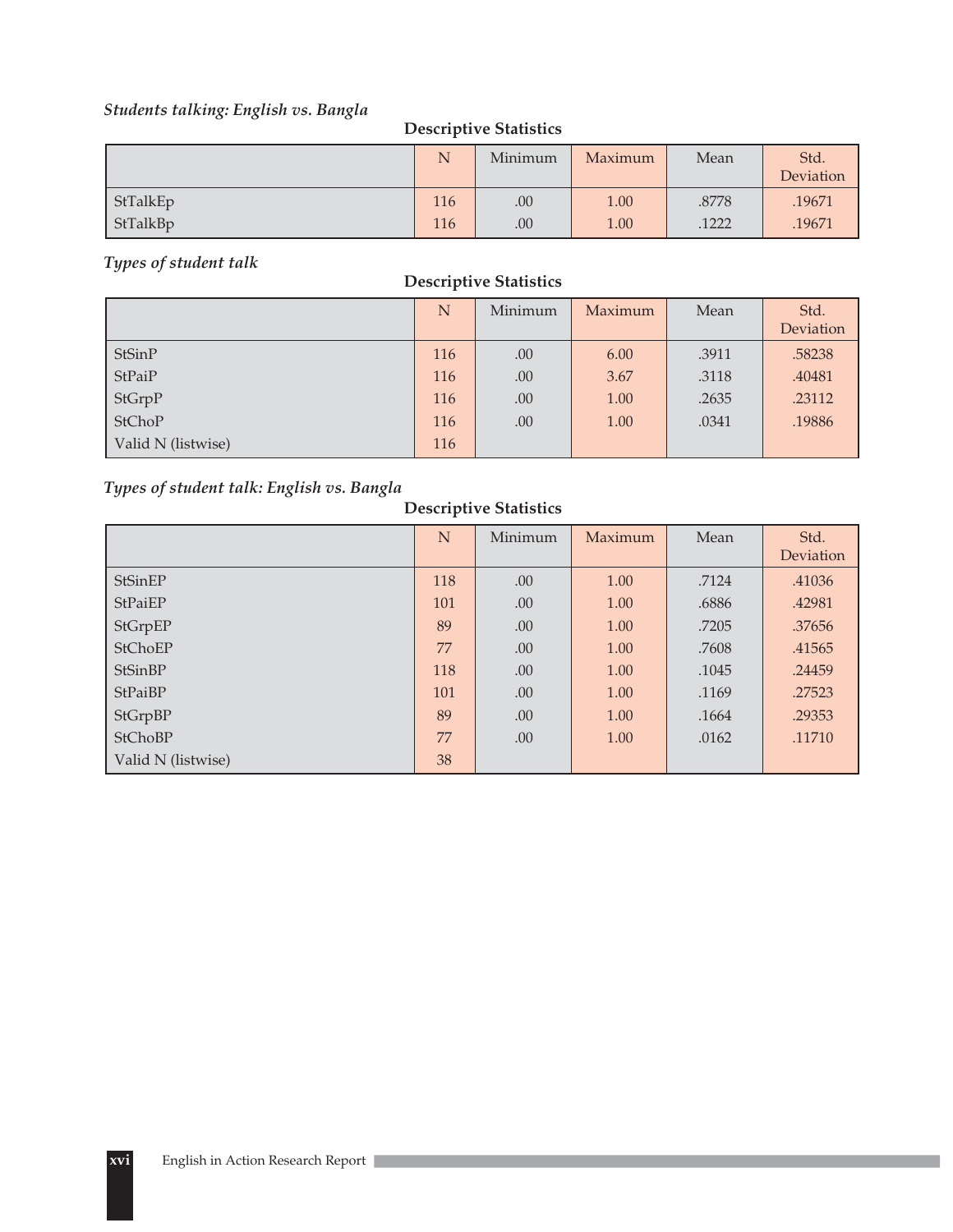# *Students talking: English vs. Bangla*

### **Descriptive Statistics**

|          | N   | Minimum | Maximum | Mean  | Std.<br>Deviation |
|----------|-----|---------|---------|-------|-------------------|
| StTalkEp | 116 | .00     | 1.00    | .8778 | .19671            |
| StTalkBp | 116 | .00     | 1.00    | .1222 | .19671            |

### *Types of student talk*

### **Descriptive Statistics**

|                    | N   | Minimum | Maximum | Mean  | Std.<br>Deviation |
|--------------------|-----|---------|---------|-------|-------------------|
| StSinP             | 116 | .00     | 6.00    | .3911 | .58238            |
| StPaiP             | 116 | .00     | 3.67    | .3118 | .40481            |
| StGrpP             | 116 | .00     | 1.00    | .2635 | .23112            |
| <b>StChoP</b>      | 116 | .00     | 1.00    | .0341 | .19886            |
| Valid N (listwise) | 116 |         |         |       |                   |

### *Types of student talk: English vs. Bangla*

|                    | N   | Minimum | Maximum | Mean  | Std.<br>Deviation |
|--------------------|-----|---------|---------|-------|-------------------|
| StSinEP            | 118 | .00     | 1.00    | .7124 | .41036            |
| StPaiEP            | 101 | .00     | 1.00    | .6886 | .42981            |
| StGrpEP            | 89  | .00     | 1.00    | .7205 | .37656            |
| StChoEP            | 77  | .00     | 1.00    | .7608 | .41565            |
| StSinBP            | 118 | .00     | 1.00    | .1045 | .24459            |
| StPaiBP            | 101 | .00     | 1.00    | .1169 | .27523            |
| StGrpBP            | 89  | .00     | 1.00    | .1664 | .29353            |
| StChoBP            | 77  | .00     | 1.00    | .0162 | .11710            |
| Valid N (listwise) | 38  |         |         |       |                   |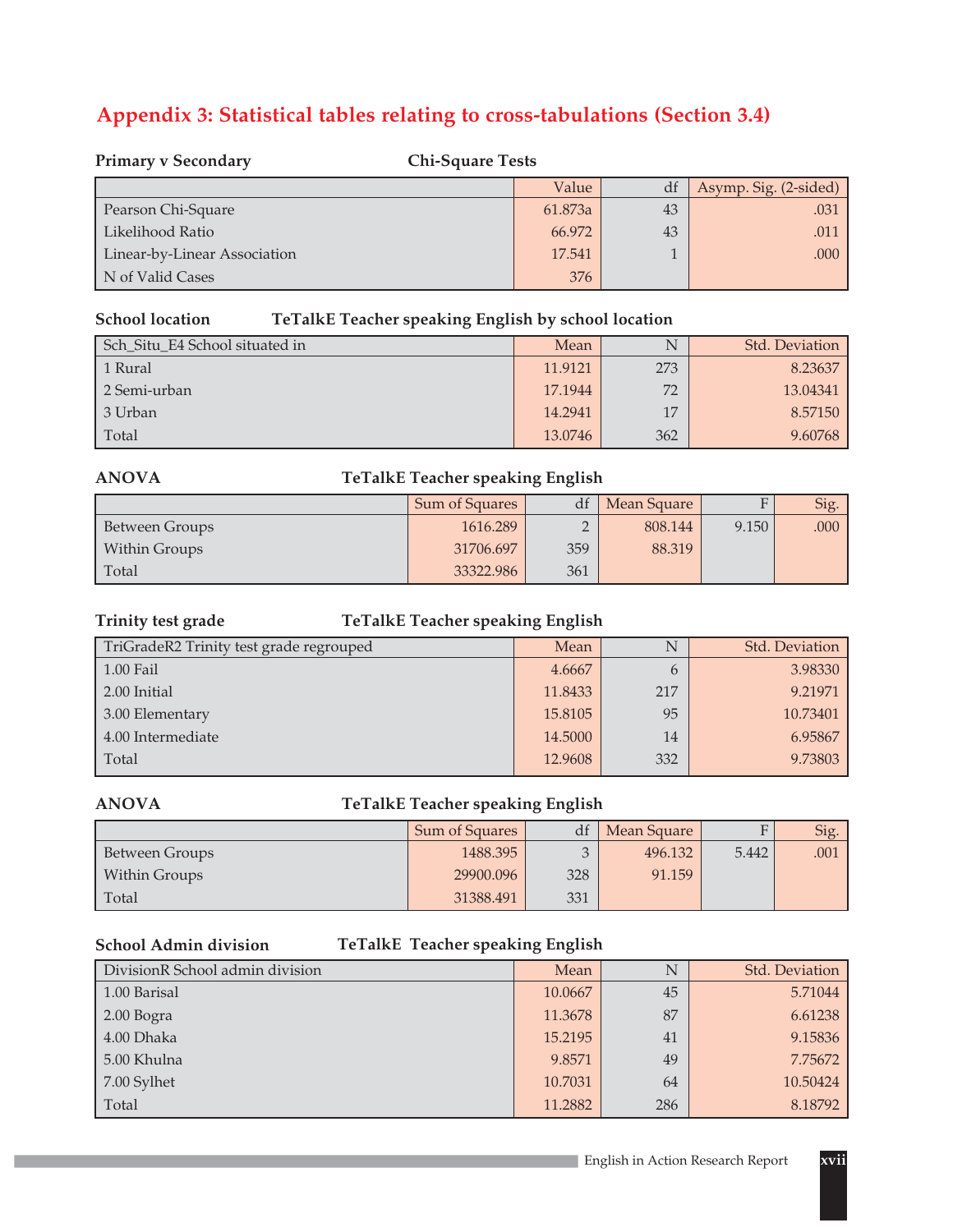# **Appendix 3: Statistical tables relating to cross-tabulations (Section 3.4)**

| <b>Primary v Secondary</b><br><b>Chi-Square Tests</b> |         |    |                       |  |  |
|-------------------------------------------------------|---------|----|-----------------------|--|--|
|                                                       | Value   |    | Asymp. Sig. (2-sided) |  |  |
| Pearson Chi-Square                                    | 61.873a | 43 | .031                  |  |  |
| Likelihood Ratio                                      | 66.972  | 43 | .011                  |  |  |
| Linear-by-Linear Association                          | 17.541  |    | .000                  |  |  |
| N of Valid Cases                                      | 376     |    |                       |  |  |

### **School location**

### **TeTalkE Teacher speaking English by school location**

| Sch_Situ_E4 School situated in | Mean    | N   | Std. Deviation |
|--------------------------------|---------|-----|----------------|
| 1 Rural                        | 11.9121 | 273 | 8.23637        |
| 2 Semi-urban                   | 17.1944 | 72  | 13.04341       |
| 3 Urban                        | 14.2941 | 17  | 8.57150        |
| Total                          | 13.0746 | 362 | 9.60768        |

### **ANOVA**

### **TeTalkE Teacher speaking English**

|                | Sum of Squares | df             | Mean Square | $\mathbf{E}$ | Sig. |
|----------------|----------------|----------------|-------------|--------------|------|
| Between Groups | 1616.289       | $\bigcap$<br>∸ | 808.144     | 9.150        | .000 |
| Within Groups  | 31706.697      | 359            | 88.319      |              |      |
| Total          | 33322.986      | 361            |             |              |      |

### **Trinity test grade**

### **TeTalkE Teacher speaking English**

| TriGradeR2 Trinity test grade regrouped | Mean    |     | Std. Deviation |
|-----------------------------------------|---------|-----|----------------|
| $1.00$ Fail                             | 4.6667  | h   | 3.98330        |
| 2.00 Initial                            | 11.8433 | 217 | 9.21971        |
| 3.00 Elementary                         | 15.8105 | 95  | 10.73401       |
| 4.00 Intermediate                       | 14.5000 | 14  | 6.95867        |
| Total                                   | 12.9608 | 332 | 9.73803        |

### **ANOVA**

### **TeTalkE Teacher speaking English**

|                | Sum of Squares | df  | Mean Square |       | Sig. |
|----------------|----------------|-----|-------------|-------|------|
| Between Groups | 1488.395       |     | 496.132     | 5.442 | .001 |
| Within Groups  | 29900.096      | 328 | 91.159      |       |      |
| Total          | 31388.491      | 331 |             |       |      |

### **School Admin division**

### **TeTalkE Teacher speaking English**

| DivisionR School admin division | Mean    | N   | Std. Deviation |
|---------------------------------|---------|-----|----------------|
| 1.00 Barisal                    | 10.0667 | 45  | 5.71044        |
| 2.00 Bogra                      | 11.3678 | 87  | 6.61238        |
| 4.00 Dhaka                      | 15.2195 | 41  | 9.15836        |
| 5.00 Khulna                     | 9.8571  | 49  | 7.75672        |
| 7.00 Sylhet                     | 10.7031 | 64  | 10.50424       |
| Total                           | 11.2882 | 286 | 8.18792        |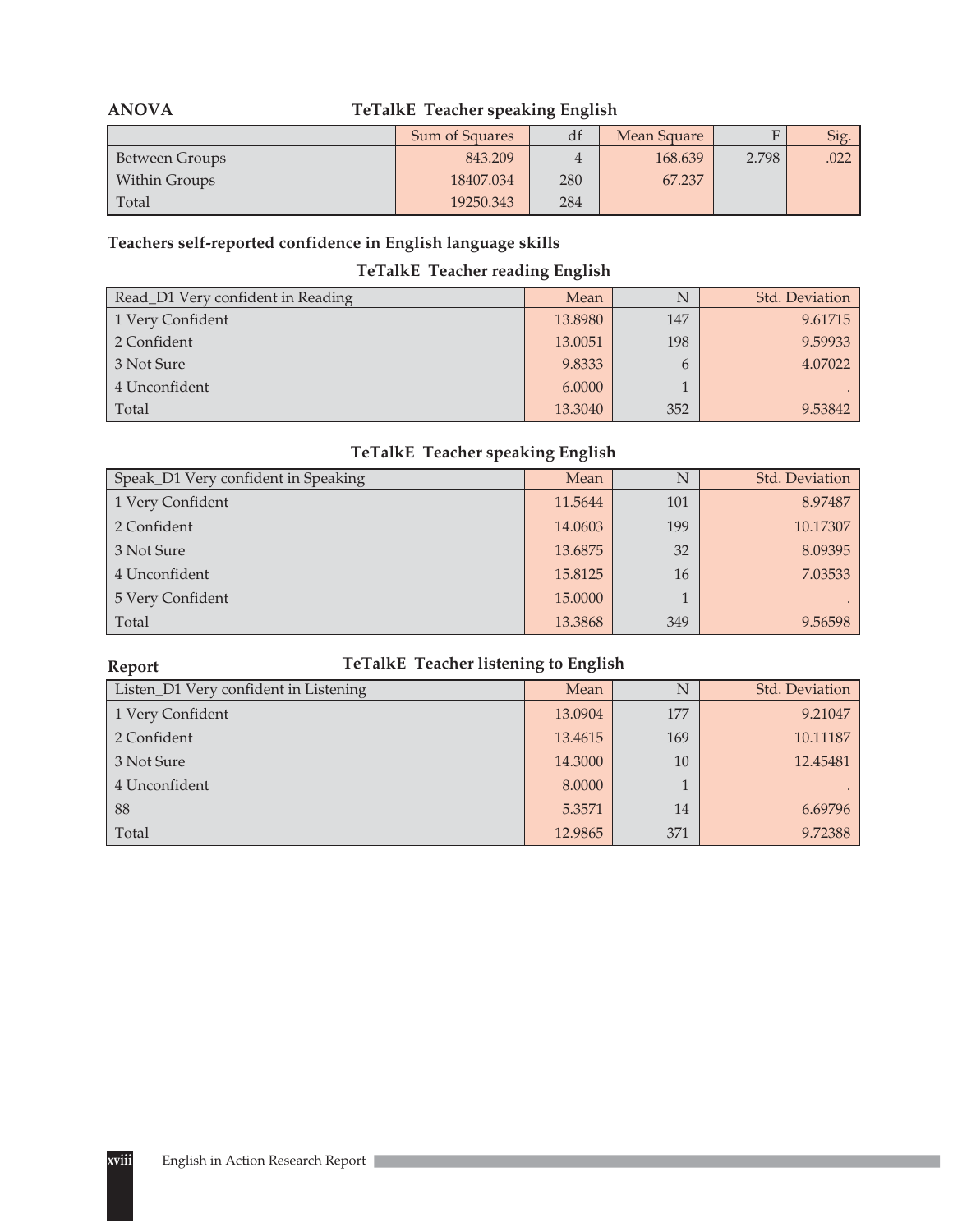| <b>TeTalkE</b> Teacher speaking English<br><b>ANOVA</b> |                |                   |         |       |      |  |  |
|---------------------------------------------------------|----------------|-------------------|---------|-------|------|--|--|
|                                                         | Sum of Squares | df<br>Mean Square |         |       |      |  |  |
| Between Groups                                          | 843.209        |                   | 168.639 | 2.798 | .022 |  |  |
| <b>Within Groups</b>                                    | 18407.034      | 280               | 67.237  |       |      |  |  |
| Total                                                   | 19250.343      | 284               |         |       |      |  |  |

### **Teachers self-reported confidence in English language skills**

### **TeTalkE Teacher reading English**

| Read_D1 Very confident in Reading | Mean    |     | Std. Deviation |
|-----------------------------------|---------|-----|----------------|
| 1 Very Confident                  | 13.8980 | 147 | 9.61715        |
| 2 Confident                       | 13.0051 | 198 | 9.59933        |
| 3 Not Sure                        | 9.8333  |     | 4.07022        |
| 4 Unconfident                     | 6.0000  |     |                |
| Total                             | 13.3040 | 352 | 9.53842        |

### **TeTalkE Teacher speaking English**

| Speak_D1 Very confident in Speaking | Mean    |     | Std. Deviation |
|-------------------------------------|---------|-----|----------------|
| 1 Very Confident                    | 11.5644 | 101 | 8.97487        |
| 2 Confident                         | 14.0603 | 199 | 10.17307       |
| 3 Not Sure                          | 13.6875 | 32  | 8.09395        |
| 4 Unconfident                       | 15.8125 | 16  | 7.03533        |
| 5 Very Confident                    | 15,0000 |     |                |
| Total                               | 13.3868 | 349 | 9.56598        |

# **TeTalkE Teacher listening to English**

| Listen_D1 Very confident in Listening | Mean    |     | Std. Deviation |
|---------------------------------------|---------|-----|----------------|
| 1 Very Confident                      | 13.0904 | 177 | 9.21047        |
| 2 Confident                           | 13.4615 | 169 | 10.11187       |
| 3 Not Sure                            | 14.3000 | 10  | 12.45481       |
| 4 Unconfident                         | 8.0000  |     |                |
| 88                                    | 5.3571  | 14  | 6.69796        |
| Total                                 | 12.9865 | 371 | 9.72388        |

**Report**